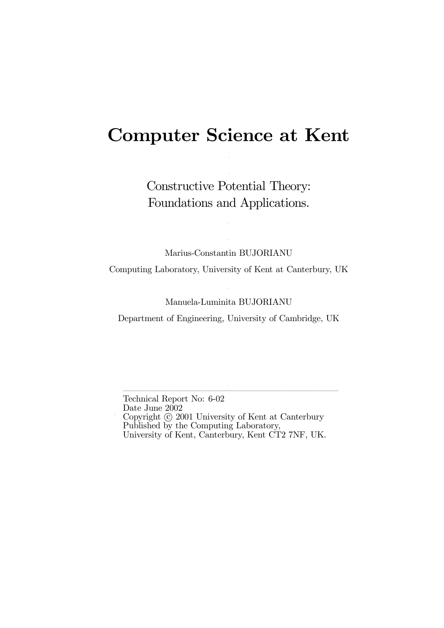## Computer Science at Kent

.

.

Constructive Potential Theory: Foundations and Applications.

.

.

Marius-Constantin BUJORIANU

Computing Laboratory, University of Kent at Canterbury, UK

## . Manuela-Luminita BUJORIANU

Department of Engineering, University of Cambridge, UK

Technical Report No: 6-02 Date June 2002 Copyright  $\odot$  2001 University of Kent at Canterbury Published by the Computing Laboratory, University of Kent, Canterbury, Kent CT2 7NF, UK.

. –––––––––––––––––––––––––––––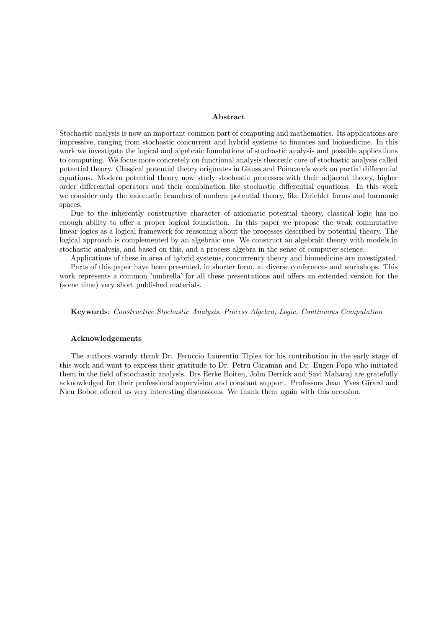#### Abstract

Stochastic analysis is now an important common part of computing and mathematics. Its applications are impressive, ranging from stochastic concurrent and hybrid systems to finances and biomedicine. In this work we investigate the logical and algebraic foundations of stochastic analysis and possible applications to computing. We focus more concretely on functional analysis theoretic core of stochastic analysis called potential theory. Classical potential theory originates in Gauss and Poincare's work on partial differential equations. Modern potential theory now study stochastic processes with their adjacent theory, higher order differential operators and their combination like stochastic differential equations. In this work we consider only the axiomatic branches of modern potential theory, like Dirichlet forms and harmonic spaces.

Due to the inherently constructive character of axiomatic potential theory, classical logic has no enough ability to offer a proper logical foundation. In this paper we propose the weak commutative linear logics as a logical framework for reasoning about the processes described by potential theory. The logical approach is complemented by an algebraic one. We construct an algebraic theory with models in stochastic analysis, and based on this, and a process algebra in the sense of computer science.

Applications of these in area of hybrid systems, concurrency theory and biomedicine are investigated.

Parts of this paper have been presented, in shorter form, at diverse conferences and workshops. This work represents a common 'umbrella' for all these presentations and offers an extended version for the (some time) very short published materials.

Keywords: Constructive Stochastic Analysis, Process Algebra, Logic, Continuous Computation

#### Acknowledgements

The authors warmly thank Dr. Feruccio Laurentiu Tiplea for his contribution in the early stage of this work and want to express their gratitude to Dr. Petru Caraman and Dr. Eugen Popa who initiated them in the field of stochastic analysis. Drs Eerke Boiten, John Derrick and Savi Maharaj are gratefully acknowledged for their professional supervision and constant support. Professors Jean Yves Girard and Nicu Boboc offered us very interesting discussions. We thank them again with this occasion.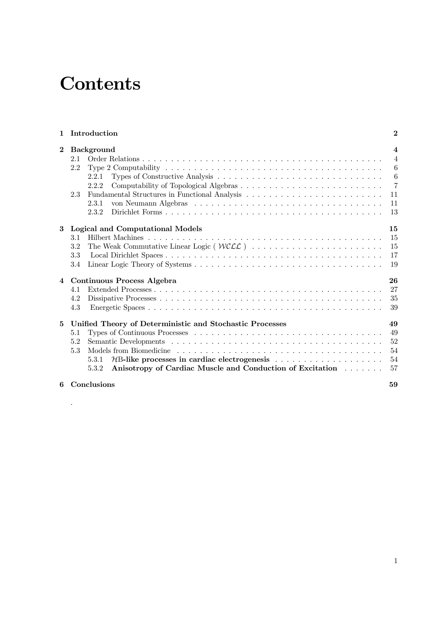# **Contents**

.

| 1            | $\overline{2}$<br>Introduction                                                                                                                               |                                                                                |  |  |  |
|--------------|--------------------------------------------------------------------------------------------------------------------------------------------------------------|--------------------------------------------------------------------------------|--|--|--|
| $\mathbf{2}$ | <b>Background</b><br>2.1<br>2.2<br>2.2.1<br>2.2.2<br>2.3<br>2.3.1<br>2.3.2                                                                                   | $\overline{4}$<br>$\overline{4}$<br>6<br>6<br>$\overline{7}$<br>11<br>11<br>13 |  |  |  |
| 3            | Logical and Computational Models<br>3.1<br>3.2<br>3.3<br>3.4                                                                                                 | 15<br>15<br>15<br>17<br>19                                                     |  |  |  |
|              | 4 Continuous Process Algebra<br>4.1<br>4.2<br>4.3                                                                                                            | 26<br>27<br>35<br>39                                                           |  |  |  |
| 5            | Unified Theory of Deterministic and Stochastic Processes<br>5.1<br>5.2<br>5.3<br>5.3.1<br>Anisotropy of Cardiac Muscle and Conduction of Excitation<br>5.3.2 | 49<br>49<br>52<br>54<br>54<br>57                                               |  |  |  |
|              | 6 Conclusions                                                                                                                                                | 59                                                                             |  |  |  |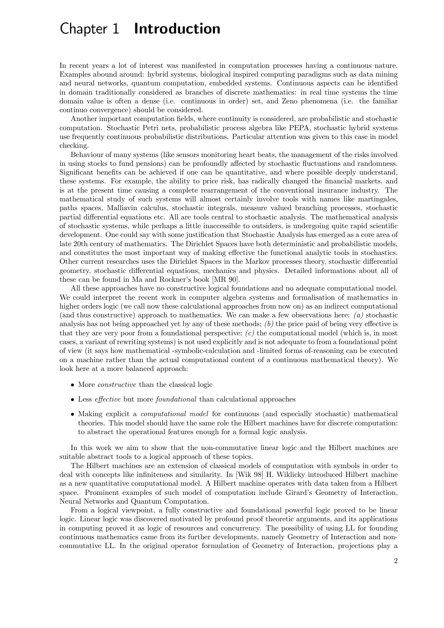## Chapter 1 **Introduction**

In recent years a lot of interest was manifested in computation processes having a continuous nature. Examples abound around: hybrid systems, biological inspired computing paradigms such as data mining and neural networks, quantum computation, embedded systems. Continuous aspects can be identified in domain traditionally considered as branches of discrete mathematics: in real time systems the time domain value is often a dense (i.e. continuous in order) set, and Zeno phenomena (i.e. the familiar continuo convergence) should be considered.

Another important computation fields, where continuity is considered, are probabilistic and stochastic computation. Stochastic Petri nets, probabilistic process algebra like PEPA, stochastic hybrid systems use frequently continuous probabilistic distributions. Particular attention was given to this case in model checking.

Behaviour of many systems (like sensors monitoring heart beats, the management of the risks involved in using stocks to fund pensions) can be profoundly affected by stochastic fluctuations and randomness. Significant benefits can be achieved if one can be quantitative, and where possible deeply understand, these systems. For example, the ability to price risk, has radically changed the financial markets, and is at the present time causing a complete rearrangement of the conventional insurance industry. The mathematical study of such systems will almost certainly involve tools with names like martingales, paths spaces, Malliavin calculus, stochastic integrals, measure valued branching processes, stochastic partial differential equations etc. All are tools central to stochastic analysis. The mathematical analysis of stochastic systems, while perhaps a little inaccessible to outsiders, is undergoing quite rapid scientific development. One could say with some justification that Stochastic Analysis has emerged as a core area of late 20th century of mathematics. The Dirichlet Spaces have both deterministic and probabilistic models, and constitutes the most important way of making effective the functional analytic tools in stochastics. Other current researches uses the Dirichlet Spaces in the Markov processes theory, stochastic differential geometry, stochastic differential equations, mechanics and physics. Detailed informations about all of these can be found in Ma and Rockner's book [MR 90].

All these approaches have no constructive logical foundations and no adequate computational model. We could interpret the recent work in computer algebra systems and formalisation of mathematics in higher orders logic (we call now these calculational approaches from now on) as an indirect computational (and thus constructive) approach to mathematics. We can make a few observations here: (a) stochastic analysis has not being approached yet by any of these methods;  $(b)$  the price paid of being very effective is that they are very poor from a foundational perspective;  $(c)$  the computational model (which is, in most cases, a variant of rewriting systems) is not used explicitly and is not adequate to from a foundational point of view (it says how mathematical -symbolic-calculation and -limited forms of-reasoning can be executed on a machine rather than the actual computational content of a continuous mathematical theory). We look here at a more balanced approach:

- More *constructive* than the classical logic
- Less *effective* but more *foundational* than calculational approaches
- Making explicit a *computational model* for continuous (and especially stochastic) mathematical theories. This model should have the same role the Hilbert machines have for discrete computation: to abstract the operational features enough for a formal logic analysis.

In this work we aim to show that the non-commutative linear logic and the Hilbert machines are suitable abstract tools to a logical approach of these topics.

The Hilbert machines are an extension of classical models of computation with symbols in order to deal with concepts like infiniteness and similarity. In [Wik 98] H. Wiklicky introduced Hilbert machine as a new quantitative computational model. A Hilbert machine operates with data taken from a Hilbert space. Prominent examples of such model of computation include Girard's Geometry of Interaction, Neural Networks and Quantum Computation.

From a logical viewpoint, a fully constructive and foundational powerful logic proved to be linear logic. Linear logic was discovered motivated by profound proof theoretic arguments, and its applications in computing proved it as logic of resources and concurrency. The possibility of using LL for founding continuous mathematics came from its further developments, namely Geometry of Interaction and noncommutative LL. In the original operator formulation of Geometry of Interaction, projections play a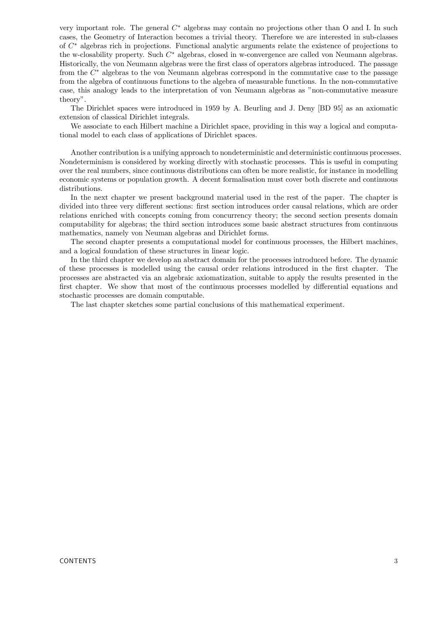very important role. The general C∗ algebras may contain no projections other than O and I. In such cases, the Geometry of Interaction becomes a trivial theory. Therefore we are interested in sub-classes of C∗ algebras rich in projections. Functional analytic arguments relate the existence of projections to the w-closability property. Such C∗ algebras, closed in w-convergence are called von Neumann algebras. Historically, the von Neumann algebras were the first class of operators algebras introduced. The passage from the C∗ algebras to the von Neumann algebras correspond in the commutative case to the passage from the algebra of continuous functions to the algebra of measurable functions. In the non-commutative case, this analogy leads to the interpretation of von Neumann algebras as "non-commutative measure theory".

The Dirichlet spaces were introduced in 1959 by A. Beurling and J. Deny [BD 95] as an axiomatic extension of classical Dirichlet integrals.

We associate to each Hilbert machine a Dirichlet space, providing in this way a logical and computational model to each class of applications of Dirichlet spaces.

Another contribution is a unifying approach to nondeterministic and deterministic continuous processes. Nondeterminism is considered by working directly with stochastic processes. This is useful in computing over the real numbers, since continuous distributions can often be more realistic, for instance in modelling economic systems or population growth. A decent formalisation must cover both discrete and continuous distributions.

In the next chapter we present background material used in the rest of the paper. The chapter is divided into three very different sections: first section introduces order causal relations, which are order relations enriched with concepts coming from concurrency theory; the second section presents domain computability for algebras; the third section introduces some basic abstract structures from continuous mathematics, namely von Neuman algebras and Dirichlet forms.

The second chapter presents a computational model for continuous processes, the Hilbert machines, and a logical foundation of these structures in linear logic.

In the third chapter we develop an abstract domain for the processes introduced before. The dynamic of these processes is modelled using the causal order relations introduced in the first chapter. The processes are abstracted via an algebraic axiomatization, suitable to apply the results presented in the first chapter. We show that most of the continuous processes modelled by differential equations and stochastic processes are domain computable.

The last chapter sketches some partial conclusions of this mathematical experiment.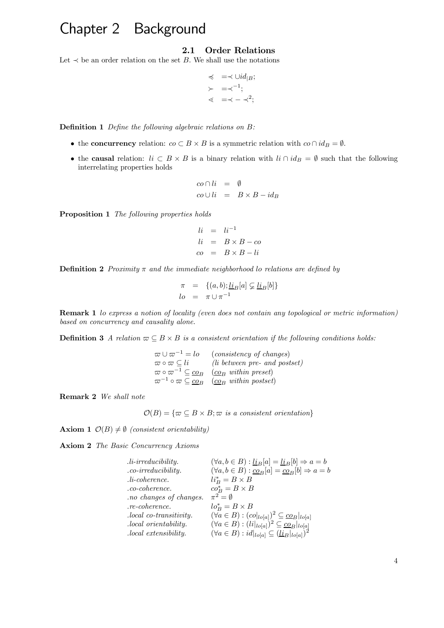## Chapter 2 Background

## 2.1 Order Relations

Let  $\prec$  be an order relation on the set B. We shall use the notations

$$
\begin{array}{rcl}\n\preccurlyeq & = < \cup id_{|B}; \\
\succ & = <^{-1}; \\
\prec & = < - <^2;\n\end{array}
$$

Definition 1 Define the following algebraic relations on B:

- the concurrency relation:  $\alpha \subset B \times B$  is a symmetric relation with  $\alpha \cap id_B = \emptyset$ .
- the causal relation:  $li \text{ }\subset B \times B$  is a binary relation with  $li \cap id_B = \emptyset$  such that the following interrelating properties holds

$$
co \cap li = \emptyset
$$
  

$$
co \cup li = B \times B - id_B
$$

Proposition 1 The following properties holds

$$
li = li^{-1}
$$
  
\n
$$
li = B \times B - co
$$
  
\n
$$
co = B \times B - li
$$

**Definition 2** Proximity  $\pi$  and the immediate neighborhood lo relations are defined by

$$
\pi = \{(a, b); \underline{li}_B[a] \subsetneq \underline{li}_B[b]\}
$$
  

$$
lo = \pi \cup \pi^{-1}
$$

Remark 1 lo express a notion of locality (even does not contain any topological or metric information) based on concurrency and causality alone.

**Definition 3** A relation  $\varpi \subseteq B \times B$  is a consistent orientation if the following conditions holds:

| $\varpi \cup \varpi^{-1} = lo$ | ( <i>consistency of changes</i> )                                                         |
|--------------------------------|-------------------------------------------------------------------------------------------|
|                                | $\varpi \circ \varpi \subseteq li$ ( <i>li between pre- and postset</i> )                 |
|                                | $\varpi \circ \varpi^{-1} \subseteq \underline{co}_B$ $(\underline{co}_B$ within preset)  |
|                                | $\varpi^{-1} \circ \varpi \subseteq \underline{co}_B$ $(\underline{co}_B$ within postset) |

Remark 2 We shall note

 $\mathcal{O}(B) = \{ \varpi \subseteq B \times B; \varpi \text{ is a consistent orientation} \}$ 

Axiom 1  $\mathcal{O}(B) \neq \emptyset$  (consistent orientability)

Axiom 2 The Basic Concurrency Axioms

| $.$ <i>li-irreducibility.</i> | $(\forall a, b \in B) : \underline{li}_B[a] = \underline{li}_B[b] \Rightarrow a = b$ |
|-------------------------------|--------------------------------------------------------------------------------------|
| $.co-irreducibility.$         | $(\forall a, b \in B) : \underline{co}_B[a] = \underline{co}_B[b] \Rightarrow a = b$ |
| $.$ <i>li-coherence.</i>      | $li_B^* = B \times B$                                                                |
| $. co-coherence.$             | $co^*_{B} = B \times B$                                                              |
| .no changes of changes.       | $\pi^2 = \emptyset$                                                                  |
| $. re-coherence.$             | $lo_R^* = B \times B$                                                                |
| .local co-transitivity.       | $(\forall a \in B) : (co _{lo[a]})^2 \subseteq \underline{co}_B _{lo[a]}$            |
| .local orientability.         | $(\forall a \in B) : (li _{lo[a]})^2 \subseteq \underline{co}_B _{lo[a]}$            |
| <i>local extensibility.</i>   | $(\forall a \in B) : id _{lo[a]} \subseteq (\underline{li}_B _{lo[a]})^2$            |
|                               |                                                                                      |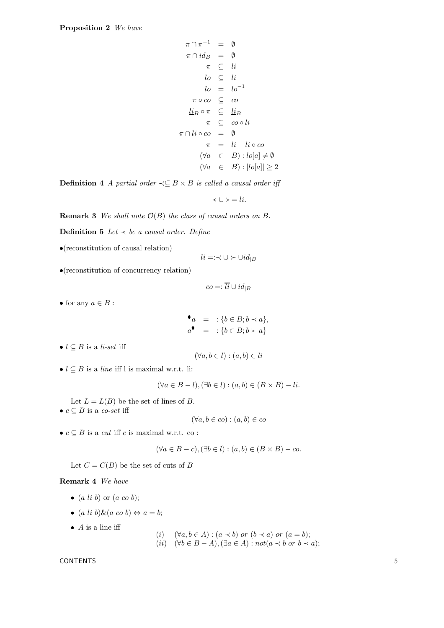Proposition 2 We have

$$
\pi \cap \pi^{-1} = \emptyset
$$
  
\n
$$
\pi \cap id_B = \emptyset
$$
  
\n
$$
\pi \subseteq li
$$
  
\n
$$
lo \subseteq li
$$
  
\n
$$
lo = lo^{-1}
$$
  
\n
$$
\pi \circ co \subseteq co
$$
  
\n
$$
\underline{li}_B \circ \pi \subseteq \underline{li}_B
$$
  
\n
$$
\pi \subseteq co \circ li
$$
  
\n
$$
\pi \cap li \circ co = \emptyset
$$
  
\n
$$
\pi = li - li \circ co
$$
  
\n
$$
(\forall a \in B) : lo[a] \neq \emptyset
$$
  
\n
$$
(\forall a \in B) : |lo[a]| \geq 2
$$

**Definition 4** A partial order  $\prec \subseteq B \times B$  is called a causal order iff

$$
\prec \cup \succ = li.
$$

**Remark 3** We shall note  $\mathcal{O}(B)$  the class of causal orders on B.

Definition 5 Let  $\prec$  be a causal order. Define

•(reconstitution of causal relation)

$$
li=:\prec\cup\succ\cup id_{|B}
$$

•(reconstitution of concurrency relation)

$$
co =: \overline{li} \cup id_{|B}
$$

• for any  $a \in B$ :

$$
\begin{array}{rcl}\n\bullet & a & = & : \{b \in B; b \prec a\}, \\
a^{\blacklozenge} & = & : \{b \in B; b \succ a\}\n\end{array}
$$

•  $l \subseteq B$  is a li-set iff

$$
(\forall a, b \in l) : (a, b) \in li
$$

 $\bullet$   $l \subseteq B$  is a  $\mathit{line}$  iff  $l$  is maximal w.r.t. li:

$$
(\forall a \in B - l), (\exists b \in l) : (a, b) \in (B \times B) - li.
$$

Let  $L = L(B)$  be the set of lines of B.

•  $c \subseteq B$  is a co-set iff

$$
(\forall a, b \in co) : (a, b) \in co
$$

 $\bullet$   $c \subseteq B$  is a  $cut$  iff  $c$  is maximal w.r.t. co :

$$
(\forall a \in B - c), (\exists b \in l) : (a, b) \in (B \times B) - co.
$$

Let  $C = C(B)$  be the set of cuts of B

#### Remark 4 We have

- $(a \text{ } li \text{ } b)$  or  $(a \text{ } co \text{ } b)$ ;
- $(a \; li \; b) \& (a \; co \; b) \Leftrightarrow a = b;$
- $\bullet$  *A* is a line iff

(i) 
$$
(\forall a, b \in A) : (a \prec b)
$$
 or  $(b \prec a)$  or  $(a = b)$ ;  
(ii)  $(\forall b \in B - A), (\exists a \in A) : not(a \prec b \text{ or } b \prec a);$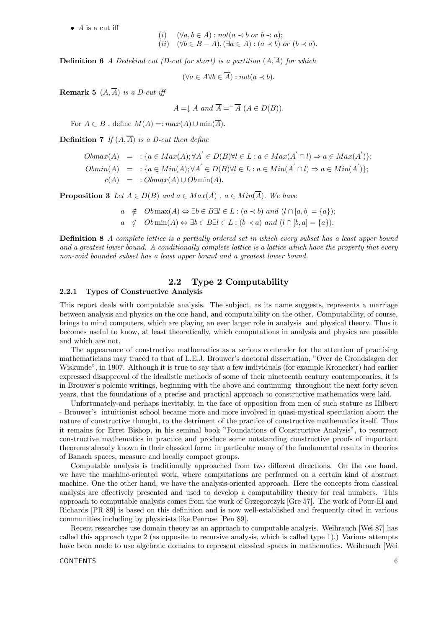$\bullet$  A is a cut iff

(i) 
$$
(\forall a, b \in A)
$$
 :  $not(a \prec b \text{ or } b \prec a)$ ;  
(ii)  $(\forall b \in B - A)$ ,  $(\exists a \in A)$  :  $(a \prec b) \text{ or } (b \prec a)$ .

**Definition 6** A Dedekind cut (D-cut for short) is a partition  $(A, \overline{A})$  for which

$$
(\forall a \in A \forall b \in \overline{A}) : not(a \prec b).
$$

**Remark 5**  $(A,\overline{A})$  is a D-cut iff

$$
A = \downarrow A \text{ and } \overline{A} = \uparrow \overline{A} \ (A \in D(B)).
$$

For  $A \subset B$ , define  $M(A) =: max(A) \cup min(\overline{A}).$ 

**Definition 7** If  $(A, \overline{A})$  is a D-cut then define

$$
Obmax(A) = : \{a \in Max(A); \forall A' \in D(B) \forall l \in L : a \in Max(A' \cap l) \Rightarrow a \in Max(A')\};
$$
  
\n
$$
Obmin(A) = : \{a \in Min(A); \forall A' \in D(B) \forall l \in L : a \in Min(A' \cap l) \Rightarrow a \in Min(A')\};
$$
  
\n
$$
c(A) = :Obmax(A) \cup Obmin(A).
$$

**Proposition 3** Let  $A \in D(B)$  and  $a \in Max(A)$ ,  $a \in Min(\overline{A})$ . We have

 $a \notin Ob \max(A) \Leftrightarrow \exists b \in B \exists l \in L : (a \prec b) \text{ and } (l \cap [a, b] = \{a\});$  $a \notin Ob \min(A) \Leftrightarrow \exists b \in B \exists l \in L : (b \prec a) \text{ and } (l \cap [b, a] = \{a\}).$ 

**Definition 8** A complete lattice is a partially ordered set in which every subset has a least upper bound and a greatest lower bound. A conditionally complete lattice is a lattice which have the property that every non-void bounded subset has a least upper bound and a greatest lower bound.

## 2.2 Type 2 Computability

### 2.2.1 Types of Constructive Analysis

This report deals with computable analysis. The subject, as its name suggests, represents a marriage between analysis and physics on the one hand, and computability on the other. Computability, of course, brings to mind computers, which are playing an ever larger role in analysis and physical theory. Thus it becomes useful to know, at least theoretically, which computations in analysis and physics are possible and which are not.

The appearance of constructive mathematics as a serious contender for the attention of practising mathematicians may traced to that of L.E.J. Brouwer's doctoral dissertation, "Over de Grondslagen der Wiskunde", in 1907. Although it is true to say that a few individuals (for example Kronecker) had earlier expressed disapproval of the idealistic methods of some of their nineteenth century contemporaries, it is in Brouwer's polemic writings, beginning with the above and continuing throughout the next forty seven years, that the foundations of a precise and practical approach to constructive mathematics were laid.

Unfortunately-and perhaps inevitably, in the face of opposition from men of such stature as Hilbert - Brouwer's intuitionist school became more and more involved in quasi-mystical speculation about the nature of constructive thought, to the detriment of the practice of constructive mathematics itself. Thus it remains for Erret Bishop, in his seminal book "Foundations of Constructive Analysis", to resurrect constructive mathematics in practice and produce some outstanding constructive proofs of important theorems already known in their classical form: in particular many of the fundamental results in theories of Banach spaces, measure and locally compact groups.

Computable analysis is traditionally approached from two different directions. On the one hand, we have the machine-oriented work, where computations are performed on a certain kind of abstract machine. One the other hand, we have the analysis-oriented approach. Here the concepts from classical analysis are effectively presented and used to develop a computability theory for real numbers. This approach to computable analysis comes from the work of Grzegorczyk [Gre 57]. The work of Pour-El and Richards [PR 89] is based on this definition and is now well-established and frequently cited in various communities including by physicists like Penrose [Pen 89].

Recent researches use domain theory as an approach to computable analysis. Weihrauch [Wei 87] has called this approach type 2 (as opposite to recursive analysis, which is called type 1).) Various attempts have been made to use algebraic domains to represent classical spaces in mathematics. Weihrauch [Wei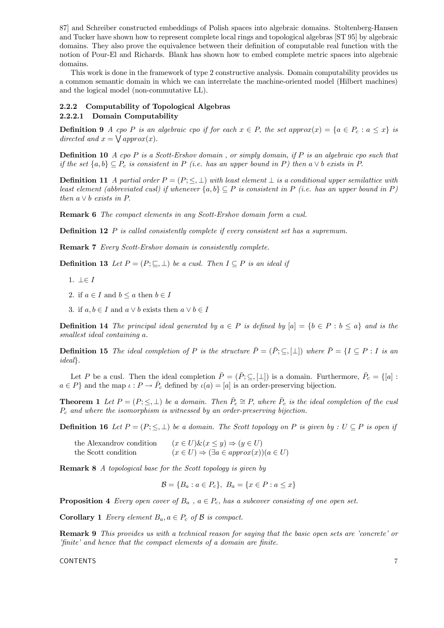87] and Schreiber constructed embeddings of Polish spaces into algebraic domains. Stoltenberg-Hansen and Tucker have shown how to represent complete local rings and topological algebras [ST 95] by algebraic domains. They also prove the equivalence between their definition of computable real function with the notion of Pour-El and Richards. Blank has shown how to embed complete metric spaces into algebraic domains.

This work is done in the framework of type 2 constructive analysis. Domain computability provides us a common semantic domain in which we can interrelate the machine-oriented model (Hilbert machines) and the logical model (non-commutative LL).

## 2.2.2 Computability of Topological Algebras 2.2.2.1 Domain Computability

**Definition 9** A cpo P is an algebraic cpo if for each  $x \in P$ , the set approx(x) = {a  $\in P_c$  : a  $\leq x$ } is directed and  $x = \sqrt{approx(x)}$ .

**Definition 10** A cpo P is a Scott-Ershov domain, or simply domain, if P is an algebraic cpo such that if the set  $\{a, b\} \subseteq P_c$  is consistent in P (i.e. has an upper bound in P) then  $a \vee b$  exists in P.

**Definition 11** A partial order  $P = (P; \leq, \perp)$  with least element  $\perp$  is a conditional upper semilattice with least element (abbreviated cusl) if whenever  $\{a, b\} \subseteq P$  is consistent in P (i.e. has an upper bound in P) then  $a \vee b$  exists in  $P$ .

Remark 6 The compact elements in any Scott-Ershov domain form a cusl.

**Definition 12** P is called consistently complete if every consistent set has a supremum.

Remark 7 Every Scott-Ershov domain is consistently complete.

**Definition 13** Let  $P = (P; \sqsubseteq, \perp)$  be a cusl. Then  $I \subseteq P$  is an ideal if

- 1.  $\bot \in I$
- 2. if  $a \in I$  and  $b \le a$  then  $b \in I$
- 3. if  $a, b \in I$  and  $a \vee b$  exists then  $a \vee b \in I$

**Definition 14** The principal ideal generated by  $a \in P$  is defined by  $[a] = \{b \in P : b \leq a\}$  and is the smallest ideal containing a.

**Definition 15** The ideal completion of P is the structure  $\overline{P} = (\overline{P}; \subseteq, [\perp])$  where  $\overline{P} = \{I \subseteq P : I \text{ is an } I\}$ ideal}.

Let P be a cusl. Then the ideal completion  $\overline{P} = (\overline{P}; \subseteq, [\perp])$  is a domain. Furthermore,  $\overline{P}_c = \{ [a] :$  $a \in P$ } and the map  $\iota : P \to P_c$  defined by  $\iota(a)=[a]$  is an order-preserving bijection.

**Theorem 1** Let  $P = (P; \leq, \perp)$  be a domain. Then  $\overline{P}_c \cong P$ , where  $\overline{P}_c$  is the ideal completion of the cusl  $P_c$  and where the isomorphism is witnessed by an order-preserving bijection.

**Definition 16** Let  $P = (P; \leq, \perp)$  be a domain. The Scott topology on P is given by :  $U \subseteq P$  is open if

the Alexandrov condition  $(x \in U) \& (x \leq y) \Rightarrow (y \in U)$ <br>the Scott condition  $(x \in U) \Rightarrow (\exists a \in approx(x))$  $(x \in U) \Rightarrow (\exists a \in approx(x))(a \in U)$ 

Remark 8 A topological base for the Scott topology is given by

$$
\mathcal{B} = \{B_a : a \in P_c\}, \ B_a = \{x \in P : a \le x\}
$$

**Proposition 4** Every open cover of  $B_a$ ,  $a \in P_c$ , has a subcover consisting of one open set.

**Corollary 1** Every element  $B_a$ ,  $a \in P_c$  of  $\beta$  is compact.

Remark 9 This provides us with a technical reason for saying that the basic open sets are 'concrete' or 'finite' and hence that the compact elements of a domain are finite.

CONTENTS TO A REPORT OF THE CONTENTS OF THE CONTENTS OF THE CONTENTS OF THE CONTENTS OF THE CONTENTS OF THE CONTENTS OF THE CONTENTS OF THE CONTENTS OF THE CONTENTS OF THE CONTENTS OF THE CONTENTS OF THE CONTENTS OF THE CO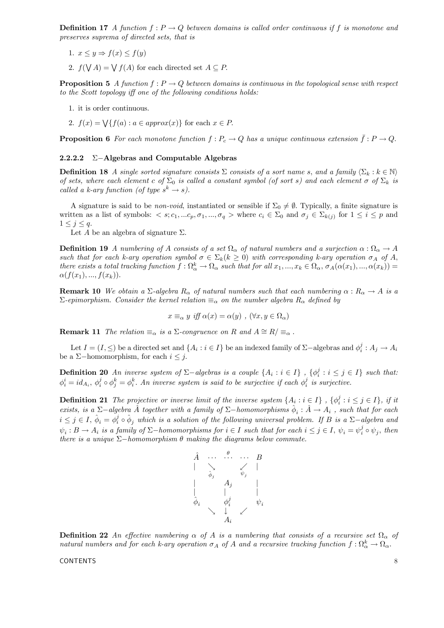**Definition 17** A function  $f: P \to Q$  between domains is called order continuous if f is monotone and preserves suprema of directed sets, that is

- 1.  $x \leq y \Rightarrow f(x) \leq f(y)$
- 2.  $f(\bigvee A) = \bigvee f(A)$  for each directed set  $A \subseteq P$ .

**Proposition 5** A function  $f : P \to Q$  between domains is continuous in the topological sense with respect to the Scott topology iff one of the following conditions holds:

- 1. it is order continuous.
- 2.  $f(x) = \bigvee \{f(a) : a \in approx(x)\}\$ for each  $x \in P$ .

**Proposition 6** For each monotone function  $f : P_c \to Q$  has a unique continuous extension  $\bar{f} : P \to Q$ .

#### 2.2.2.2 Σ−Algebras and Computable Algebras

**Definition 18** A single sorted signature consists  $\Sigma$  consists of a sort name s, and a family  $\langle \Sigma_k : k \in \mathbb{N} \rangle$ of sets, where each element c of  $\Sigma_0$  is called a constant symbol (of sort s) and each element  $\sigma$  of  $\Sigma_k$  is called a k-ary function (of type  $s^k \rightarrow s$ ).

A signature is said to be *non-void*, instantiated or sensible if  $\Sigma_0 \neq \emptyset$ . Typically, a finite signature is written as a list of symbols:  $\langle s; c_1, ...c_p, \sigma_1, ..., \sigma_q \rangle$  where  $c_i \in \Sigma_0$  and  $\sigma_j \in \Sigma_{k(j)}$  for  $1 \leq i \leq p$  and  $1 \leq j \leq q$ .

Let A be an algebra of signature  $\Sigma$ .

**Definition 19** A numbering of A consists of a set  $\Omega_{\alpha}$  of natural numbers and a surjection  $\alpha : \Omega_{\alpha} \to A$ such that for each k-ary operation symbol  $\sigma \in \Sigma_k(k \geq 0)$  with corresponding k-ary operation  $\sigma_A$  of A, there exists a total tracking function  $f : \Omega_{\alpha}^{k} \to \Omega_{\alpha}$  such that for all  $x_1, ..., x_k \in \Omega_{\alpha}$ ,  $\sigma_A(\alpha(x_1), ..., \alpha(x_k)) =$  $\alpha(f(x_1),...,f(x_k)).$ 

**Remark 10** We obtain a  $\Sigma$ -algebra  $R_{\alpha}$  of natural numbers such that each numbering  $\alpha : R_{\alpha} \to A$  is a  $\Sigma$ -epimorphism. Consider the kernel relation  $\equiv_{\alpha}$  on the number algebra  $R_{\alpha}$  defined by

$$
x \equiv_{\alpha} y \text{ iff } \alpha(x) = \alpha(y) , (\forall x, y \in \Omega_{\alpha})
$$

**Remark 11** The relation  $\equiv_{\alpha}$  is a  $\Sigma$ -congruence on R and  $A \cong R/\equiv_{\alpha}$ .

Let  $I = (I, \leq)$  be a directed set and  $\{A_i : i \in I\}$  be an indexed family of  $\Sigma$ −algebras and  $\phi_i^j : A_j \to A_i$ be a  $\Sigma$ -homomorphism, for each  $i \leq j$ .

**Definition 20** An inverse system of  $\Sigma$ -algebras is a couple  $\{A_i : i \in I\}$ ,  $\{\phi_i^j : i \leq j \in I\}$  such that:  $\phi_i^i = id_{A_i}, \ \phi_i^j \circ \phi_j^k = \phi_i^k$ . An inverse system is said to be surjective if each  $\phi_i^j$  is surjective.

**Definition 21** The projective or inverse limit of the inverse system  $\{A_i : i \in I\}$ ,  $\{\phi_i^j : i \leq j \in I\}$ , if it exists, is a  $\Sigma$ −algebra  $\hat{A}$  together with a family of  $\Sigma$ −homomorphisms  $\hat{\phi}_i : \hat{A} \to A_i$ , such that for each  $i \leq j \in I$ ,  $\hat{\phi}_i = \phi_i^j \circ \hat{\phi}_j$  which is a solution of the following universal problem. If B is a  $\Sigma$ -algebra and  $\psi_i : B \to A_i$  is a family of  $\Sigma$ -homomorphisms for  $i \in I$  such that for each  $i \leq j \in I$ ,  $\psi_i = \psi_i^j \circ \psi_j$ , then there is a unique  $\Sigma$ -homomorphism  $\theta$  making the diagrams below commute.



**Definition 22** An effective numbering  $\alpha$  of A is a numbering that consists of a recursive set  $\Omega_{\alpha}$  of natural numbers and for each k-ary operation  $\sigma_A$  of A and a recursive tracking function  $f : \Omega^k_{\alpha} \to \Omega_{\alpha}$ .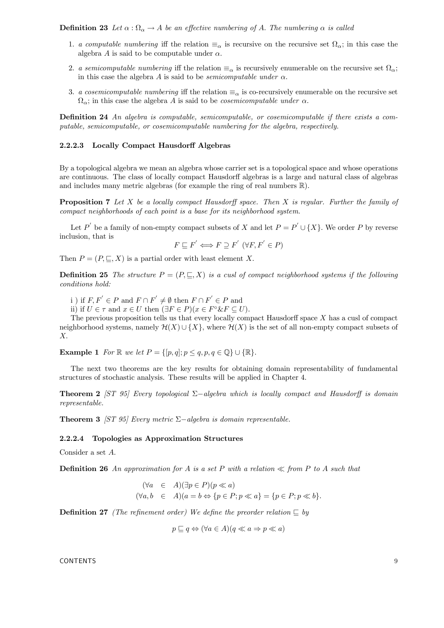**Definition 23** Let  $\alpha : \Omega_{\alpha} \to A$  be an effective numbering of A. The numbering  $\alpha$  is called

- 1. a computable numbering iff the relation  $\equiv_{\alpha}$  is recursive on the recursive set  $\Omega_{\alpha}$ ; in this case the algebra A is said to be computable under  $\alpha$ .
- 2. a semicomputable numbering iff the relation  $\equiv_{\alpha}$  is recursively enumerable on the recursive set  $\Omega_{\alpha}$ ; in this case the algebra A is said to be *semicomputable under*  $\alpha$ .
- 3. a cosemicomputable numbering iff the relation  $\equiv_{\alpha}$  is co-recursively enumerable on the recursive set  $\Omega_{\alpha}$ ; in this case the algebra A is said to be *cosemicomputable under*  $\alpha$ .

Definition 24 An algebra is computable, semicomputable, or cosemicomputable if there exists a computable, semicomputable, or cosemicomputable numbering for the algebra, respectively.

#### 2.2.2.3 Locally Compact Hausdorff Algebras

By a topological algebra we mean an algebra whose carrier set is a topological space and whose operations are continuous. The class of locally compact Hausdorff algebras is a large and natural class of algebras and includes many metric algebras (for example the ring of real numbers R).

**Proposition 7** Let  $X$  be a locally compact Hausdorff space. Then  $X$  is regular. Further the family of compact neighborhoods of each point is a base for its neighborhood system.

Let  $P'$  be a family of non-empty compact subsets of X and let  $P = P' \cup \{X\}$ . We order P by reverse inclusion, that is

$$
F \sqsubseteq F' \iff F \supseteq F' \ (\forall F, F' \in P)
$$

Then  $P = (P, \square, X)$  is a partial order with least element X.

**Definition 25** The structure  $P = (P, \subseteq, X)$  is a cusl of compact neighborhood systems if the following conditions hold:

i) if  $F, F' \in P$  and  $F \cap F' \neq \emptyset$  then  $F \cap F' \in P$  and

ii) if  $U \in \tau$  and  $x \in U$  then  $(\exists F \in P)(x \in F \circ \& F \subseteq U)$ .

The previous proposition tells us that every locally compact Hausdorff space  $X$  has a cusl of compact neighborhood systems, namely  $\mathcal{H}(X) \cup \{X\}$ , where  $\mathcal{H}(X)$  is the set of all non-empty compact subsets of X.

**Example 1** For  $\mathbb R$  we let  $P = \{ [p, q]; p \leq q, p, q \in \mathbb Q \} \cup \{ \mathbb R \}.$ 

The next two theorems are the key results for obtaining domain representability of fundamental structures of stochastic analysis. These results will be applied in Chapter 4.

**Theorem 2** [ST 95] Every topological  $\Sigma$ -algebra which is locally compact and Hausdorff is domain representable.

Theorem 3 [ST 95] Every metric  $\Sigma$ -algebra is domain representable.

#### 2.2.2.4 Topologies as Approximation Structures

Consider a set A.

**Definition 26** An approximation for A is a set P with a relation  $\ll$  from P to A such that

$$
(\forall a \in A)(\exists p \in P)(p \ll a)
$$
  

$$
(\forall a, b \in A)(a = b \Leftrightarrow \{p \in P; p \ll a\} = \{p \in P; p \ll b\}.
$$

**Definition 27** (The refinement order) We define the preorder relation  $\Box$  by

$$
p \sqsubseteq q \Leftrightarrow (\forall a \in A)(q \ll a \Rightarrow p \ll a)
$$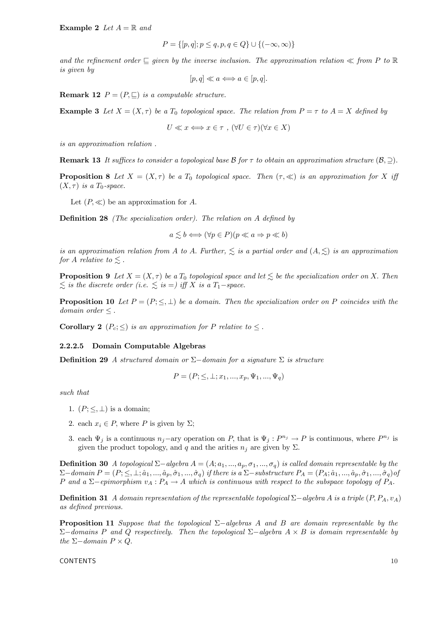$$
P = \{ [p, q]; p \le q, p, q \in Q \} \cup \{ (-\infty, \infty) \}
$$

and the refinement order  $\subseteq$  given by the inverse inclusion. The approximation relation  $\ll$  from P to R is given by

$$
[p,q] \ll a \Longleftrightarrow a \in [p,q].
$$

**Remark 12**  $P = (P, \sqsubseteq)$  is a computable structure.

**Example 3** Let  $X = (X, \tau)$  be a  $T_0$  topological space. The relation from  $P = \tau$  to  $A = X$  defined by

$$
U \ll x \Longleftrightarrow x \in \tau \ , \ (\forall U \in \tau)(\forall x \in X)
$$

is an approximation relation .

**Remark 13** It suffices to consider a topological base B for  $\tau$  to obtain an approximation structure  $(B, \supset)$ .

**Proposition 8** Let  $X = (X, \tau)$  be a  $T_0$  topological space. Then  $(\tau, \ll)$  is an approximation for X iff  $(X, \tau)$  is a  $T_0$ -space.

Let  $(P, \ll)$  be an approximation for A.

Definition 28 (The specialization order). The relation on A defined by

$$
a \lesssim b \Longleftrightarrow (\forall p \in P)(p \ll a \Rightarrow p \ll b)
$$

is an approximation relation from A to A. Further,  $\leq$  is a partial order and  $(A, \leq)$  is an approximation for A relative to  $\leq$ .

**Proposition 9** Let  $X = (X, \tau)$  be a  $T_0$  topological space and let  $\leq$  be the specialization order on X. Then  $\lesssim$  is the discrete order (i.e.  $\lesssim$  is =) iff X is a T<sub>1</sub>-space.

**Proposition 10** Let  $P = (P; \leq, \perp)$  be a domain. Then the specialization order on P coincides with the domain order ≤.

**Corollary 2** ( $P_c$ ;  $\leq$ ) is an approximation for P relative to  $\leq$ .

## 2.2.2.5 Domain Computable Algebras

Definition 29 A structured domain or  $\Sigma$ −domain for a signature  $\Sigma$  is structure

$$
P = (P; \leq, \perp; x_1, ..., x_p, \Psi_1, ..., \Psi_q)
$$

such that

- 1.  $(P; \leq, \perp)$  is a domain;
- 2. each  $x_i \in P$ , where P is given by  $\Sigma$ ;
- 3. each  $\Psi_j$  is a continuous  $n_j$ −ary operation on P, that is  $\Psi_j : P^{n_j} \to P$  is continuous, where  $P^{n_j}$  is given the product topology, and q and the arities  $n_j$  are given by  $\Sigma$ .

**Definition 30** A topological  $\Sigma$ −algebra  $A = (A; a_1, ..., a_p, \sigma_1, ..., \sigma_q)$  is called domain representable by the  $\Sigma$ −domain  $P = (P; \leq, \perp; \hat{a}_1, ..., \hat{a}_p, \hat{\sigma}_1, ..., \hat{\sigma}_q)$  if there is a  $\Sigma$ −substructure  $P_A = (P_A; \hat{a}_1, ..., \hat{a}_p, \hat{\sigma}_1, ..., \hat{\sigma}_q)$  of P and a  $\Sigma$ −epimorphism  $v_A : P_A \to A$  which is continuous with respect to the subspace topology of  $P_A$ .

Definition 31 A domain representation of the representable topological  $\Sigma$ −algebra A is a triple  $(P, P_A, v_A)$ as defined previous.

**Proposition 11** Suppose that the topological  $\Sigma$ −algebras A and B are domain representable by the  $\Sigma$ −domains P and Q respectively. Then the topological  $\Sigma$ −algebra  $A \times B$  is domain representable by the  $\Sigma$ -domain  $P \times Q$ .

#### $\sim$  CONTENTS  $\sim$  10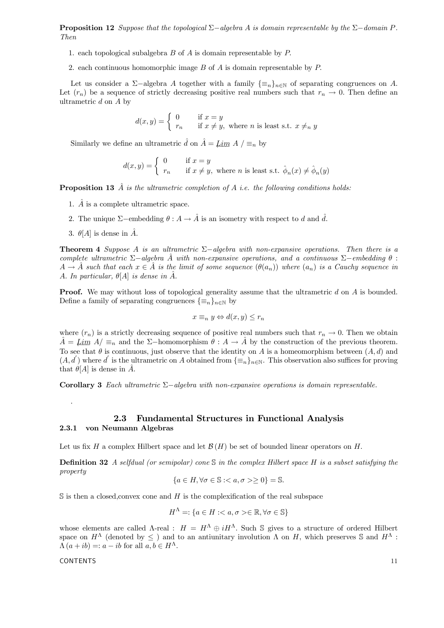**Proposition 12** Suppose that the topological  $\Sigma$ −algebra A is domain representable by the  $\Sigma$ −domain P. Then

- 1. each topological subalgebra  $B$  of  $A$  is domain representable by  $P$ .
- 2. each continuous homomorphic image B of A is domain representable by P.

Let us consider a  $\Sigma$ -algebra A together with a family  $\{\equiv_n\}_{n\in\mathbb{N}}$  of separating congruences on A. Let  $(r_n)$  be a sequence of strictly decreasing positive real numbers such that  $r_n \to 0$ . Then define an ultrametric d on A by

$$
d(x,y) = \begin{cases} 0 & \text{if } x = y \\ r_n & \text{if } x \neq y, \text{ where } n \text{ is least s.t. } x \neq_n y \end{cases}
$$

Similarly we define an ultrametric  $\hat{d}$  on  $\hat{A} = \underline{Lim} A / \equiv_n$  by

$$
d(x,y) = \begin{cases} 0 & \text{if } x = y \\ r_n & \text{if } x \neq y, \text{ where } n \text{ is least s.t. } \hat{\phi}_n(x) \neq \hat{\phi}_n(y) \end{cases}
$$

**Proposition 13**  $\hat{A}$  is the ultrametric completion of  $A$  i.e. the following conditions holds:

- 1.  $\hat{A}$  is a complete ultrametric space.
- 2. The unique  $\Sigma$ –embedding  $\theta : A \to \hat{A}$  is an isometry with respect to d and  $\hat{d}$ .
- 3.  $\theta[A]$  is dense in  $\tilde{A}$ .

**Theorem 4** Suppose A is an ultrametric  $\Sigma$ -algebra with non-expansive operations. Then there is a complete ultrametric  $\Sigma$ −algebra  $\hat{A}$  with non-expansive operations, and a continuous  $\Sigma$ −embedding  $\theta$ :  $A \to \hat{A}$  such that each  $x \in \hat{A}$  is the limit of some sequence  $(\theta(a_n))$  where  $(a_n)$  is a Cauchy sequence in A. In particular,  $\theta[A]$  is dense in  $\hat{A}$ .

**Proof.** We may without loss of topological generality assume that the ultrametric d on A is bounded. Define a family of separating congruences  $\{\equiv_n\}_{n\in\mathbb{N}}$  by

$$
x \equiv_n y \Leftrightarrow d(x, y) \le r_n
$$

where  $(r_n)$  is a strictly decreasing sequence of positive real numbers such that  $r_n \to 0$ . Then we obtain  $A = \underline{\text{Lim }}A/\equiv_n$  and the  $\Sigma$ –homomorphism  $\theta : A \to A$  by the construction of the previous theorem. To see that  $\theta$  is continuous, just observe that the identity on A is a homeomorphism between  $(A, d)$  and  $(A, d)$  where d is the ultrametric on A obtained from  $\{\equiv_n\}_{n\in\mathbb{N}}$ . This observation also suffices for proving that  $\theta[A]$  is dense in A.

Corollary 3 Each ultrametric  $\Sigma$ -algebra with non-expansive operations is domain representable.

### 2.3 Fundamental Structures in Functional Analysis 2.3.1 von Neumann Algebras

Let us fix H a complex Hilbert space and let  $\mathcal{B}(H)$  be set of bounded linear operators on H.

**Definition 32** A selfdual (or semipolar) cone  $\mathbb S$  in the complex Hilbert space H is a subset satisfying the property

$$
\{a \in H, \forall \sigma \in \mathbb{S} : \langle a, \sigma \rangle \ge 0\} = \mathbb{S}.
$$

 $\mathcal S$  is then a closed, convex cone and H is the complexification of the real subspace

$$
H^{\Lambda} =: \{ a \in H : \langle a, \sigma \rangle \in \mathbb{R}, \forall \sigma \in \mathbb{S} \}
$$

whose elements are called  $\Lambda$ -real :  $H = H^{\Lambda} \oplus iH^{\Lambda}$ . Such S gives to a structure of ordered Hilbert space on  $H^{\Lambda}$  (denoted by  $\leq$  ) and to an antiunitary involution  $\Lambda$  on H, which preserves S and  $H^{\Lambda}$ :  $\Lambda(a + ib) =: a - ib$  for all  $a, b \in H^{\Lambda}$ .

CONTENTS 11

.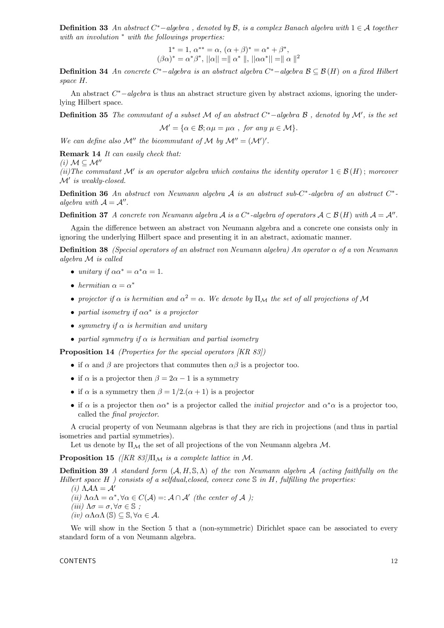**Definition 33** An abstract  $C^*$ −algebra, denoted by  $\mathcal{B}$ , is a complex Banach algebra with  $1 \in \mathcal{A}$  together with an involution  $*$  with the followings properties:

$$
1^* = 1, \ \alpha^{**} = \alpha, \ (\alpha + \beta)^* = \alpha^* + \beta^*,
$$

$$
(\beta \alpha)^* = \alpha^* \beta^*, \ ||\alpha|| = ||\ \alpha^*||, \ ||\alpha \alpha^*|| = ||\ \alpha ||^2
$$

**Definition 34** An concrete C<sup>∗</sup>−algebra is an abstract algebra  $C^*$ −algebra  $B \subseteq B(H)$  on a fixed Hilbert space H.

An abstract  $C^*$ −algebra is thus an abstract structure given by abstract axioms, ignoring the underlying Hilbert space.

**Definition 35** The commutant of a subset M of an abstract  $C^*$ –algebra B, denoted by M', is the set

$$
\mathcal{M}' = \{ \alpha \in \mathcal{B}; \alpha \mu = \mu \alpha \ , \ for \ any \ \mu \in \mathcal{M} \}.
$$

We can define also M'' the bicommutant of M by  $M'' = (M')'.$ 

Remark 14 It can easily check that:

(i)  $M \subseteq M''$ 

(ii)The commutant  $\mathcal{M}'$  is an operator algebra which contains the identity operator  $1 \in \mathcal{B}(H)$ ; moreover  $\mathcal{M}'$  is weakly-closed.

Definition 36 An abstract von Neumann algebra A is an abstract sub-C∗-algebra of an abstract C∗ algebra with  $A = A''$ .

**Definition 37** A concrete von Neumann algebra A is a C<sup>∗</sup>-algebra of operators  $A \subset \mathcal{B}(H)$  with  $A = \mathcal{A}$ ".

Again the difference between an abstract von Neumann algebra and a concrete one consists only in ignoring the underlying Hilbert space and presenting it in an abstract, axiomatic manner.

**Definition 38** (Special operators of an abstract von Neumann algebra) An operator  $\alpha$  of a von Neumann algebra M is called

- unitary if  $\alpha \alpha^* = \alpha^* \alpha = 1$ .
- hermitian  $\alpha = \alpha^*$
- projector if  $\alpha$  is hermitian and  $\alpha^2 = \alpha$ . We denote by  $\Pi_{\mathcal{M}}$  the set of all projections of M
- partial isometry if  $\alpha \alpha^*$  is a projector
- symmetry if  $\alpha$  is hermitian and unitary
- partial symmetry if  $\alpha$  is hermitian and partial isometry

Proposition 14 (Properties for the special operators [KR 83])

- if  $\alpha$  and  $\beta$  are projectors that commutes then  $\alpha\beta$  is a projector too.
- if  $\alpha$  is a projector then  $\beta = 2\alpha 1$  is a symmetry
- if  $\alpha$  is a symmetry then  $\beta = 1/2.(\alpha + 1)$  is a projector
- if  $\alpha$  is a projector then  $\alpha \alpha^*$  is a projector called the *initial projector* and  $\alpha^* \alpha$  is a projector too, called the final projector.

A crucial property of von Neumann algebras is that they are rich in projections (and thus in partial isometries and partial symmetries).

Let us denote by  $\Pi_M$  the set of all projections of the von Neumann algebra M.

**Proposition 15** ([KR 83]) $\Pi_M$  is a complete lattice in M.

**Definition 39** A standard form  $(A, H, \mathbb{S}, \Lambda)$  of the von Neumann algebra A (acting faithfully on the Hilbert space  $H$  ) consists of a selfdual, closed, convex cone  $S$  in  $H$ , fulfilling the properties:

(i)  $\Lambda A\Lambda = A'$ 

- (ii)  $\Lambda \alpha \Lambda = \alpha^*$ ,  $\forall \alpha \in C(\mathcal{A}) =: \mathcal{A} \cap \mathcal{A}'$  (the center of  $\mathcal{A}$ );
- (iii)  $\Lambda \sigma = \sigma, \forall \sigma \in \mathbb{S}$ :
- (iv)  $\alpha \Lambda \alpha \Lambda$  (S)  $\subseteq$  S,  $\forall \alpha \in \mathcal{A}$ .

We will show in the Section 5 that a (non-symmetric) Dirichlet space can be associated to every standard form of a von Neumann algebra.

 $CONTENTS$  and  $12$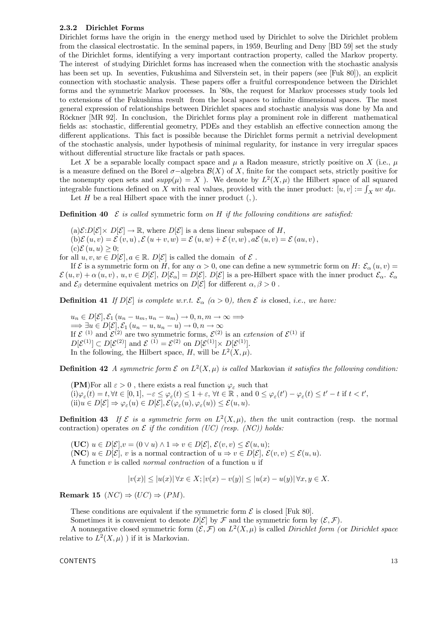### 2.3.2 Dirichlet Forms

Dirichlet forms have the origin in the energy method used by Dirichlet to solve the Dirichlet problem from the classical electrostatic. In the seminal papers, in 1959, Beurling and Deny [BD 59] set the study of the Dirichlet forms, identifying a very important contraction property, called the Markov property. The interest of studying Dirichlet forms has increased when the connection with the stochastic analysis has been set up. In seventies, Fukushima and Silverstein set, in their papers (see [Fuk 80]), an explicit connection with stochastic analysis. These papers offer a fruitful correspondence between the Dirichlet forms and the symmetric Markov processes. In '80s, the request for Markov processes study tools led to extensions of the Fukushima result from the local spaces to infinite dimensional spaces. The most general expression of relationships between Dirichlet spaces and stochastic analysis was done by Ma and Rŏckner [MR 92]. In conclusion, the Dirichlet forms play a prominent role in different mathematical fields as: stochastic, differential geometry, PDEs and they establish an effective connection among the different applications. This fact is possible because the Dirichlet forms permit a netrivial development of the stochastic analysis, under hypothesis of minimal regularity, for instance in very irregular spaces without differential structure like fractals or path spaces.

Let X be a separable locally compact space and  $\mu$  a Radon measure, strictly positive on X (i.e.,  $\mu$ is a measure defined on the Borel  $\sigma$ –algebra  $\mathcal{B}(X)$  of X, finite for the compact sets, strictly positive for the nonempty open sets and  $supp(\mu) = X$ ). We denote by  $L^2(X, \mu)$  the Hilbert space of all squared integrable functions defined on X with real values, provided with the inner product:  $[u, v] := \int_X uv \, d\mu$ .

Let  $H$  be a real Hilbert space with the inner product  $($ ,  $).$ 

**Definition 40** E is called symmetric form on H if the following conditions are satisfied:

 $(a)\mathcal{E}:D[\mathcal{E}]\times D[\mathcal{E}]\to\mathbb{R}$ , where  $D[\mathcal{E}]$  is a dens linear subspace of H, (b)  $\mathcal{E}(u, v) = \mathcal{E}(v, u), \mathcal{E}(u + v, w) = \mathcal{E}(u, w) + \mathcal{E}(v, w), a\mathcal{E}(u, v) = \mathcal{E}(au, v),$  $(c)\mathcal{E}(u, u) \geq 0;$ 

for all  $u, v, w \in D[\mathcal{E}], a \in \mathbb{R}$ .  $D[\mathcal{E}]$  is called the domain of  $\mathcal E$ .

If  $\mathcal E$  is a symmetric form on H, for any  $\alpha > 0$ , one can define a new symmetric form on H:  $\mathcal E_\alpha(u, v)$  =  $\mathcal{E}(u, v) + \alpha(u, v), u, v \in D[\mathcal{E}], D[\mathcal{E}] = D[\mathcal{E}].$   $D[\mathcal{E}]$  is a pre-Hilbert space with the inner product  $\mathcal{E}_{\alpha}$ .  $\mathcal{E}_{\alpha}$ and  $\mathcal{E}_{\beta}$  determine equivalent metrics on  $D[\mathcal{E}]$  for different  $\alpha, \beta > 0$ .

**Definition 41** If  $D[\mathcal{E}]$  is complete w.r.t.  $\mathcal{E}_{\alpha}$  ( $\alpha > 0$ ), then  $\mathcal{E}$  is closed, i.e., we have:

 $u_n \in D[\mathcal{E}], \mathcal{E}_1(u_n - u_m, u_n - u_m) \to 0, n, m \to \infty \Longrightarrow$  $\Rightarrow \exists u \in D[\mathcal{E}], \mathcal{E}_1(u_n - u, u_n - u) \rightarrow 0, n \rightarrow \infty$ If  $\mathcal{E}^{(1)}$  and  $\mathcal{E}^{(2)}$  are two symmetric forms,  $\mathcal{E}^{(2)}$  is an extension of  $\mathcal{E}^{(1)}$  if  $D[\mathcal{E}^{(1)}] \subset D[\mathcal{E}^{(2)}]$  and  $\mathcal{E}^{(1)} = \mathcal{E}^{(2)}$  on  $D[\mathcal{E}^{(1)}] \times D[\mathcal{E}^{(1)}].$ In the following, the Hilbert space, H, will be  $L^2(X,\mu)$ .

**Definition 42** A symmetric form  $\mathcal{E}$  on  $L^2(X,\mu)$  is called Markovian it satisfies the following condition:

(PM)For all  $\varepsilon > 0$ , there exists a real function  $\varphi_{\varepsilon}$  such that  $(i)\varphi_{\varepsilon}(t) = t, \forall t \in [0,1], -\varepsilon \leq \varphi_{\varepsilon}(t) \leq 1 + \varepsilon, \forall t \in \mathbb{R}$ , and  $0 \leq \varphi_{\varepsilon}(t') - \varphi_{\varepsilon}(t) \leq t' - t$  if  $t < t'$ ,  $(iii)u \in D[\mathcal{E}] \Rightarrow \varphi_{\varepsilon}(u) \in D[\mathcal{E}], \mathcal{E}(\varphi_{\varepsilon}(u), \varphi_{\varepsilon}(u)) \leq \mathcal{E}(u, u).$ 

**Definition 43** If  $\mathcal{E}$  is a symmetric form on  $L^2(X,\mu)$ , then the unit contraction (resp. the normal contraction) operates on  $\mathcal E$  if the condition (UC) (resp. (NC)) holds:

 $(\mathbf{UC}) \ u \in D[\mathcal{E}], v = (0 \vee u) \wedge 1 \Rightarrow v \in D[\mathcal{E}], \ \mathcal{E}(v, v) \leq \mathcal{E}(u, u);$ (NC)  $u \in D[\mathcal{E}], v$  is a normal contraction of  $u \Rightarrow v \in D[\mathcal{E}], \mathcal{E}(v, v) \leq \mathcal{E}(u, u)$ . A function  $v$  is called *normal contraction* of a function  $u$  if

$$
|v(x)| \le |u(x)| \,\forall x \in X; |v(x) - v(y)| \le |u(x) - u(y)| \,\forall x, y \in X.
$$

Remark 15  $(NC) \Rightarrow (UC) \Rightarrow (PM)$ .

These conditions are equivalent if the symmetric form  $\mathcal E$  is closed [Fuk 80].

Sometimes it is convenient to denote  $D[\mathcal{E}]$  by  $\mathcal F$  and the symmetric form by  $(\mathcal{E}, \mathcal{F})$ .

A nonnegative closed symmetric form  $(\mathcal{E}, \mathcal{F})$  on  $L^2(X, \mu)$  is called Dirichlet form (or Dirichlet space relative to  $L^2(X,\mu)$  ) if it is Markovian.

 $\blacksquare$   $\blacksquare$   $\blacksquare$   $\blacksquare$   $\blacksquare$   $\blacksquare$   $\blacksquare$   $\blacksquare$   $\blacksquare$   $\blacksquare$   $\blacksquare$   $\blacksquare$   $\blacksquare$   $\blacksquare$   $\blacksquare$   $\blacksquare$   $\blacksquare$   $\blacksquare$   $\blacksquare$   $\blacksquare$   $\blacksquare$   $\blacksquare$   $\blacksquare$   $\blacksquare$   $\blacksquare$   $\blacksquare$   $\blacksquare$   $\blacksquare$   $\blacksquare$   $\blacksquare$   $\blacksquare$   $\blacks$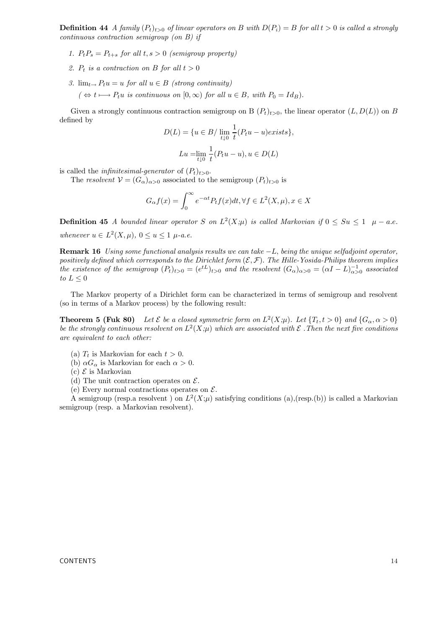**Definition 44** A family  $(P_t)_{t>0}$  of linear operators on B with  $D(P_i) = B$  for all  $t > 0$  is called a strongly continuous contraction semigroup (on B) if

- 1.  $P_tP_s = P_{t+s}$  for all  $t, s > 0$  (semigroup property)
- 2.  $P_t$  is a contraction on B for all  $t > 0$
- 3.  $\lim_{t\to} P_t u = u$  for all  $u \in B$  (strong continuity)  $(\Leftrightarrow t \longmapsto P_t u$  is continuous on  $[0, \infty)$  for all  $u \in B$ , with  $P_0 = Id_B$ ).

Given a strongly continuous contraction semigroup on B  $(P_t)_{t>0}$ , the linear operator  $(L, D(L))$  on B defined by

$$
D(L) = \{u \in B/\lim_{t \downarrow 0} \frac{1}{t}(P_t u - u) \text{exists}\},
$$
  

$$
Lu = \lim_{t \downarrow 0} \frac{1}{t}(P_t u - u), u \in D(L)
$$

is called the *infinitesimal-generator* of  $(P_t)_{t>0}$ .

The resolvent  $V = (G_{\alpha})_{\alpha > 0}$  associated to the semigroup  $(P_t)_{t>0}$  is

$$
G_{\alpha}f(x) = \int_0^{\infty} e^{-\alpha t} P_t f(x) dt, \forall f \in L^2(X, \mu), x \in X
$$

**Definition 45** A bounded linear operator S on  $L^2(X;\mu)$  is called Markovian if  $0 \leq Su \leq 1$   $\mu - a.e.$ whenever  $u \in L^2(X,\mu)$ ,  $0 \le u \le 1$   $\mu$ -a.e.

Remark 16 Using some functional analysis results we can take -L, being the unique selfadjoint operator, positively defined which corresponds to the Dirichlet form  $(\mathcal{E}, \mathcal{F})$ . The Hille-Yosida-Philips theorem implies the existence of the semigroup  $(P_t)_{t>0} = (e^{tL})_{t>0}$  and the resolvent  $(G_\alpha)_{\alpha>0} = (\alpha I - L)_{\alpha>0}^{-1}$  associated to  $L \leq 0$ 

The Markov property of a Dirichlet form can be characterized in terms of semigroup and resolvent (so in terms of a Markov process) by the following result:

**Theorem 5 (Fuk 80)** Let  $\mathcal{E}$  be a closed symmetric form on  $L^2(X;\mu)$ . Let  $\{T_t,t>0\}$  and  $\{G_\alpha,\alpha>0\}$ be the strongly continuous resolvent on  $L^2(X;\mu)$  which are associated with  $\mathcal E$ . Then the next five conditions are equivalent to each other:

- (a)  $T_t$  is Markovian for each  $t > 0$ .
- (b)  $\alpha G_{\alpha}$  is Markovian for each  $\alpha > 0$ .
- (c)  $\mathcal E$  is Markovian
- (d) The unit contraction operates on  $\mathcal{E}$ .

(e) Every normal contractions operates on  $\mathcal{E}$ .

A semigroup (resp.a resolvent) on  $L^2(X;\mu)$  satisfying conditions (a),(resp.(b)) is called a Markovian semigroup (resp. a Markovian resolvent).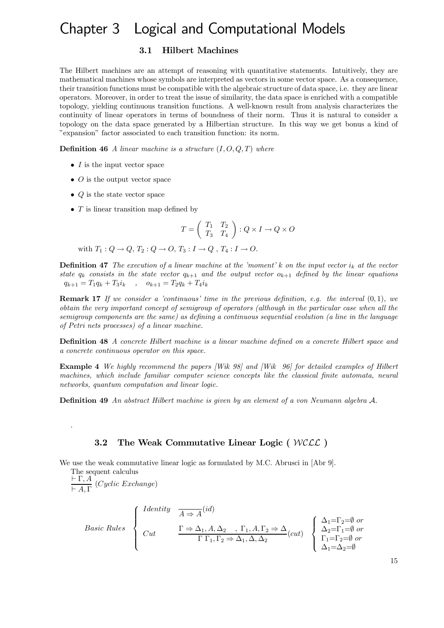## Chapter 3 Logical and Computational Models

## 3.1 Hilbert Machines

The Hilbert machines are an attempt of reasoning with quantitative statements. Intuitively, they are mathematical machines whose symbols are interpreted as vectors in some vector space. As a consequence, their transition functions must be compatible with the algebraic structure of data space, i.e. they are linear operators. Moreover, in order to treat the issue of similarity, the data space is enriched with a compatible topology, yielding continuous transition functions. A well-known result from analysis characterizes the continuity of linear operators in terms of boundness of their norm. Thus it is natural to consider a topology on the data space generated by a Hilbertian structure. In this way we get bonus a kind of "expansion" factor associated to each transition function: its norm.

**Definition 46** A linear machine is a structure  $(I, O, Q, T)$  where

- $I$  is the input vector space
- $\overline{O}$  is the output vector space
- Q is the state vector space
- $T$  is linear transition map defined by

$$
T=\left(\begin{array}{cc}T_1&T_2\\T_3&T_4\end{array}\right):Q\times I\to Q\times O
$$

with  $T_1: Q \to Q, T_2: Q \to O, T_3: I \to Q, T_4: I \to O.$ 

**Definition 47** The execution of a linear machine at the 'moment' k on the input vector  $i_k$  at the vector state  $q_k$  consists in the state vector  $q_{k+1}$  and the output vector  $o_{k+1}$  defined by the linear equations  $q_{k+1} = T_1q_k + T_3i_k$ ,  $o_{k+1} = T_2q_k + T_4i_k$ 

**Remark 17** If we consider a 'continuous' time in the previous definition, e.g. the interval  $(0, 1)$ , we obtain the very important concept of semigroup of operators (although in the particular case when all the semigroup components are the same) as defining a continuous sequential evolution (a line in the language of Petri nets processes) of a linear machine.

Definition 48 A concrete Hilbert machine is a linear machine defined on a concrete Hilbert space and a concrete continuous operator on this space.

Example 4 We highly recommend the papers *[Wik 98]* and *[Wik 96]* for detailed examples of Hilbert machines, which include familiar computer science concepts like the classical finite automata, neural networks, quantum computation and linear logic.

Definition 49 An abstract Hilbert machine is given by an element of a von Neumann algebra A.

## 3.2 The Weak Commutative Linear Logic (*WCLL*)

We use the weak commutative linear logic as formulated by M.C. Abrusci in [Abr 9]. The sequent calculus

 $\frac{\vdash \Gamma, A}{\vdash A, \Gamma}$  (Cyclic Exchange)

.

$$
Basic\ Rules\begin{cases} \begin{array}{cc} \text{Identity} & \overline{A \Rightarrow A}(\text{id}) \\ \\ \text{Cut} & \frac{\Gamma \Rightarrow \Delta_1, A, \Delta_2}{\Gamma \Gamma_1, \Gamma_2 \Rightarrow \Delta_1, \Delta, \Delta_2} \end{array} \begin{array}{c} \\ \Gamma_1, A, \Gamma_2 \Rightarrow \Delta_2 \\ \text{curl} \end{array} \end{cases} \begin{cases} \Delta_1 = \Gamma_2 = \emptyset \text{ or } \\ \Delta_2 = \Gamma_1 = \emptyset \text{ or } \\ \Gamma_1 = \Gamma_2 = \emptyset \text{ or } \\ \Delta_1 = \Delta_2 = \emptyset \end{cases}
$$

15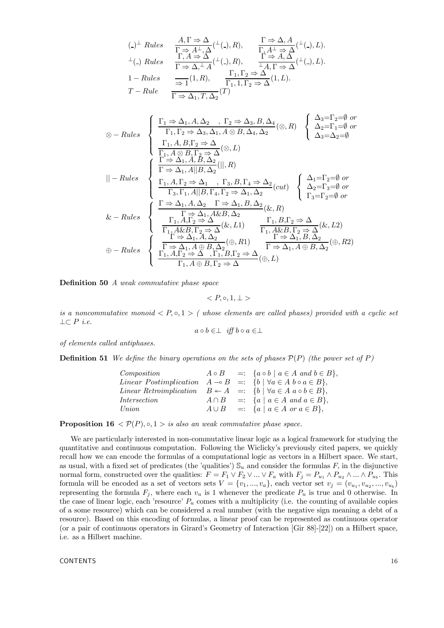$$
\begin{array}{ll}\n\text{(-)}$\perp$ Rules & \frac{A,\Gamma\Rightarrow\Delta}{\Gamma\Rightarrow A^{\perp},\Delta}(\perp\text{(-)},R), \qquad \frac{\Gamma\Rightarrow\Delta,A}{\Gamma,A^{\perp}\Rightarrow\Delta}(\perp\text{(-)},L).\n\end{array}
$$
\n
$$
\begin{array}{ll}\n\text{(-)} Rules & \frac{\Gamma,A\Rightarrow\Delta}{\Gamma,A\Rightarrow\Delta}(\perp\text{(-)},R), \qquad \frac{\Gamma\Rightarrow A,\Delta}{\perp A,\Gamma\Rightarrow\Delta}(\perp\text{(-)},L).\n\end{array}
$$
\n
$$
\begin{array}{ll}\n1-Rules & \frac{\Gamma_1,\Gamma_2\Rightarrow\Delta}{\Gamma_1,\Gamma_1,\Gamma_2\Rightarrow\Delta}(\Gamma,L).\n\end{array}
$$
\n
$$
T-Rule & \frac{\Gamma_1,\Gamma_2\Rightarrow\Delta}{\Gamma\Rightarrow\Delta_1,T,\Delta_2}(T)\n\end{array}
$$

$$
\otimes - Rules \quad \left\{ \begin{array}{l} \Gamma_1 \Rightarrow \Delta_1, A, \Delta_2 \quad , \Gamma_2 \Rightarrow \Delta_3, B, \Delta_4 \\ \hline \Gamma_1, \Gamma_2 \Rightarrow \Delta_3, \Delta_1, A \otimes B, \Delta_4, \Delta_2 \end{array} \right. \left\{ \begin{array}{l} \Delta_3 = \Gamma_2 = \emptyset \ or \\ \Delta_2 = \Gamma_1 = \emptyset \ or \\ \Delta_3 = \Delta_2 = \emptyset \end{array} \right.
$$
\n
$$
\left\{ \begin{array}{l} \Gamma_1, A, B, \Gamma_2 \Rightarrow \Delta \\ \hline \Gamma_1, A \otimes B, \Gamma_2 \Rightarrow \Delta \\ \hline \Gamma_2, A \otimes B, \Delta_2 \end{array} \right. \left\{ \begin{array}{l} \Delta_3 = \Gamma_2 = \emptyset \ or \\ \Delta_3 = \Delta_2 = \emptyset \end{array} \right.
$$
\n
$$
\left\{ \begin{array}{l} \Gamma \Rightarrow \Delta_1, A, B, \Delta_2 \\ \hline \Gamma \Rightarrow \Delta_1, A, B, \Delta_2 \end{array} \right. \left\{ \begin{array}{l} \Delta_1 = \Gamma_2 = \emptyset \ or \\ \Delta_2 = \Gamma_3 = \emptyset \ or \\ \Gamma_3 = \Gamma_2 = \emptyset \ or \end{array} \right.
$$
\n
$$
\& - Rules \quad \left\{ \begin{array}{l} \Gamma \Rightarrow \Delta_1, A, \Delta_2 \quad \Gamma \Rightarrow \Delta_1, B, \Delta_2 \\ \hline \Gamma_3, \Gamma_1, A || B, \Gamma_4, \Gamma_2 \Rightarrow \Delta_1, \Delta_2 \end{array} \right. \left\{ \begin{array}{l} \Delta_1 = \Gamma_2 = \emptyset \ or \\ \Delta_2 = \Gamma_3 = \emptyset \ or \\ \Gamma_3 = \Gamma_2 = \emptyset \ or \\ \Gamma_3 = \Gamma_2 = \emptyset \ or \end{array} \right.
$$
\n
$$
\& - Rules \quad \left\{ \begin{array}{l} \Gamma \Rightarrow \Delta_1, A, \Delta_2 \quad \Gamma \Rightarrow \Delta_1, B, \Delta_2 \\ \hline \Gamma_1, A, \Gamma_2 \Rightarrow \Delta \end{array} \right. \left\{ \begin{array}{l} \Delta_1 = \Gamma_2 = \emptyset \ or \\ \Delta_2 = \Gamma_3 = \emptyset \ or \\ \Gamma_3 = \Gamma_2 = \empty
$$

Definition 50 A weak commutative phase space

$$

$$

is a noncommutative monoid  $\langle P, \circ, 1 \rangle$  (whose elements are called phases) provided with a cyclic set  $⊥ ⊂ P$  *i.e.* 

$$
a \circ b \in \perp \text{ iff } b \circ a \in \perp
$$

of elements called antiphases.

**Definition 51** We define the binary operations on the sets of phases  $\mathcal{P}(P)$  (the power set of P)

| Composition                                                                                       |  | $A \circ B =: \{a \circ b \mid a \in A \text{ and } b \in B\},\$ |
|---------------------------------------------------------------------------------------------------|--|------------------------------------------------------------------|
| <i>Linear Postimplication</i> $A \rightarrow B =: \{b \mid \forall a \in A \ b \circ a \in B\},\$ |  |                                                                  |
| <i>Linear Retroimplication</i> $B \leftarrow A =: \{b \mid \forall a \in A \ a \circ b \in B\},\$ |  |                                                                  |
| Intersection                                                                                      |  | $A \cap B =: \{a \mid a \in A \text{ and } a \in B\},\$          |
| Union                                                                                             |  | $A \cup B =: \{a \mid a \in A \text{ or } a \in B\},\$           |
|                                                                                                   |  |                                                                  |

**Proposition 16** <  $\mathcal{P}(P)$ ,  $\circ$ , 1 > *is also an weak commutative phase space.* 

We are particularly interested in non-commutative linear logic as a logical framework for studying the quantitative and continuous computation. Following the Wiclicky's previously cited papers, we quickly recall how we can encode the formulas of a computational logic as vectors in a Hilbert space. We start, as usual, with a fixed set of predicates (the 'qualities')  $\mathbb{S}_u$  and consider the formulas F, in the disjunctive normal form, constructed over the qualities:  $F = F_1 \vee F_2 \vee \dots \vee F_a$  with  $F_j = P_{u_1} \wedge P_{u_2} \wedge \dots \wedge P_{u_b}$ . This formula will be encoded as a set of vectors sets  $V = \{v_1, ..., v_a\}$ , each vector set  $v_j = (v_{u_1}, v_{u_2}, ..., v_{u_b})$ representing the formula  $F_j$ , where each  $v_u$  is 1 whenever the predicate  $P_u$  is true and 0 otherwise. In the case of linear logic, each 'resource'  $P_u$  comes with a multiplicity (i.e. the counting of available copies of a some resource) which can be considered a real number (with the negative sign meaning a debt of a resource). Based on this encoding of formulas, a linear proof can be represented as continuous operator (or a pair of continuous operators in Girard's Geometry of Interaction [Gir 88]-[22]) on a Hilbert space, i.e. as a Hilbert machine.

 $\blacksquare$ CONTENTS  $\blacksquare$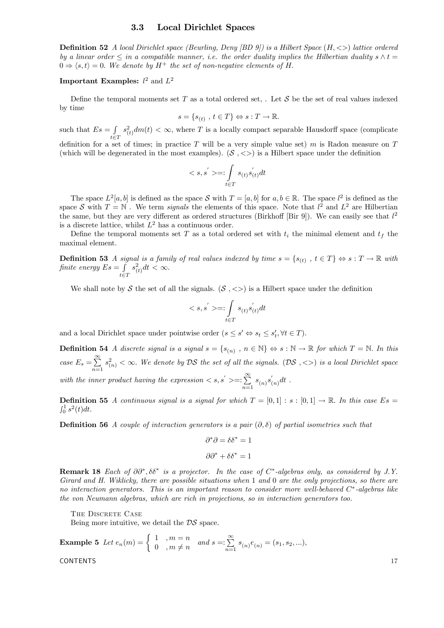### 3.3 Local Dirichlet Spaces

**Definition 52** A local Dirichlet space (Beurling, Deny [BD 9]) is a Hilbert Space  $(H, \langle >)$  lattice ordered by a linear order  $\leq$  in a compatible manner, i.e. the order duality implies the Hilbertian duality s  $\wedge t =$  $0 \Rightarrow \langle s, t \rangle = 0$ . We denote by  $H^+$  the set of non-negative elements of H.

## Important Examples:  $l^2$  and  $L^2$

Define the temporal moments set T as a total ordered set, . Let S be the set of real values indexed by time

$$
s = \{s_{(t)} , t \in T\} \Leftrightarrow s : T \to \mathbb{R}.
$$

such that  $Es = \int$  $t \in T$  $s^2_{(t)}dm(t) < \infty$ , where T is a locally compact separable Hausdorff space (complicate definition for a set of times; in practice  $T$  will be a very simple value set)  $m$  is Radon measure on  $T$ 

(which will be degenerated in the most examples).  $(S, \leq)$  is a Hilbert space under the definition

$$
=:\int\limits_{t\in T}s_{(t)}s^{'}_{(t)}dt
$$

The space  $L^2[a, b]$  is defined as the space S with  $T = [a, b]$  for  $a, b \in \mathbb{R}$ . The space  $l^2$  is defined as the space S with  $T = \mathbb{N}$ . We term signals the elements of this space. Note that  $l^2$  and  $L^2$  are Hilbertian the same, but they are very different as ordered structures (Birkhoff [Bir 9]). We can easily see that  $l^2$ is a discrete lattice, whilst  $L^2$  has a continuous order.

Define the temporal moments set T as a total ordered set with  $t_i$  the minimal element and  $t_f$  the maximal element.

**Definition 53** A signal is a family of real values indexed by time  $s = \{s_{(t)} , t \in T\} \Leftrightarrow s : T \to \mathbb{R}$  with finite energy  $Es = \int$  $t \in T$  $s_{(t)}^2 dt < \infty.$ 

We shall note by S the set of all the signals.  $(S, \langle > \rangle)$  is a Hilbert space under the definition

$$
=:\int\limits_{t\in T}s_{(t)}s^{'}_{(t)}dt
$$

and a local Dirichlet space under pointwise order  $(s \leq s' \Leftrightarrow s_t \leq s'_t, \forall t \in T)$ .

**Definition 54** A discrete signal is a signal  $s = \{s_{(n)}, n \in \mathbb{N}\}\Leftrightarrow s : \mathbb{N} \to \mathbb{R}$  for which  $T = \mathbb{N}$ . In this case  $E_s = \sum_{n=1}^{\infty}$  $\sum_{n=1} s_{(n)}^2 < \infty$ . We denote by **DS** the set of all the signals. (**DS**, <>) is a local Dirichlet space with the inner product having the expression  $\langle s, s' \rangle =: \sum_{n=1}^{\infty}$  $\sum_{n=1}^{\infty} s_{(n)} s'_{(n)} dt$ .

**Definition 55** A continuous signal is a signal for which  $T = [0, 1] : s : [0, 1] \rightarrow \mathbb{R}$ . In this case Es  $\int_0^1 s^2(t) dt$ .

**Definition 56** A couple of interaction generators is a pair  $(\partial, \delta)$  of partial isometries such that

$$
\partial^* \partial = \delta \delta^* = 1
$$

$$
\partial \partial^* + \delta \delta^* = 1
$$

Remark 18 Each of  $\partial \partial^*, \delta \delta^*$  is a projector. In the case of C<sup>∗</sup>-algebras only, as considered by J.Y. Girard and H. Wiklicky, there are possible situations when 1 and 0 are the only projections, so there are no interaction generators. This is an important reason to consider more well-behaved  $C^*$ -algebras like the von Neumann algebras, which are rich in projections, so in interaction generators too.

THE DISCRETE CASE

Being more intuitive, we detail the  $DS$  space.

**Example 5** Let 
$$
e_n(m) = \begin{cases} 1, & m = n \\ 0, & m \neq n \end{cases}
$$
 and  $s =: \sum_{n=1}^{\infty} s_{(n)} e_{(n)} = (s_1, s_2, ...),$   
CONTENTS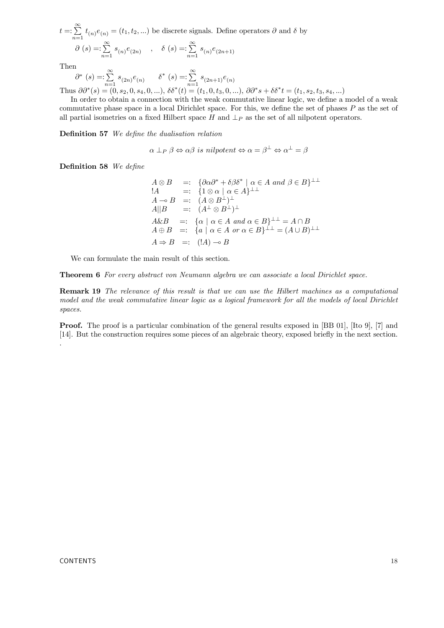$t =: \sum\limits^{\infty}$  $\sum_{n=1} t_{(n)}e_{(n)} = (t_1, t_2, \ldots)$  be discrete signals. Define operators  $\partial$  and  $\delta$  by  $\partial(s) =: \sum_{n=1}^{\infty}$  $\sum_{n=1}^{\infty} s_{(n)}e_{(2n)}$ ,  $\delta(s) = \sum_{n=1}^{\infty}$  $\sum_{n=1}^{n} s_{(n)}e_{(2n+1)}$ 

Then

$$
\frac{\partial^*}{\partial s^*}(s) = \sum_{n=1}^{\infty} s_{(2n)} e_{(n)} \qquad \delta^* (s) = \sum_{n=1}^{\infty} s_{(2n+1)} e_{(n)}
$$

Thus  $\partial \partial^*(s) = (0, s_2, 0, s_4, 0, \ldots), \delta \delta^*(t) = (t_1, 0, t_3, 0, \ldots), \partial \partial^* s + \delta \delta^* t = (t_1, s_2, t_3, s_4, \ldots)$ 

In order to obtain a connection with the weak commutative linear logic, we define a model of a weak commutative phase space in a local Dirichlet space. For this, we define the set of phases  $P$  as the set of all partial isometries on a fixed Hilbert space H and  $\perp_P$  as the set of all nilpotent operators.

Definition 57 We define the dualisation relation

$$
\alpha \perp_P \beta \Leftrightarrow \alpha \beta \text{ is nilpotent} \Leftrightarrow \alpha = \beta^{\perp} \Leftrightarrow \alpha^{\perp} = \beta
$$

Definition 58 We define

$$
A \otimes B =: \{ \partial \alpha \partial^* + \delta \beta \delta^* \mid \alpha \in A \text{ and } \beta \in B \}^{\perp \perp}
$$
  
\n
$$
A \rightarrow B =: (A \otimes B^{\perp})^{\perp}
$$
  
\n
$$
A|B =: (A^{\perp} \otimes B^{\perp})^{\perp}
$$
  
\n
$$
A \otimes B =: (A^{\perp} \otimes B^{\perp})^{\perp}
$$
  
\n
$$
A \otimes B =: \{ \alpha \mid \alpha \in A \text{ and } \alpha \in B \}^{\perp \perp} = A \cap B
$$
  
\n
$$
A \oplus B =: \{ a \mid \alpha \in A \text{ or } \alpha \in B \}^{\perp \perp} = (A \cup B)^{\perp \perp}
$$
  
\n
$$
A \Rightarrow B =: (A) \rightarrow B
$$

We can formulate the main result of this section.

Theorem 6 For every abstract von Neumann algebra we can associate a local Dirichlet space.

Remark 19 The relevance of this result is that we can use the Hilbert machines as a computational model and the weak commutative linear logic as a logical framework for all the models of local Dirichlet spaces.

**Proof.** The proof is a particular combination of the general results exposed in [BB 01], [Ito 9], [7] and [14]. But the construction requires some pieces of an algebraic theory, exposed briefly in the next section. .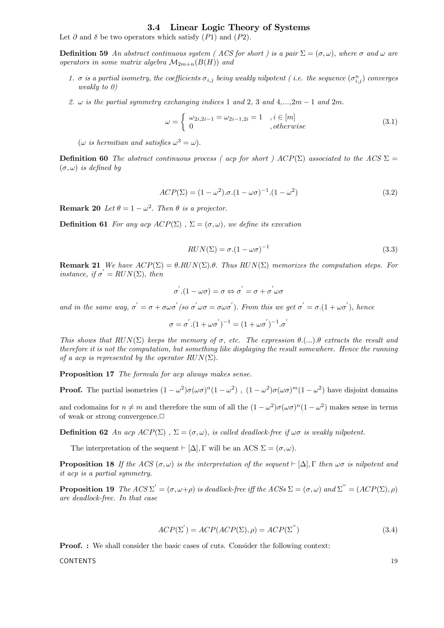## 3.4 Linear Logic Theory of Systems

Let  $\partial$  and  $\delta$  be two operators which satisfy (P1) and (P2).

**Definition 59** An abstract continuous system (ACS for short) is a pair  $\Sigma = (\sigma, \omega)$ , where  $\sigma$  and  $\omega$  are operators in some matrix algebra  $\mathcal{M}_{2m+n}(B(H))$  and

- 1.  $\sigma$  is a partial isometry, the coefficients  $\sigma_{i,j}$  being weakly nilpotent (i.e. the sequence  $(\sigma_{i,j}^n)$  converges weakly to  $\theta$ )
- 2.  $\omega$  is the partial symmetry exchanging indices 1 and 2, 3 and 4,...,2m 1 and 2m.

$$
\omega = \begin{cases} \omega_{2i,2i-1} = \omega_{2i-1,2i} = 1, i \in [m] \\ 0, otherwise \end{cases}
$$
 (3.1)

( $\omega$  is hermitian and satisfies  $\omega^3 = \omega$ ).

**Definition 60** The abstract continuous process ( acp for short ) ACP( $\Sigma$ ) associated to the ACS  $\Sigma$  =  $(\sigma, \omega)$  is defined by

$$
ACP(\Sigma) = (1 - \omega^2) \cdot \sigma \cdot (1 - \omega \sigma)^{-1} \cdot (1 - \omega^2)
$$
\n(3.2)

**Remark 20** Let  $\theta = 1 - \omega^2$ . Then  $\theta$  is a projector.

**Definition 61** For any acp  $ACP(\Sigma)$ ,  $\Sigma = (\sigma, \omega)$ , we define its execution

$$
RUN(\Sigma) = \sigma.(1 - \omega \sigma)^{-1}
$$
\n(3.3)

**Remark 21** We have  $ACP(\Sigma) = \theta.RUN(\Sigma)\theta$ . Thus  $RUN(\Sigma)$  memorizes the computation steps. For instance, if  $\sigma' = RUN(\Sigma)$ , then

$$
\sigma^{'}.(1 - \omega \sigma) = \sigma \Leftrightarrow \sigma^{'} = \sigma + \sigma^{'} \omega \sigma
$$

and in the same way,  $\sigma' = \sigma + \sigma \omega \sigma'$  (so  $\sigma' \omega \sigma = \sigma \omega \sigma'$ ). From this we get  $\sigma' = \sigma.(1 + \omega \sigma')$ , hence

$$
\sigma = \sigma^{'}.(1 + \omega \sigma^{'})^{-1} = (1 + \omega \sigma^{'})^{-1}.\sigma^{'}
$$

This shows that  $RUN(\Sigma)$  keeps the memory of  $\sigma$ , etc. The expression  $\theta$ ....).  $\theta$  extracts the result and therefore it is not the computation, but something like displaying the result somewhere. Hence the running of a acp is represented by the operator  $RUN(\Sigma)$ .

Proposition 17 The formula for acp always makes sense.

**Proof.** The partial isometries  $(1 - \omega^2)\sigma(\omega\sigma)^n(1 - \omega^2)$ ,  $(1 - \omega^2)\sigma(\omega\sigma)^m(1 - \omega^2)$  have disjoint domains

and codomains for  $n \neq m$  and therefore the sum of all the  $(1 - \omega^2)\sigma(\omega\sigma)^n(1 - \omega^2)$  makes sense in terms of weak or strong convergence. $\Box$ 

**Definition 62** An acp  $ACP(\Sigma)$ ,  $\Sigma = (\sigma, \omega)$ , is called deadlock-free if  $\omega\sigma$  is weakly nilpotent.

The interpretation of the sequent  $\vdash [\Delta], \Gamma$  will be an ACS  $\Sigma = (\sigma, \omega)$ .

**Proposition 18** If the ACS  $(\sigma, \omega)$  is the interpretation of the sequent  $\vdash [\Delta]$ , Γ then  $\omega\sigma$  is nilpotent and it acp is a partial symmetry.

**Proposition 19** The  $ACS \Sigma' = (\sigma, \omega + \rho)$  is deadlock-free iff the  $ACSs \Sigma = (\sigma, \omega)$  and  $\Sigma'' = (ACP(\Sigma), \rho)$ are deadlock-free. In that case

$$
ACP(\Sigma') = ACP(ACP(\Sigma), \rho) = ACP(\Sigma'')
$$
\n(3.4)

Proof. : We shall consider the basic cases of cuts. Consider the following context:

 $\blacksquare$   $\blacksquare$   $\blacksquare$   $\blacksquare$   $\blacksquare$   $\blacksquare$   $\blacksquare$   $\blacksquare$   $\blacksquare$   $\blacksquare$   $\blacksquare$   $\blacksquare$   $\blacksquare$   $\blacksquare$   $\blacksquare$   $\blacksquare$   $\blacksquare$   $\blacksquare$   $\blacksquare$   $\blacksquare$   $\blacksquare$   $\blacksquare$   $\blacksquare$   $\blacksquare$   $\blacksquare$   $\blacksquare$   $\blacksquare$   $\blacksquare$   $\blacksquare$   $\blacksquare$   $\blacksquare$   $\blacks$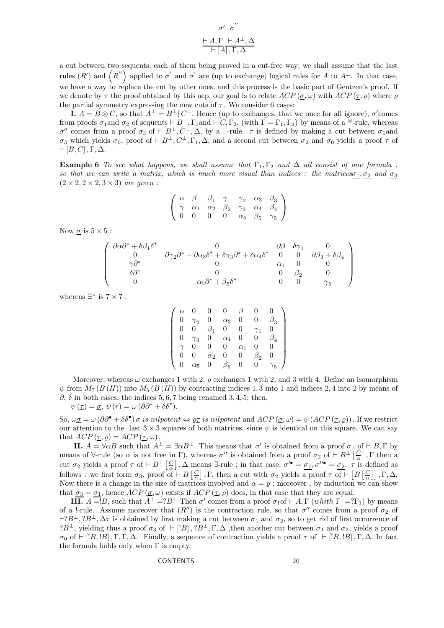$$
\sigma' \quad \sigma''
$$

$$
\frac{\vdash A, \Gamma \vdash A^{\perp}, \Delta}{\vdash [A], \Gamma, \Delta}
$$

a cut between two sequents, each of them being proved in a cut-free way; we shall assume that the last rules  $(R')$  and  $(R'')$  applied to  $\sigma'$  and  $\sigma'$  are (up to exchange) logical rules for A to  $A^{\perp}$ . In that case, we have a way to replace the cut by other ones, and this process is the basic part of Gentzen's proof. If we denote by  $\tau$  the proof obtained by this acp, our goal is to relate  $ACP(\sigma, \omega)$  with  $ACP(\tau, \rho)$  where  $\rho$ the partial symmetry expressing the new cuts of  $\tau$ . We consider 6 cases:

**I.**  $A = B \otimes C$ , so that  $A^{\perp} = B^{\perp} \| C^{\perp}$ . Hence (up to exchanges, that we once for all ignore),  $\sigma'$ comes from proofs  $\sigma_1$ and  $\sigma_2$  of sequents  $\vdash B^{\perp}, \Gamma_1$ and  $\vdash C, \Gamma_2$ , (with  $\Gamma = \Gamma_1, \Gamma_2$ ) by means of a ⊗-rule, whereas  $\sigma''$  comes from a proof  $\sigma_3$  of  $\vdash B^{\perp}, C^{\perp}, \Delta$ , by a ||-rule.  $\tau$  is defined by making a cut between  $\sigma_1$  and σ<sub>3</sub> which yields  $\sigma_0$ , proof of  $\vdash B^{\perp}, C^{\perp}, \Gamma_1, \Delta$ , and a second cut between  $\sigma_2$  and  $\sigma_0$  yields a proof  $\tau$  of  $\vdash [B, C], \Gamma, \Delta.$ 

**Example 6** To see what happens, we shall assume that  $\Gamma_1, \Gamma_2$  and  $\Delta$  all consist of one formula, so that we can write a matrix, which is much more visual than indices : the matrices  $\sigma_1, \sigma_2$  and  $\sigma_3$  $(2 \times 2, 2 \times 2, 3 \times 3)$  are given:

$$
\left(\begin{array}{cccccc}\alpha&\beta&\beta_1&\gamma_1&\gamma_2&\alpha_3&\beta_3\\\gamma&\alpha_1&\alpha_2&\beta_2&\gamma_3&\alpha_4&\beta_4\\0&0&0&0&\alpha_5&\beta_5&\gamma_5\end{array}\right)
$$

Now  $\underline{\sigma}$  is  $5 \times 5$ :

$$
\left(\begin{array}{cccc} \partial\alpha\partial^*+\delta\beta_1\delta^* & 0 & \partial\beta & \delta\gamma_1 & 0 \\ 0 & \partial\gamma_2\partial^*+\partial\alpha_3\delta^*+\delta\gamma_3\partial^*+\delta\alpha_4\delta^* & 0 & 0 & \partial\beta_3+\delta\beta_4 \\ \gamma\partial^* & 0 & 0 & \alpha_1 & 0 & 0 \\ \delta\partial^* & 0 & 0 & \beta_2 & 0 \\ 0 & \alpha_5\partial^*+\beta_5\delta^* & 0 & 0 & \gamma_5 \end{array}\right)
$$

whereas  $\Xi^*$  is  $7 \times 7$ :

| $\alpha$ |              |             |            |            |                  |    |
|----------|--------------|-------------|------------|------------|------------------|----|
|          | $\gamma_{2}$ | 0           | $\alpha_3$ | 0          | D                | פי |
| 0        |              | $\beta_{1}$ | 0          | U          |                  |    |
|          | $\gamma_3^-$ | 0           | $\alpha_4$ | 0          |                  |    |
|          |              | $^{(1)}$    | 0          | $\alpha_1$ |                  |    |
| U        |              | $\alpha_2$  | 0          | U.         | $\mathfrak{I}_2$ |    |
|          | $\alpha_5$   |             | 5          | O.         |                  |    |

Moreover, whereas  $\omega$  exchanges 1 with 2,  $\rho$  exchanges 1 with 2, and 3 with 4. Define an isomorphism  $\psi$  from  $M_7(B(H))$  into  $M_5(B(H))$  by contracting indices 1, 3 into 1 and indices 2, 4 into 2 by means of  $\partial$ ,  $\delta$  in both cases, the indices 5, 6, 7 being renamed 3, 4, 5; then,

 $\psi(\underline{\tau}) = \underline{\sigma}, \psi(r) = \omega (\partial \partial^* + \delta \delta^*).$ 

So,  $\omega \underline{\sigma} = \omega (\partial \partial^{\bullet} + \delta \delta^{\bullet}) \sigma$  is nilpotent  $\Leftrightarrow \underline{\rho \tau}$  is nilpotent and  $\text{ACP}(\underline{\sigma}, \omega) = \psi (\text{ACP}(\underline{\tau}, \varrho))$ . If we restrict our attention to the last  $3 \times 3$  squares of both matrices, since  $\psi$  is identical on this square. We can say that  $ACP(\underline{\tau}, \rho) = ACP(\underline{\tau}, \omega)$ .

II.  $A = \forall \alpha B$  such that  $A^{\perp} = \exists \alpha B^{\perp}$ . This means that  $\sigma'$  is obtained from a proof  $\sigma_1$  of  $\vdash B$ , Γ by means of  $\forall$ -rule (so  $\alpha$  is not free in Γ), whereas  $\sigma''$  is obtained from a proof  $\sigma_2$  of  $\vdash B^{\perp}[\frac{C}{\alpha}]$ , Γ then a cut  $\sigma_2$  yields a proof  $\tau$  of  $\vdash B^{\perp}[\frac{C}{\alpha}]$ ,  $\Delta$  means  $\exists$ -rule ; in that case,  $\sigma'^{\bullet} = \underline{\sigma_1}$ ,  $\sigma''^{\bullet} = \underline{\sigma_2}$ .  $\tau$  is defined as follows : we first form  $\sigma_3$ , proof of  $\vdash B\left[\frac{C}{\alpha}\right]$ ,  $\Gamma$ , then a cut with  $\sigma_2$  yields a proof  $\tau$  of  $\vdash \left[B\left[\frac{C}{\alpha}\right]\right]$ ,  $\Gamma$ ,  $\Delta$ . Now there is a change in the size of matrices involved and  $\alpha = \varrho$ ; moreover, by induction we can show that  $\sigma_3 = \sigma_1$ , hence  $ACP(\sigma, \omega)$  exists if  $ACP(\tau, \rho)$  does, in that case that they are equal.

**III.**  $A = B$ , such that  $A^{\perp} = B^{\perp}$  Then  $\sigma'$  comes from a proof  $\sigma_1$  of  $\vdash A$ , Γ (whith  $\Gamma = T_1$ ) by means of a !-rule. Assume moreover that  $(R'')$  is the contraction rule, so that  $\sigma''$  comes from a proof  $\sigma_2$  of  $\Box B^{\perp}, ?B^{\perp}, \Delta \tau$  is obtained by first making a cut between  $\sigma_1$  and  $\sigma_2$ , so to get rid of first occurrence of ?B<sup>⊥</sup>, yielding thus a proof  $\sigma_3$  of  $\vdash [B], ?B^{\perp}, \Gamma, \Delta$ , then another cut between  $\sigma_1$  and  $\sigma_3$ , yields a proof  $\sigma_0$  of  $\vdash [B, B], \Gamma, \Gamma, \Delta$ . Finally, a sequence of contraction yields a proof  $\tau$  of  $\vdash [B, B], \Gamma, \Delta$ . In fact the formula holds only when  $\Gamma$  is empty.

$$
CONTENTS 20
$$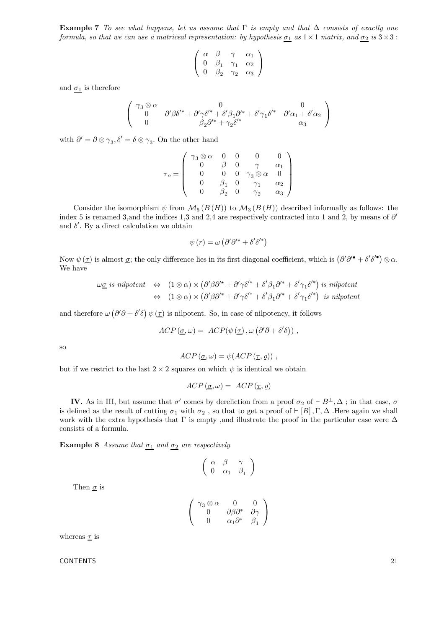**Example 7** To see what happens, let us assume that  $\Gamma$  is empty and that  $\Delta$  consists of exactly one formula, so that we can use a matriceal representation: by hypothesis  $\sigma_1$  as  $1 \times 1$  matrix, and  $\sigma_2$  is  $3 \times 3$ :

$$
\left(\begin{array}{cccc} \alpha & \beta & \gamma & \alpha_1 \\ 0 & \beta_1 & \gamma_1 & \alpha_2 \\ 0 & \beta_2 & \gamma_2 & \alpha_3 \end{array}\right)
$$

and  $\sigma_1$  is therefore

$$
\left(\begin{array}{ccc} \gamma_3\otimes\alpha & 0 & 0\\ 0 & \partial'\beta\delta'^* +\partial'\gamma\delta'^* +\delta'\beta_1\partial'^* +\delta'\gamma_1\delta'^* & \partial'\alpha_1+\delta'\alpha_2\\ 0 & \beta_2\partial'^* +\gamma_2\delta'^* & \alpha_3\end{array}\right)
$$

with  $\partial' = \partial \otimes \gamma_3$ ,  $\delta' = \delta \otimes \gamma_3$ . On the other hand

$$
\boldsymbol{\tau}_o = \left(\begin{array}{cccccc} \gamma_3 \otimes \alpha & 0 & 0 & 0 & 0 \\ 0 & \beta & 0 & \gamma & \alpha_1 \\ 0 & 0 & 0 & \gamma_3 \otimes \alpha & 0 \\ 0 & \beta_1 & 0 & \gamma_1 & \alpha_2 \\ 0 & \beta_2 & 0 & \gamma_2 & \alpha_3 \end{array}\right)
$$

Consider the isomorphism  $\psi$  from  $\mathcal{M}_5(B(H))$  to  $\mathcal{M}_3(B(H))$  described informally as follows: the index 5 is renamed 3,and the indices 1,3 and 2,4 are respectively contracted into 1 and 2, by means of  $\partial'$ and  $\delta'$ . By a direct calculation we obtain

$$
\psi(r) = \omega \left( \partial^{\prime} \partial^{\prime *} + \delta^{\prime} \delta^{\prime *} \right)
$$

Now  $\psi(\underline{\tau})$  is almost  $\underline{\sigma}$ ; the only difference lies in its first diagonal coefficient, which is  $(\partial' \partial'^{\bullet} + \delta' \delta'^{\bullet}) \otimes \alpha$ . We have

$$
\begin{array}{rcl}\n\omega \underline{\sigma} \text{ is nilpotent} & \Leftrightarrow & (1 \otimes \alpha) \times (\partial' \beta \partial'^\star + \partial' \gamma \delta'^\ast + \delta' \beta_1 \partial'^\ast + \delta' \gamma_1 \delta'^\ast) \text{ is nilpotent} \\
& \Leftrightarrow & (1 \otimes \alpha) \times (\partial' \beta \partial'^\ast + \partial' \gamma \delta'^\ast + \delta' \beta_1 \partial'^\ast + \delta' \gamma_1 \delta'^\ast) \text{ is nilpotent}\n\end{array}
$$

and therefore  $\omega \left( \frac{\partial^2 \partial + \delta^2 \delta}{\partial x^2} \right) \psi (\underline{\tau})$  is nilpotent. So, in case of nilpotency, it follows

$$
ACP(\underline{\sigma}, \omega) = ACP(\psi(\underline{\tau}), \omega(\partial'\partial + \delta'\delta)),
$$

so

$$
ACP(\underline{\sigma}, \omega) = \psi(ACP(\underline{\tau}, \varrho)) ,
$$

but if we restrict to the last  $2 \times 2$  squares on which  $\psi$  is identical we obtain

 $ACP(\underline{\sigma}, \omega) = ACP(\underline{\tau}, \varrho)$ 

**IV.** As in III, but assume that  $\sigma'$  comes by dereliction from a proof  $\sigma_2$  of  $\vdash B^{\perp}, \Delta$ ; in that case,  $\sigma$ is defined as the result of cutting  $\sigma_1$  with  $\sigma_2$ , so that to get a proof of  $\vdash [B], \Gamma, \Delta$ . Here again we shall work with the extra hypothesis that  $\Gamma$  is empty ,and illustrate the proof in the particular case were  $\Delta$ consists of a formula.

**Example 8** Assume that  $\sigma_1$  and  $\sigma_2$  are respectively

$$
\left(\begin{array}{cc}\alpha&\beta&\gamma\\0&\alpha_1&\beta_1\end{array}\right)
$$

Then  $\sigma$  is

$$
\left(\begin{array}{ccc} \gamma_3\otimes\alpha & 0 & 0 \\ 0 & \partial\beta\partial^* & \partial\gamma \\ 0 & \alpha_1\partial^* & \beta_1 \end{array}\right)
$$

whereas  $\tau$  is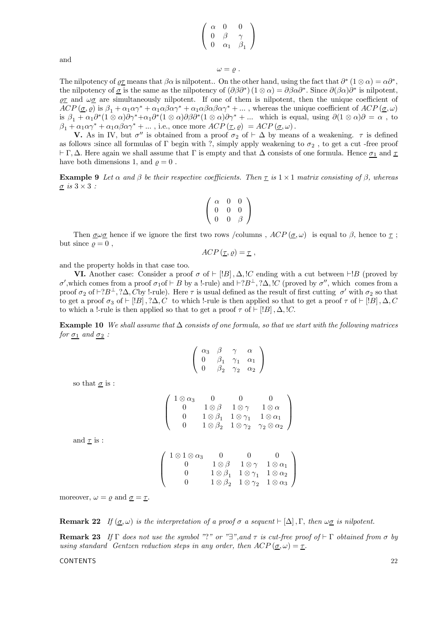$$
\left(\begin{array}{ccc}\alpha&0&0\\0&\beta&\gamma\\0&\alpha_1&\beta_1\end{array}\right)
$$

and

$$
\omega = \varrho .
$$

The nilpotency of  $\rho\tau$  means that  $\beta\alpha$  is nilpotent.. On the other hand, using the fact that  $\partial^*(1\otimes\alpha) = \alpha\partial^*$ , the nilpotency of  $\sigma$  is the same as the nilpotency of  $(\partial \beta \partial^*)(1 \otimes \alpha) = \partial \beta \alpha \partial^*$ . Since  $\partial (\beta \alpha) \partial^*$  is nilpotent,  $\sigma$  and  $\omega$  are simultaneously nilpotent. If one of them is nilpotent, then the unique coefficient of  $ACP(\underline{\sigma}, \varrho)$  is  $\beta_1 + \alpha_1 \alpha \gamma^* + \alpha_1 \alpha \beta \alpha \gamma^* + \alpha_1 \alpha \beta \alpha \beta \alpha \gamma^* + \dots$ , whereas the unique coefficient of  $ACP(\underline{\sigma}, \omega)$ is  $\beta_1 + \alpha_1 \partial^* (1 \otimes \alpha) \partial \gamma^* + \alpha_1 \partial^* (1 \otimes \alpha) \partial \beta \partial^* (1 \otimes \alpha) \partial \gamma^* + \dots$  which is equal, using  $\partial (1 \otimes \alpha) \partial = \alpha$ , to  $\beta_1 + \alpha_1 \alpha \gamma^* + \alpha_1 \alpha \beta \alpha \gamma^* + \dots$ , i.e., once more  $ACP(\underline{\tau}, \varrho) = ACP(\underline{\sigma}, \omega)$ .

**V.** As in IV, but  $\sigma''$  is obtained from a proof  $\sigma_2$  of  $\vdash \Delta$  by means of a weakening.  $\tau$  is defined as follows :since all formulas of Γ begin with ?, simply apply weakening to  $\sigma_2$ , to get a cut -free proof  $\vdash$  Γ, Δ. Here again we shall assume that Γ is empty and that  $\Delta$  consists of one formula. Hence  $\sigma_1$  and  $\tau$ have both dimensions 1, and  $\rho = 0$ .

**Example 9** Let  $\alpha$  and  $\beta$  be their respective coefficients. Then  $\tau$  is  $1 \times 1$  matrix consisting of  $\beta$ , whereas  $\sigma$  is  $3 \times 3$ :

$$
\left(\begin{array}{ccc} \alpha & 0 & 0 \\ 0 & 0 & 0 \\ 0 & 0 & \beta \end{array}\right)
$$

Then  $\sigma \omega \sigma$  hence if we ignore the first two rows /columns,  $ACP(\sigma, \omega)$  is equal to  $\beta$ , hence to  $\tau$ ; but since  $\rho = 0$ ,

$$
ACP(\underline{\tau},\varrho)=\underline{\tau}\ ,
$$

and the property holds in that case too.

VI. Another case: Consider a proof  $\sigma$  of  $\vdash$  [IB],  $\Delta$ , [C ending with a cut between  $\vdash !B$  (proved by  $\sigma'$ , which comes from a proof  $\sigma_1$ of  $\vdash B$  by a !-rule) and  $\vdash ?B^\perp$ , ?Δ, !C (proved by  $\sigma''$ , which comes from a proof  $\sigma_2$  of  $\vdash$ ? $B^{\perp}$ , ? $\Delta$ , Cby !-rule). Here  $\tau$  is usual defined as the result of first cutting  $\sigma'$  with  $\sigma_2$  so that to get a proof  $\sigma_3$  of  $\vdash [B], ?\Delta, C$  to which !-rule is then applied so that to get a proof  $\tau$  of  $\vdash [B], \Delta, C$ to which a !-rule is then applied so that to get a proof  $\tau$  of  $\vdash$  [!B],  $\Delta$ , !C.

Example 10 We shall assume that  $\Delta$  consists of one formula, so that we start with the following matrices for  $\sigma_1$  and  $\sigma_2$ :

$$
\left(\begin{array}{cccc} \alpha_3&\beta&\gamma&\alpha\\ 0&\beta_1&\gamma_1&\alpha_1\\ 0&\beta_2&\gamma_2&\alpha_2 \end{array}\right)
$$

so that  $\underline{\sigma}$  is :

$$
\left(\begin{array}{cccc}1\otimes\alpha_3&0&0&0\\0&1\otimes\beta&1\otimes\gamma&1\otimes\alpha\\0&1\otimes\beta_1&1\otimes\gamma_1&1\otimes\alpha_1\\0&1\otimes\beta_2&1\otimes\gamma_2&\gamma_2\otimes\alpha_2\end{array}\right)
$$

and  $\underline{\tau}$  is :

| $1\otimes 1\otimes \alpha_3$ |                   |                                          |                       |
|------------------------------|-------------------|------------------------------------------|-----------------------|
|                              | $1 \otimes \beta$ | $1\otimes\gamma$                         | $1\otimes\alpha_1$    |
|                              |                   | $1 \otimes \beta_1$ $1 \otimes \gamma_1$ | $1\otimes\alpha_2$    |
|                              | $1\otimes\beta_2$ | $1\otimes\gamma_2$                       | $1\otimes \alpha_3$ / |

moreover,  $\omega = \rho$  and  $\underline{\sigma} = \underline{\tau}$ .

**Remark 22** If  $(\sigma, \omega)$  is the interpretation of a proof  $\sigma$  a sequent  $\vdash [\Delta]$ , Γ, then  $\omega \sigma$  is nilpotent.

**Remark 23** If  $\Gamma$  does not use the symbol "?" or " $\exists$ ", and  $\tau$  is cut-free proof of  $\vdash \Gamma$  obtained from  $\sigma$  by using standard Gentzen reduction steps in any order, then  $ACP(\sigma, \omega) = \tau$ .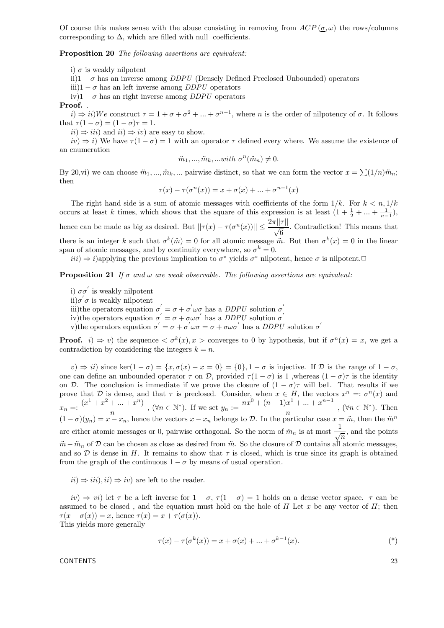Of course this makes sense with the abuse consisting in removing from  $ACP(\underline{\sigma}, \omega)$  the rows/columns corresponding to  $\Delta$ , which are filled with null coefficients.

Proposition 20 The following assertions are equivalent:

- i)  $\sigma$  is weakly nilpotent
- ii)1  $-\sigma$  has an inverse among *DDPU* (Densely Defined Preclosed Unbounded) operators
- iii)1 − σ has an left inverse among DDPU operators
- iv)1  $\sigma$  has an right inverse among *DDPU* operators

#### Proof. .

 $i) \Rightarrow ii)We$  construct  $\tau = 1 + \sigma + \sigma^2 + ... + \sigma^{n-1}$ , where n is the order of nilpotency of  $\sigma$ . It follows that  $\tau(1-\sigma)=(1-\sigma)\tau=1$ .

 $ii) \Rightarrow iii)$  and  $ii) \Rightarrow iv)$  are easy to show.

 $iv) \Rightarrow i$ ) We have  $\tau(1-\sigma)=1$  with an operator  $\tau$  defined every where. We assume the existence of an enumeration

$$
\ddot{m}_1, \dots, \ddot{m}_k, \dots with \sigma^n(\ddot{m}_n) \neq 0.
$$

By 20,vi) we can choose  $\ddot{m}_1, ..., \ddot{m}_k, ...$  pairwise distinct, so that we can form the vector  $x = \sum (1/n)\ddot{m}_n$ ; then

$$
\tau(x) - \tau(\sigma^n(x)) = x + \sigma(x) + \dots + \sigma^{n-1}(x)
$$

The right hand side is a sum of atomic messages with coefficients of the form  $1/k$ . For  $k < n, 1/k$ occurs at least k times, which shows that the square of this expression is at least  $(1 + \frac{1}{2} + ... + \frac{1}{n-1}),$ hence can be made as big as desired. But  $||\tau(x) - \tau(\sigma^n(x))|| \leq \frac{2\pi ||\tau||}{\sqrt{6}}$ . Contradiction! This means that there is an integer k such that  $\sigma^k(m)=0$  for all atomic message m. But then  $\sigma^k(x)=0$  in the linear span of atomic messages, and by continuity everywhere, so  $\sigma^k = 0$ .

 $iii) \Rightarrow i$ )applying the previous implication to  $\sigma^*$  yields  $\sigma^*$  nilpotent, hence  $\sigma$  is nilpotent.

**Proposition 21** If  $\sigma$  and  $\omega$  are weak observable. The following assertions are equivalent:

- i)  $\sigma\sigma'$  is weakly nilpotent
- $\sin \sigma' \sigma$  is weakly nilpotent
- iii)the operators equation  $\sigma' = \sigma + \sigma' \omega \sigma$  has a *DDPU* solution  $\sigma'$
- iv) the operators equation  $\sigma' = \sigma + \sigma \omega \sigma'$  has a *DDPU* solution  $\sigma'$
- v) the operators equation  $\sigma' = \sigma + \sigma' \omega \sigma = \sigma + \sigma \omega \sigma'$  has a *DDPU* solution  $\sigma'$

**Proof.** i)  $\Rightarrow$  v) the sequence  $\langle \sigma^k(x), x \rangle$  converges to 0 by hypothesis, but if  $\sigma^n(x) = x$ , we get a contradiction by considering the integers  $k = n$ .

 $(v) \Rightarrow ii)$  since ker $(1 - \sigma) = \{x, \sigma(x) - x = 0\} = \{0\}, 1 - \sigma$  is injective. If  $\mathcal{D}$  is the range of  $1 - \sigma$ , one can define an unbounded operator  $\tau$  on  $\mathcal{D}$ , provided  $\tau(1-\sigma)$  is 1, whereas  $(1-\sigma)\tau$  is the identity on D. The conclusion is immediate if we prove the closure of  $(1 - \sigma)\tau$  will be1. That results if we prove that  $\mathcal{D}$  is dense, and that  $\tau$  is preclosed. Consider, when  $x \in H$ , the vectors  $x^n =: \sigma^n(x)$  and  $x_n =: \frac{(x^1 + x^2 + ... + x^n)}{n}$ ,  $(\forall n \in \mathbb{N}^*)$ . If we set  $y_n := \frac{nx^0 + (n-1)x^1 + ... + x^{n-1}}{n}$ ,  $(\forall n \in \mathbb{N}^*)$ . Then  $(1 - \sigma)(y_n) = x - x_n$ , hence the vectors  $x - x_n$  belongs to  $\mathcal{D}$ . In the particular case  $x = \ddot{m}$ , then the  $\ddot{m}^n$ are either atomic messages or 0, pairwise orthogonal. So the norm of  $\ddot{m}_n$  is at most  $\frac{1}{\sqrt{n}}$ , and the points  $\ddot{m} - \ddot{m}_n$  of  $\mathcal D$  can be chosen as close as desired from  $\ddot{m}$ . So the closure of  $\mathcal D$  contains all atomic messages, and so  $\mathcal D$  is dense in H. It remains to show that  $\tau$  is closed, which is true since its graph is obtained from the graph of the continuous  $1 - \sigma$  by means of usual operation.

 $ii) \Rightarrow iii), ii) \Rightarrow iv$  are left to the reader.

 $iv) \Rightarrow vi$ ) let  $\tau$  be a left inverse for  $1 - \sigma$ ,  $\tau(1 - \sigma) = 1$  holds on a dense vector space.  $\tau$  can be assumed to be closed, and the equation must hold on the hole of  $H$  Let  $x$  be any vector of  $H$ ; then  $\tau(x - \sigma(x)) = x$ , hence  $\tau(x) = x + \tau(\sigma(x))$ .

This yields more generally

$$
\tau(x) - \tau(\sigma^k(x)) = x + \sigma(x) + \dots + \sigma^{k-1}(x).
$$
 (\*)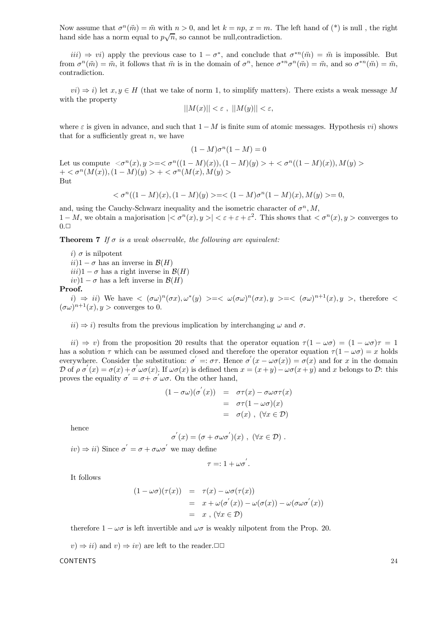Now assume that  $\sigma^n(m) = m$  with  $n > 0$ , and let  $k = np$ ,  $x = m$ . The left hand of (\*) is null, the right hand side has a norm equal to  $p\sqrt{n}$ , so cannot be null, contradiction.

 $iii) \Rightarrow vi$ ) apply the previous case to  $1 - \sigma^*$ , and conclude that  $\sigma^{*n}(\tilde{m}) = \tilde{m}$  is impossible. But from  $\sigma^n(\ddot{m})=\ddot{m}$ , it follows that  $\ddot{m}$  is in the domain of  $\sigma^n$ , hence  $\sigma^{*n}\sigma^n(\ddot{m})=\ddot{m}$ , and so  $\sigma^{*n}(\ddot{m})=\ddot{m}$ , contradiction.

 $vi) \Rightarrow i$  let  $x, y \in H$  (that we take of norm 1, to simplify matters). There exists a weak message M with the property

$$
||M(x)|| < \varepsilon , \ ||M(y)|| < \varepsilon,
$$

where  $\varepsilon$  is given in advance, and such that  $1 - M$  is finite sum of atomic messages. Hypothesis vi) shows that for a sufficiently great  $n$ , we have

$$
(1 - M)\sigma^n (1 - M) = 0
$$

Let us compute  $\langle \sigma^n(x), y \rangle = \langle \sigma^n((1-M)(x)), (1-M)(y) \rangle + \langle \sigma^n((1-M)(x)), M(y) \rangle$ + <  $\sigma^{n}(M(x)),(1-M)(y)$  > + <  $\sigma^{n}(M(x),M(y))$ But

$$
\langle \sigma^n((1-M)(x), (1-M)(y) \rangle = \langle (1-M)\sigma^n(1-M)(x), M(y) \rangle = 0,
$$

and, using the Cauchy-Schwarz inequality and the isometric character of  $\sigma^n$ , M,  $1-M$ , we obtain a majorisation  $|\langle \sigma^n(x), y \rangle| \leq \varepsilon + \varepsilon + \varepsilon^2$ . This shows that  $\langle \sigma^n(x), y \rangle$  converges to  $0.\Box$ 

**Theorem 7** If  $\sigma$  is a weak observable, the following are equivalent:

i)  $\sigma$  is nilpotent

 $ii)1 - \sigma$  has an inverse in  $\mathcal{B}(H)$ 

- $iii)1 \sigma$  has a right inverse in  $\mathcal{B}(H)$
- $iv$ )1  $\sigma$  has a left inverse in  $\mathcal{B}(H)$

#### Proof.

i)  $\Rightarrow$  ii) We have  $\langle (\sigma\omega)^n(\sigma x), \omega^*(y) \rangle = \langle \omega(\sigma\omega)^n(\sigma x), y \rangle = \langle (\sigma\omega)^{n+1}(x), y \rangle$ , therefore  $\langle$  $(\sigma\omega)^{n+1}(x), y >$  converges to 0.

 $ii) \Rightarrow i$  results from the previous implication by interchanging  $\omega$  and  $\sigma$ .

 $ii) \Rightarrow v$ ) from the proposition 20 results that the operator equation  $\tau(1 - \omega \sigma) = (1 - \omega \sigma)\tau = 1$ has a solution  $\tau$  which can be assumed closed and therefore the operator equation  $\tau(1 - \omega \sigma) = x$  holds everywhere. Consider the substitution:  $\sigma' = \sigma \tau$ . Hence  $\sigma'(x - \omega \sigma(x)) = \sigma(x)$  and for x in the domain  $\mathcal{D}$  of  $\rho \sigma'(x) = \sigma(x) + \sigma' \omega \sigma(x)$ . If  $\omega \sigma(x)$  is defined then  $x = (x + y) - \omega \sigma(x + y)$  and x belongs to  $\mathcal{D}$ : this proves the equality  $\sigma' = \sigma + \sigma' \omega \sigma$ . On the other hand,

$$
(1 - \sigma\omega)(\sigma^{'}(x)) = \sigma\tau(x) - \sigma\omega\sigma\tau(x)
$$
  
=  $\sigma\tau(1 - \omega\sigma)(x)$   
=  $\sigma(x)$ , ( $\forall x \in \mathcal{D}$ )

hence

$$
\sigma^{'}(x)=(\sigma+\sigma\omega\sigma^{'})(x) , (\forall x\in\mathcal{D}) .
$$

 $iv) \Rightarrow ii)$  Since  $\sigma' = \sigma + \sigma \omega \sigma'$  we may define

$$
\tau =: 1 + \omega \sigma'.
$$

It follows

$$
(1 - \omega \sigma)(\tau(x)) = \tau(x) - \omega \sigma(\tau(x))
$$
  
=  $x + \omega(\sigma'(x)) - \omega(\sigma(x)) - \omega(\sigma \omega \sigma'(x))$   
=  $x, (\forall x \in \mathcal{D})$ 

therefore  $1 - \omega \sigma$  is left invertible and  $\omega \sigma$  is weakly nilpotent from the Prop. 20.

 $(v) \Rightarrow ii)$  and  $v) \Rightarrow iv$  are left to the reader.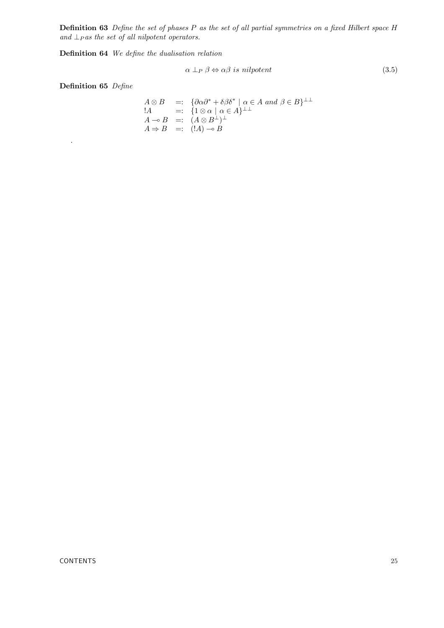Definition 63 Define the set of phases P as the set of all partial symmetries on a fixed Hilbert space H and  $\perp_P$  as the set of all nilpotent operators.

Definition 64 We define the dualisation relation

$$
\alpha \perp_P \beta \Leftrightarrow \alpha \beta \text{ is nilpotent} \tag{3.5}
$$

Definition 65 Define

.

$$
A \otimes B =: \{ \partial \alpha \partial^* + \delta \beta \delta^* \mid \alpha \in A \text{ and } \beta \in B \}^{\perp \perp}
$$
  
\n
$$
A \Rightarrow B =: (A \otimes B^{\perp})^{\perp}
$$
  
\n
$$
A \Rightarrow B =: (A \otimes B^{\perp})^{\perp}
$$
  
\n
$$
A \Rightarrow B =: (A) \Rightarrow B
$$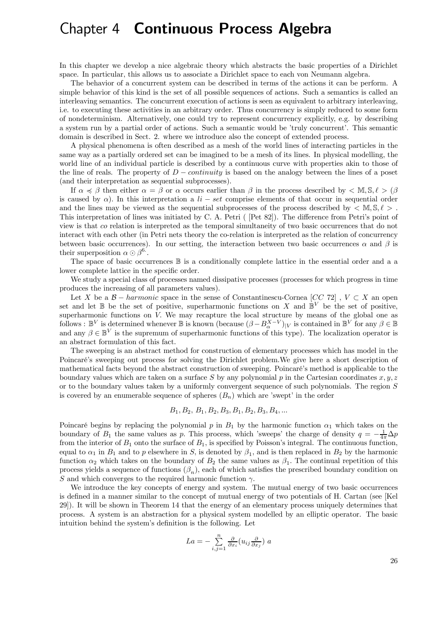## Chapter 4 Continuous Process Algebra

In this chapter we develop a nice algebraic theory which abstracts the basic properties of a Dirichlet space. In particular, this allows us to associate a Dirichlet space to each von Neumann algebra.

The behavior of a concurrent system can be described in terms of the actions it can be perform. A simple behavior of this kind is the set of all possible sequences of actions. Such a semantics is called an interleaving semantics. The concurrent execution of actions is seen as equivalent to arbitrary interleaving, i.e. to executing these activities in an arbitrary order. Thus concurrency is simply reduced to some form of nondeterminism. Alternatively, one could try to represent concurrency explicitly, e.g. by describing a system run by a partial order of actions. Such a semantic would be 'truly concurrent'. This semantic domain is described in Sect. 2. where we introduce also the concept of extended process.

A physical phenomena is often described as a mesh of the world lines of interacting particles in the same way as a partially ordered set can be imagined to be a mesh of its lines. In physical modelling, the world line of an individual particle is described by a continuous curve with properties akin to those of the line of reals. The property of  $D$  – *continuity* is based on the analogy between the lines of a poset (and their interpretation as sequential subprocesses).

If  $\alpha \preccurlyeq \beta$  then either  $\alpha = \beta$  or  $\alpha$  occurs earlier than  $\beta$  in the process described by  $\lt M, \mathbb{S}, \ell > (\beta)$ is caused by  $\alpha$ ). In this interpretation a  $li - set$  comprise elements of that occur in sequential order and the lines may be viewed as the sequential subprocesses of the process described by  $\langle M, \mathbb{S}, \ell \rangle$ . This interpretation of lines was initiated by C. A. Petri ( [Pet 82]). The difference from Petri's point of view is that co relation is interpreted as the temporal simultaneity of two basic occurrences that do not interact with each other (in Petri nets theory the co-relation is interpreted as the relation of concurrency between basic occurrences). In our setting, the interaction between two basic occurrences  $\alpha$  and  $\beta$  is their superposition  $\alpha \odot \beta^{6}$ .

The space of basic occurrences  $\mathbb B$  is a conditionally complete lattice in the essential order and a a lower complete lattice in the specific order.

We study a special class of processes named dissipative processes (processes for which progress in time produces the increasing of all parameters values).

Let X be a  $\mathcal{B}$  – harmonic space in the sense of Constantinescu-Cornea  $[CC 72]$ ,  $V \subset X$  an open set and let  $\mathbb B$  be the set of positive, superharmonic functions on X and  $\mathbb B^V$  be the set of positive, superharmonic functions on V. We may recapture the local structure by means of the global one as follows :  $\mathbb{B}^V$  is determined whenever  $\mathbb{B}$  is known (because  $(\beta - B^{X-V}_{\alpha})_{|V}$  is contained in  $\mathbb{B}^V$  for any  $\beta \in \mathbb{B}$ and any  $\beta \in \mathbb{B}^V$  is the supremum of superharmonic functions of this type). The localization operator is an abstract formulation of this fact.

The sweeping is an abstract method for construction of elementary processes which has model in the Poincaré's sweeping out process for solving the Dirichlet problem.We give here a short description of mathematical facts beyond the abstract construction of sweeping. Poincaré's method is applicable to the boundary values which are taken on a surface  $S$  by any polynomial  $p$  in the Cartesian coordinates  $x, y, z$ or to the boundary values taken by a uniformly convergent sequence of such polynomials. The region S is covered by an enumerable sequence of spheres  $(B_n)$  which are 'swept' in the order

### $B_1, B_2, B_1, B_2, B_3, B_1, B_2, B_3, B_4, \dots$

Poincaré begins by replacing the polynomial p in  $B_1$  by the harmonic function  $\alpha_1$  which takes on the boundary of  $B_1$  the same values as p. This process, which 'sweeps' the charge of density  $q = -\frac{1}{4\pi}\Delta p$ from the interior of  $B_1$  onto the surface of  $B_1$ , is specified by Poisson's integral. The continuous function, equal to  $\alpha_1$  in  $B_1$  and to p elsewhere in S, is denoted by  $\beta_1$ , and is then replaced in  $B_2$  by the harmonic function  $\alpha_2$  which takes on the boundary of  $B_2$  the same values as  $\beta_1$ . The continual repetition of this process yields a sequence of functions  $(\beta_n)$ , each of which satisfies the prescribed boundary condition on S and which converges to the required harmonic function  $\gamma$ .

We introduce the key concepts of energy and system. The mutual energy of two basic occurrences is defined in a manner similar to the concept of mutual energy of two potentials of H. Cartan (see [Kel 29]). It will be shown in Theorem 14 that the energy of an elementary process uniquely determines that process. A system is an abstraction for a physical system modelled by an elliptic operator. The basic intuition behind the system's definition is the following. Let

$$
La = -\sum_{i,j=1}^{n} \frac{\partial}{\partial x_i} (u_{ij} \frac{\partial}{\partial x_j}) a
$$

26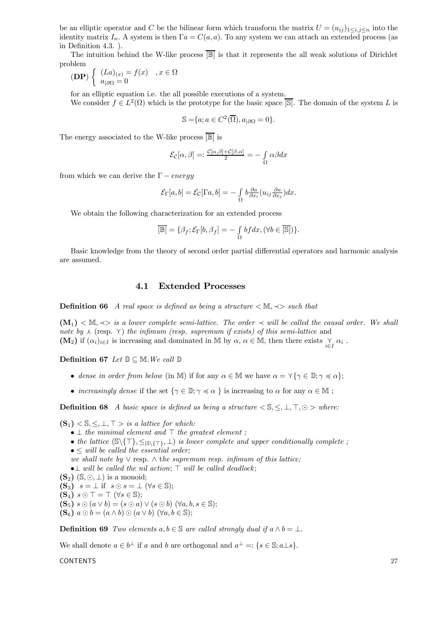be an elliptic operator and C be the bilinear form which transform the matrix  $U = (u_{ij})_{1 \le i,j \le n}$  into the identity matrix  $I_n$ . A system is then  $\Gamma a = C(a, a)$ . To any system we can attach an extended process (as in Definition 4.3. ).

The intuition behind the W-like process  $\overline{IB}$  is that it represents the all weak solutions of Dirichlet problem

$$
\left(\mathbf{DP}\right) \left\{ \begin{array}{l} (La)_{(x)} = f(x) \quad , x \in \Omega \\ a_{|\partial\Omega} = 0 \end{array} \right.
$$

for an elliptic equation i.e. the all possible executions of a system.

We consider  $f \in L^2(\Omega)$  which is the prototype for the basic space  $\overline{S}$ . The domain of the system L is

$$
\mathbb{S} = \{a; a \in C^2(\overline{\Omega}), a_{|\partial\Omega} = 0\}.
$$

The energy associated to the W-like process  $\overline{\mathbb{B}}$  is

$$
\mathcal{E}_{\mathcal{C}}[\alpha,\beta] = \frac{\mathcal{C}[\alpha,\beta] + \mathcal{C}[\beta,\alpha]}{2} = -\int_{\Omega} \alpha \beta dx
$$

from which we can derive the  $\Gamma - energy$ 

$$
\mathcal{E}_{\Gamma}[a,b] = \mathcal{E}_{\mathcal{C}}[\Gamma a,b] = -\int_{\Omega} b \frac{\partial a}{\partial x_i} (u_{ij} \frac{\partial a}{\partial x_j}) dx.
$$

We obtain the following characterization for an extended process

$$
\overline{[\mathbb{B}]} = \{ \beta_f; \mathcal{E}_{\Gamma}[b, \beta_f] = -\int_{\Omega} bf dx, (\forall b \in \overline{[\mathbb{S}]} ) \}.
$$

Basic knowledge from the theory of second order partial differential operators and harmonic analysis are assumed.

## 4.1 Extended Processes

**Definition 66** A real space is defined as being a structure  $\langle M, \prec \rangle$  such that

 $(M_1)$  < M,  $\prec$  is a lower complete semi-lattice. The order  $\prec$  will be called the causal order. We shall note by  $\lambda$  (resp.  $\gamma$ ) the infimum (resp. supremum if exists) of this semi-lattice and (M<sub>2</sub>) if  $(\alpha_i)_{i\in I}$  is increasing and dominated in M by  $\alpha, \alpha \in M$ , then there exists  $\underset{i\in I}{\gamma} \alpha_i$ .

Definition 67 Let  $\mathbb{D} \subseteq \mathbb{M}$ . We call  $\mathbb{D}$ 

- dense in order from below (in M) if for any  $\alpha \in \mathbb{M}$  we have  $\alpha = \gamma \{ \gamma \in \mathbb{D}; \gamma \preccurlyeq \alpha \};$
- increasingly dense if the set  $\{\gamma \in \mathbb{D}; \gamma \preccurlyeq \alpha\}$  is increasing to  $\alpha$  for any  $\alpha \in \mathbb{M}$ ;

**Definition 68** A basic space is defined as being a structure  $\langle S, \leq, \perp, \top, \odot \rangle$  where:

 $(\mathbf{S}_1) < \mathbb{S}, \leq, \perp, \top >$  is a lattice for which:

- $\perp$  the minimal element and  $\top$  the greatest element;
- the lattice  $(\mathbb{S}\setminus\{\top\}, \leq_{|\mathbb{S}\setminus\{\top\}}, \bot)$  is lower complete and upper conditionally complete;
- $\bullet \leq$  will be called the essential order;

we shall note by  $\vee$  resp.  $\wedge$  the supremum resp. infimum of this lattice;

• $\perp$  will be called the nil action;  $\top$  will be called deadlock;

- $(S_2)$   $(S, \odot, \perp)$  is a monoid;
- (S<sub>3</sub>)  $s = \perp$  if  $s \odot s = \perp (\forall s \in \mathbb{S});$

 $(S_4)$   $s \odot \top = \top (\forall s \in \mathbb{S});$ 

- $(S_5)$   $s \odot (a \vee b) = (s \odot a) \vee (s \odot b)$   $(\forall a, b, s \in \mathbb{S});$
- $(S_6)$   $a \odot b = (a \wedge b) \odot (a \vee b)$   $(\forall a, b \in \mathbb{S});$

**Definition 69** Two elements  $a, b \in \mathbb{S}$  are called strongly dual if  $a \wedge b = \bot$ .

We shall denote  $a \in b^{\perp}$  if a and b are orthogonal and  $a^{\perp} =: \{s \in \mathbb{S}; a \perp s\}.$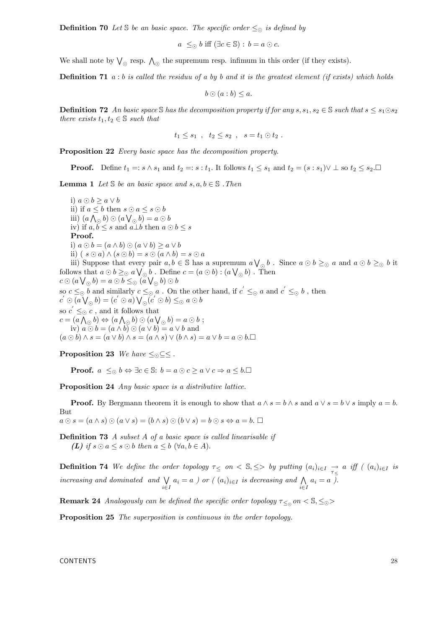**Definition 70** Let S be an basic space. The specific order  $\leq_{\odot}$  is defined by

 $a \leq_{\odot} b$  iff  $(\exists c \in \mathbb{S}) : b = a \odot c$ .

We shall note by  $\bigvee_{\odot}$  resp.  $\bigwedge_{\odot}$  the supremum resp. infimum in this order (if they exists).

**Definition 71**  $a : b$  is called the residuu of a by b and it is the greatest element (if exists) which holds

$$
b\odot(a:b)\leq a.
$$

**Definition 72** An basic space S has the decomposition property if for any  $s, s_1, s_2 \in \mathbb{S}$  such that  $s \leq s_1 \odot s_2$ there exists  $t_1, t_2 \in \mathbb{S}$  such that

$$
t_1 \leq s_1
$$
,  $t_2 \leq s_2$ ,  $s = t_1 \odot t_2$ .

Proposition 22 Every basic space has the decomposition property.

**Proof.** Define  $t_1 = s \wedge s_1$  and  $t_2 = s : t_1$ . It follows  $t_1 \leq s_1$  and  $t_2 = (s : s_1) \vee \perp$  so  $t_2 \leq s_2$ .

**Lemma 1** Let  $\mathcal{S}$  be an basic space and  $s, a, b \in \mathcal{S}$ . Then

i)  $a \odot b \geq a \vee b$ ii) if  $a \leq b$  then  $s \odot a \leq s \odot b$ iii)  $(a \bigwedge_{\odot} b) \odot (a \bigvee_{\odot} b) = a \odot b$ iv) if  $a, b \leq s$  and  $a \perp b$  then  $a \odot b \leq s$ Proof. i)  $a \odot b = (a \wedge b) \odot (a \vee b) \geq a \vee b$ ii)  $(s \odot a) \wedge (s \odot b) = s \odot (a \wedge b) = s \odot a$ iii) Suppose that every pair  $a, b \in \mathbb{S}$  has a supremum  $a \bigvee_{\mathbb{S}^n} b$ . Since  $a \odot b \geq_{\mathbb{S}^n} a$  and  $a \odot b \geq_{\mathbb{S}^n} b$  it follows that  $a \odot b \geq 0$   $a \bigvee_{\odot} b$ . Define  $c = (a \odot b) : (a \bigvee_{\odot} b)$ . Then  $c \odot (a \bigvee_{\odot} b) = a \odot b \leq_{\odot} (a \bigvee_{\odot} b) \odot b$ so  $c \leq_{\odot} b$  and similarly  $c \leq_{\odot} a$ . On the other hand, if  $c' \leq_{\odot} a$  and  $c' \leq_{\odot} b$ , then  $c' \odot (a \bigvee_{\odot} b) = (c' \odot a) \bigvee_{\odot} (c' \odot b) \leq_{\odot} a \odot b$ so  $c' \leq_{\odot} c$ , and it follows that

 $c = (a \bigwedge_{\odot} b) \Leftrightarrow (a \bigwedge_{\odot} b) \odot (a \bigvee_{\odot} b) = a \odot b;$ iv)  $a \odot b = (a \wedge b) \odot (a \vee b) = a \vee b$  and  $(a \odot b) \wedge s = (a \vee b) \wedge s = (a \wedge s) \vee (b \wedge s) = a \vee b = a \odot b.$ 

**Proposition 23** We have  $\leq_{\odot} \subseteq \leq$ .

**Proof.**  $a \leq_0 b \Leftrightarrow \exists c \in \mathbb{S}: b = a \odot c \geq a \lor c \Rightarrow a \leq b.$ 

Proposition 24 Any basic space is a distributive lattice.

**Proof.** By Bergmann theorem it is enough to show that  $a \wedge s = b \wedge s$  and  $a \vee s = b \vee s$  imply  $a = b$ . But  $a \odot s = (a \wedge s) \odot (a \vee s) = (b \wedge s) \odot (b \vee s) = b \odot s \Leftrightarrow a = b.$ 

Definition 73 A subset A of a basic space is called linearisable if (L) if  $s \odot a \leq s \odot b$  then  $a \leq b \ (\forall a, b \in A)$ .

**Definition 74** We define the order topology  $\tau \leq$  on  $\lt$  S,  $\leq$  by putting  $(a_i)_{i \in I} \to a$  iff  $( (a_i)_{i \in I}$  is increasing and dominated and  $\bigvee$  $\bigvee_{i \in I} a_i = a$  ) or ( $(a_i)_{i \in I}$  is decreasing and  $\bigwedge_{i \in I}$  $a_i = a$  ).

**Remark 24** Analogously can be defined the specific order topology  $\tau <_{\odot} 0$  on  $\lt S, \leq_{\odot} >$ 

Proposition 25 The superposition is continuous in the order topology.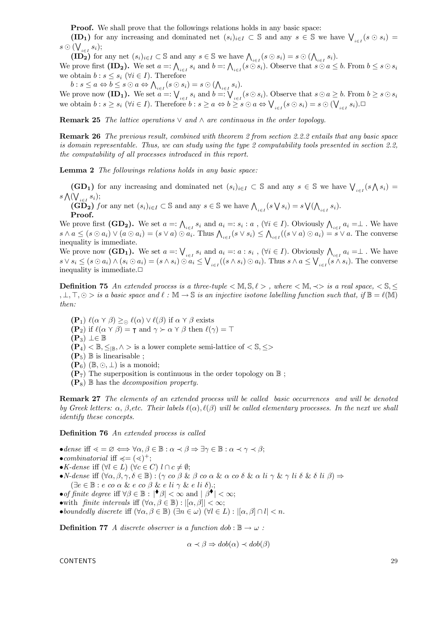**Proof.** We shall prove that the followings relations holds in any basic space:

(ID<sub>1</sub>) for any increasing and dominated net  $(s_i)_{i\in I} \subset \mathbb{S}$  and any  $s \in \mathbb{S}$  we have  $\bigvee_{i\in I} (s \odot s_i) =$  $s \odot (\bigvee_{i \in I} s_i);$ 

 $(ID_2)$  for any net  $(s_i)_{i\in I} \subset \mathbb{S}$  and any  $s \in \mathbb{S}$  we have  $\bigwedge_{i\in I} (s \odot s_i) = s \odot (\bigwedge_{i\in I} s_i)$ .

We prove first  $(\mathbf{ID_2})$ . We set  $a =: \bigwedge_{i \in I} s_i$  and  $b =: \bigwedge_{i \in I} (s \odot s_i)$ . Observe that  $s \odot a \leq b$ . From  $b \leq s \odot s_i$ we obtain  $b : s \leq s_i \ (\forall i \in I)$ . Therefore

 $b : s \leq a \Leftrightarrow b \leq s \odot a \Leftrightarrow \bigwedge_{i \in I} (s \odot s_i) = s \odot (\bigwedge_{i \in I} s_i).$ 

We prove now  $(\mathbf{ID_1})$ . We set  $a =: \bigvee_{i \in I} s_i$  and  $b =: \bigvee_{i \in I} (s \odot s_i)$ . Observe that  $s \odot a \geq b$ . From  $b \geq s \odot s_i$ we obtain  $b : s \geq s_i \ (\forall i \in I)$ . Therefore  $b : s \geq a \Leftrightarrow b \geq s \odot a \Leftrightarrow \bigvee_{i \in I} (s \odot s_i) = s \odot (\bigvee_{i \in I} s_i)$ .

**Remark 25** The lattice operations  $\vee$  and  $\wedge$  are continuous in the order topology.

Remark 26 The previous result, combined with theorem 2 from section 2.2.2 entails that any basic space is domain representable. Thus, we can study using the type 2 computability tools presented in section 2.2, the computability of all processes introduced in this report.

Lemma 2 The followings relations holds in any basic space:

(GD<sub>1</sub>) for any increasing and dominated net  $(s_i)_{i\in I} \subset \mathbb{S}$  and any  $s \in \mathbb{S}$  we have  $\bigvee_{i\in I} (s \bigwedge s_i) =$  $s \bigwedge (\bigvee_{i \in I} s_i);$ 

 $(\widetilde{\mathbf{GD_2}})$  for any net  $(s_i)_{i \in I} \subset \mathbb{S}$  and any  $s \in \mathbb{S}$  we have  $\bigwedge_{i \in I} (s \bigvee s_i) = s \bigvee (\bigwedge_{i \in I} s_i)$ . Proof.

We prove first  $(GD_2)$ . We set  $a =: \bigwedge_{i \in I} s_i$  and  $a_i =: s_i : a$ ,  $(\forall i \in I)$ . Obviously  $\bigwedge_{i \in I} a_i = \bot$ . We have  $s \wedge a \leq (s \odot a_i) \vee (a \odot a_i) = (s \vee a) \odot a_i$ . Thus  $\bigwedge_{i \in I} (s \vee s_i) \leq \bigwedge_{i \in I} ((s \vee a) \odot a_i) = s \vee a$ . The converse inequality is immediate.

We prove now  $(GD_1)$ . We set  $a = \bigvee_{i \in I} s_i$  and  $a_i =: a : s_i$ ,  $(\forall i \in I)$ . Obviously  $\bigwedge_{i \in I} a_i = \bot$ . We have  $s \vee s_i \leq (s \odot a_i) \wedge (s_i \odot a_i) = (s \wedge s_i) \odot a_i \leq \bigvee_{i \in I} ((s \wedge s_i) \odot a_i).$  Thus  $s \wedge a \leq \bigvee_{i \in I} (s \wedge s_i).$  The converse inequality is immediate.

**Definition 75** An extended process is a three-tuple  $\lt M, \mathbb{S}, \ell >$ , where  $\lt M, \prec >$  is a real space,  $\lt S, \leq$ ,  $\bot$ ,  $\top$ ,  $\odot$  > is a basic space and  $\ell$  :  $\mathbb{M} \to \mathbb{S}$  is an injective isotone labelling function such that, if  $\mathbb{B} = \ell(\mathbb{M})$ then:

 $(\mathbf{P}_1) \ell(\alpha \curlyvee \beta) \geq_{\odot} \ell(\alpha) \vee \ell(\beta)$  if  $\alpha \curlyvee \beta$  exists  $(\mathbf{P}_2)$  if  $\ell(\alpha \vee \beta) = \tau$  and  $\gamma \succ \alpha \vee \beta$  then  $\ell(\gamma) = \top$  $(\mathbf{P}_3) \perp \in \mathbb{B}$  $(\mathbf{P}_4)$  < B,  $\leq_{\mathbb{R}}, \wedge$  > is a lower complete semi-lattice of < S,  $\leq$ >  $(P_5)$  B is linearisable ;  $(\mathbf{P}_6)$  ( $\mathbb{B}, \odot, \perp$ ) is a monoid;  $(\mathbf{P}_7)$  The superposition is continuous in the order topology on  $\mathbb B$ ;  $(\mathbf{P}_8)$  B has the *decomposition property*.

Remark 27 The elements of an extended process will be called basic occurrences and will be denoted by Greek letters:  $\alpha$ ,  $\beta$ , etc. Their labels  $\ell(\alpha)$ ,  $\ell(\beta)$  will be called elementary processes. In the next we shall identify these concepts.

Definition 76 An extended process is called

• dense iff  $\leq \in \emptyset \Longleftrightarrow \forall \alpha, \beta \in \mathbb{B} : \alpha \prec \beta \Rightarrow \exists \gamma \in \mathbb{B} : \alpha \prec \gamma \prec \beta;$ •combinatorial iff  $\preccurlyeq = (\preccurlyeq)^+$ ; •K-dense iff  $(\forall l \in L)$   $(\forall c \in C)$   $l \cap c \neq \emptyset$ ; •N-dense iff  $(\forall \alpha, \beta, \gamma, \delta \in \mathbb{B}) : (\gamma \circ \alpha \beta \& \beta \circ \alpha \& \alpha \circ \delta \& \alpha \leq i \gamma \& \gamma \leq i \delta \& \delta \leq i \beta) \Rightarrow$  $(\exists e \in \mathbb{B}: e \text{ co } \alpha \& e \text{ co } \beta \& e \text{ li } \gamma \& e \text{ li } \delta).$ •of finite degree iff  $\forall \beta \in \mathbb{B} : |\bullet \beta| < \infty$  and  $|\beta \bullet| < \infty$ ; •with *finite intervals* iff  $(\forall \alpha, \beta \in \mathbb{B})$  :  $|[\alpha, \beta]| < \infty$ ; •boundedly discrete iff  $(\forall \alpha, \beta \in \mathbb{B})$   $(\exists n \in \omega)$   $(\forall l \in L)$  :  $|[\alpha, \beta] \cap l| < n$ . **Definition 77** A discrete observer is a function dob:  $\mathbb{B} \to \omega$ :

$$
\alpha \prec \beta \Rightarrow dob(\alpha) \prec dob(\beta)
$$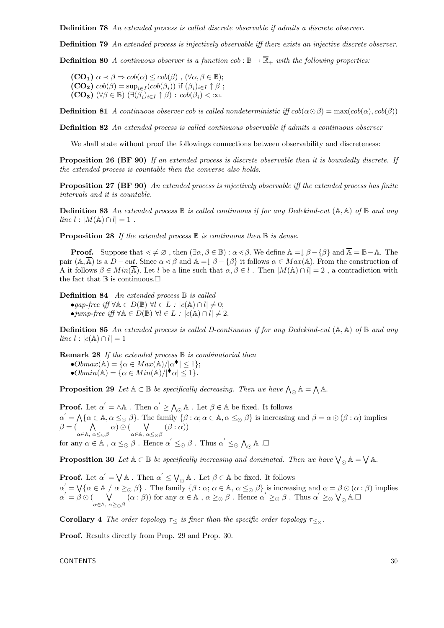Definition 78 An extended process is called discrete observable if admits a discrete observer.

Definition 79 An extended process is injectively observable iff there exists an injective discrete observer.

**Definition 80** A continuous observer is a function  $\text{col} : \mathbb{B} \to \overline{\mathbb{R}}_+$  with the following properties:

 $(CO_1) \alpha \prec \beta \Rightarrow cob(\alpha) \leq cob(\beta)$ ,  $(\forall \alpha, \beta \in \mathbb{B})$ ;  $(CO_2) \, \cosh(\beta) = \sup_{i \in I} (\cosh(\beta_i))$  if  $(\beta_i)_{i \in I} \uparrow \beta$ ;  $(CO_3)$   $(\forall \beta \in \mathbb{B})$   $(\exists (\beta_i)_{i \in I} \uparrow \beta) : \cosh(\beta_i) < \infty$ .

**Definition 81** A continuous observer cob is called nondeterministic iff  $\text{cob}(\alpha \cap \beta) = \max(\text{cob}(\alpha), \text{cob}(\beta))$ 

Definition 82 An extended process is called continuous observable if admits a continuous observer

We shall state without proof the followings connections between observability and discreteness:

**Proposition 26 (BF 90)** If an extended process is discrete observable then it is boundedly discrete. If the extended process is countable then the converse also holds.

**Proposition 27 (BF 90)** An extended process is injectively observable iff the extended process has finite intervals and it is countable.

**Definition 83** An extended process  $\mathbb B$  is called continuous if for any Dedekind-cut  $(A, \overline{A})$  of  $\mathbb B$  and any line  $l : |M(\mathbb{A}) \cap l| = 1$ .

**Proposition 28** If the extended process  $\mathbb B$  is continuous then  $\mathbb B$  is dense.

**Proof.** Suppose that  $\leq \neq \emptyset$ , then  $(\exists \alpha, \beta \in \mathbb{B}) : \alpha \leq \beta$ . We define  $\mathbb{A} = \mathbb{J} - {\beta \brace \beta}$  and  $\mathbb{A} = \mathbb{B} - \mathbb{A}$ . The pair (A,  $\overline{A}$ ) is a  $D - cut$ . Since  $\alpha \leq \beta$  and  $A = \downarrow \beta - {\beta}$  it follows  $\alpha \in Max(A)$ . From the construction of A it follows  $\beta \in Min(\overline{A})$ . Let l be a line such that  $\alpha, \beta \in l$ . Then  $|M(A) \cap l| = 2$ , a contradiction with the fact that  $\mathbb B$  is continuous.  $\square$ 

**Definition 84** An extended process  $\mathbb{B}$  is called

 $\bullet gap-free \; iff \; \forall \mathbb{A} \in D(\mathbb{B}) \; \forall l \in L : |c(\mathbb{A}) \cap l| \neq 0;$ •jump-free iff  $\forall A \in D(\mathbb{B}) \ \forall l \in L : |c(A) \cap l| \neq 2$ .

**Definition 85** An extended process is called D-continuous if for any Dedekind-cut  $(A, \overline{A})$  of  $\mathbb{B}$  and any line  $l : |c(\mathbb{A}) \cap l| = 1$ 

**Remark 28** If the extended process  $\mathbb B$  is combinatorial then  $\bullet Ohmax(\mathbb{A}) = {\alpha \in Max(\mathbb{A}) / |\alpha^{\blacklozenge}| \leq 1};$  $\bullet Ohmin(\mathbb{A}) = {\alpha \in Min(\mathbb{A}) / |\mathbb{I} \alpha| \leq 1}.$ 

**Proposition 29** Let  $A \subset \mathbb{B}$  be specifically decreasing. Then we have  $\bigwedge_{\odot} A = \bigwedge A$ .

**Proof.** Let  $\alpha' = \land \mathbb{A}$ . Then  $\alpha' \geq \bigwedge_{\odot} \mathbb{A}$ . Let  $\beta \in \mathbb{A}$  be fixed. It follows  $\alpha' = \bigwedge \{\alpha \in \mathbb{A}, \alpha \leq_{\odot} \beta\}.$  The family  $\{\beta : \alpha : \alpha \in \mathbb{A}, \alpha \leq_{\odot} \beta\}$  is increasing and  $\beta = \alpha \odot (\beta : \alpha)$  implies  $\beta = (Y \cap \Lambda)$  $\bigwedge_{\alpha \in \mathbb{A}, \alpha \leq_{\odot} \beta} \alpha) \odot (\bigvee_{\alpha \in \mathbb{A}, \alpha \leq_{\odot} \beta} \alpha)$  $(\beta : \alpha))$ 

for any  $\alpha \in \mathbb{A}$ ,  $\alpha \leq_{\odot} \beta$ . Hence  $\alpha^{'} \leq_{\odot} \beta$ . Thus  $\alpha^{'} \leq_{\odot} \bigwedge_{\odot} \mathbb{A}$ .

**Proposition 30** Let  $A \subset \mathbb{B}$  be specifically increasing and dominated. Then we have  $\bigvee_{\odot} A = \bigvee A$ .

**Proof.** Let  $\alpha' = \bigvee \mathbb{A}$ . Then  $\alpha' \leq \bigvee_{\odot} \mathbb{A}$ . Let  $\beta \in \mathbb{A}$  be fixed. It follows  $\alpha' = \bigvee_i {\alpha \in \mathbb{A} \mid \alpha \geq_{\mathbb{Q}} \beta}$ . The family  $\{\beta : \alpha : \alpha \in \mathbb{A}, \alpha \leq_{\mathbb{Q}} \beta\}$  is increasing and  $\alpha = \beta \odot (\alpha : \beta)$  implies  $\alpha' = \beta \odot (\bigvee_{\alpha \in \mathbb{A}, \alpha \geq_{\mathbb{Q}} \beta} (\alpha : \beta))$  for any  $\alpha \in \mathbb{A}$ ,  $\alpha \geq_{\mathbb{Q}} \beta$ . Hence  $\alpha' \geq_{\mathbb{Q}} \beta$ . Thus  $\alpha' \geq_{\mathbb{Q}} \bigvee_{\mathbb{Q}} \mathbb{A}$ .

**Corollary 4** The order topology  $\tau$  is finer than the specific order topology  $\tau$  < ...

Proof. Results directly from Prop. 29 and Prop. 30.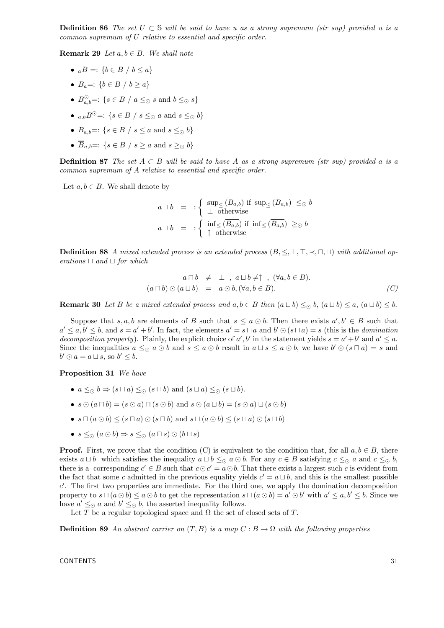**Definition 86** The set  $U \subset \mathbb{S}$  will be said to have u as a strong supremum (str sup) provided u is a common supremum of U relative to essential and specific order.

Remark 29 Let  $a, b \in B$ . We shall note

- $aB =: \{b \in B \mid b \leq a\}$
- $B_a =: \{b \in B \mid b \geq a\}$
- $B_{a,b}^{\circlearrowleft} =: \{ s \in B \mid a \leq_{\odot} s \text{ and } b \leq_{\odot} s \}$
- $a, b$ B<sup> $\odot$ </sup>=:  $\{s \in B \mid s \leq_{\odot} a \text{ and } s \leq_{\odot} b\}$
- $B_{a,b} =: \{ s \in B \mid s \leq a \text{ and } s \leq_0 b \}$
- $\overline{B}_{a,b} =: \{s \in B \mid s \geq a \text{ and } s \geq_0 b\}$

**Definition 87** The set  $A \subseteq B$  will be said to have A as a strong supremum (str sup) provided a is a common supremum of A relative to essential and specific order.

Let  $a, b \in B$ . We shall denote by

$$
a \sqcap b = : \left\{ \begin{array}{l} \sup_{\leq} (B_{a,b}) \text{ if } \sup_{\leq} (B_{a,b}) \leq_{\odot} b \\ \bot \text{ otherwise} \end{array} \right.
$$
  

$$
a \sqcup b = : \left\{ \begin{array}{l} \inf_{\leq} (\overline{B_{a,b}}) \text{ if } \inf_{\leq} (\overline{B_{a,b}}) \geq_{\odot} b \\ \uparrow \text{ otherwise} \end{array} \right.
$$

**Definition 88** A mixed extended process is an extended process  $(B, \leq, \perp, \top, \prec, \sqcap, \sqcup)$  with additional operations  $\sqcap$  and  $\sqcup$  for which

$$
a \sqcap b \neq \bot, a \sqcup b \neq \uparrow, (\forall a, b \in B).
$$
  

$$
(a \sqcap b) \odot (a \sqcup b) = a \odot b, (\forall a, b \in B).
$$
 (C)

**Remark 30** Let B be a mixed extended process and  $a, b \in B$  then  $(a \sqcup b) \leq_0 b$ ,  $(a \sqcup b) \leq a$ ,  $(a \sqcup b) \leq b$ .

Suppose that  $s, a, b$  are elements of B such that  $s \le a \odot b$ . Then there exists  $a', b' \in B$  such that  $a' \leq a, b' \leq b$ , and  $s = a' + b'$ . In fact, the elements  $a' = s \sqcap a$  and  $b' \bigcirc (s \sqcap a) = s$  (this is the *domination* decomposition property). Plainly, the explicit choice of a', b' in the statement yields  $s = a' + b'$  and  $a' \le a$ . Since the inequalities  $a \leq_{\odot} a \odot b$  and  $s \leq a \odot b$  result in  $a \sqcup s \leq a \odot b$ , we have  $b' \odot (s \sqcap a) = s$  and  $b' \odot a = a \sqcup s$ , so  $b' \leq b$ .

Proposition 31 We have

- $a \leq_{\odot} b \Rightarrow (s \sqcap a) \leq_{\odot} (s \sqcap b)$  and  $(s \sqcup a) \leq_{\odot} (s \sqcup b)$ .
- $s \odot (a \square b) = (s \odot a) \square (s \odot b)$  and  $s \odot (a \square b) = (s \odot a) \square (s \odot b)$
- $s \sqcap (a \odot b) \leq (s \sqcap a) \odot (s \sqcap b)$  and  $s \sqcup (a \odot b) \leq (s \sqcup a) \odot (s \sqcup b)$
- $s \leq_{\odot} (a \odot b) \Rightarrow s \leq_{\odot} (a \sqcap s) \odot (b \sqcup s)$

**Proof.** First, we prove that the condition (C) is equivalent to the condition that, for all  $a, b \in B$ , there exists  $a \sqcup b$  which satisfies the inequality  $a \sqcup b \leq_{\odot} a \odot b$ . For any  $c \in B$  satisfying  $c \leq_{\odot} a$  and  $c \leq_{\odot} b$ , there is a corresponding  $c' \in B$  such that  $c \odot c' = a \odot b$ . That there exists a largest such c is evident from the fact that some c admitted in the previous equality yields  $c' = a \sqcup b$ , and this is the smallest possible  $c<sup>\prime</sup>$ . The first two properties are immediate. For the third one, we apply the domination decomposition property to  $s \sqcap (a \odot b) \leq a \odot b$  to get the representation  $s \sqcap (a \odot b) = a' \odot b'$  with  $a' \leq a, b' \leq b$ . Since we have  $a' \leq_{\Omega} a$  and  $b' \leq_{\Omega} b$ , the asserted inequality follows.

Let T be a regular topological space and  $\Omega$  the set of closed sets of T.

**Definition 89** An abstract carrier on  $(T, B)$  is a map  $C : B \to \Omega$  with the following properties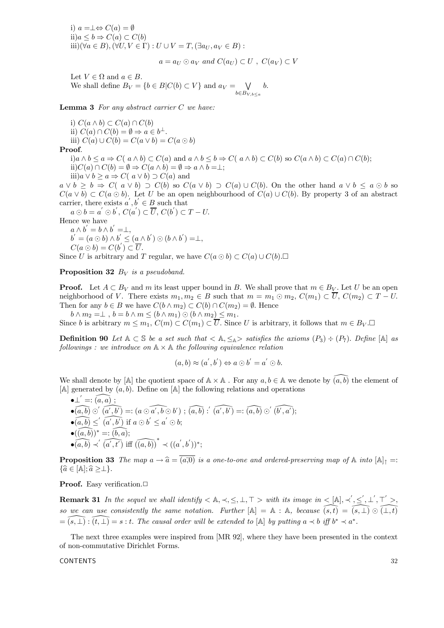i)  $a = \perp \Leftrightarrow C(a) = ∅$ ii) $a \leq b \Rightarrow C(a) \subset C(b)$  $iii)(\forall a \in B), (\forall U, V \in \Gamma) : U \cup V = T, (\exists a_{U}, a_{V} \in B) :$ 

 $a = a_U \odot a_V$  and  $C(a_U) \subset U$ ,  $C(a_V) \subset V$ 

Let  $V \in \Omega$  and  $a \in B$ . We shall define  $B_V = \{b \in B | C(b) \subset V\}$  and  $a_V = \bigvee_{b \in B_{V, b \le a}$ b.

**Lemma 3** For any abstract carrier  $C$  we have:

i)  $C(a \wedge b) \subset C(a) \cap C(b)$ ii)  $C(a) \cap C(b) = \emptyset \Rightarrow a \in b^{\perp}$ . iii)  $C(a) \cup C(b) = C(a \vee b) = C(a \odot b)$ 

Proof.

i)a ∧  $b \le a \Rightarrow C([a \wedge b) \subset C(a)$  and  $a \wedge b \le b \Rightarrow C([a \wedge b) \subset C(b)$  so  $C(a \wedge b) \subset C(a) \cap C(b)$ ; ii) $C(a) \cap C(b) = \emptyset \Rightarrow C(a \wedge b) = \emptyset \Rightarrow a \wedge b = \perp;$ 

iii)a ∨  $b \ge a \Rightarrow C([a \vee b) \supset C(a)$  and

 $a \vee b \geq b \Rightarrow C(a \vee b) \supset C(b)$  so  $C(a \vee b) \supset C(a) \cup C(b)$ . On the other hand  $a \vee b \leq a \odot b$  so  $C(a \vee b) \subset C(a \odot b)$ . Let U be an open neighbourhood of  $C(a) \cup C(b)$ . By property 3 of an abstract carrier, there exists  $a', b' \in B$  such that

 $a \odot b = a^{'} \odot b^{'}$ ,  $C(a^{'} ) \subset \overline{U}$ ,  $C(b^{'} ) \subset T - U$ .

Hence we have  $a \wedge b' = b \wedge b' = \perp,$ 

$$
b' = (a \odot b) \land b' \leq (a \land b') \odot (b \land b') = \perp,
$$
  

$$
C(a \odot b) = C(b') \subset \overline{U}.
$$

Since U is arbitrary and T regular, we have  $C(a \odot b) \subset C(a) \cup C(b)$ .

**Proposition 32**  $B_V$  is a pseudoband.

**Proof.** Let  $A \subset B_V$  and m its least upper bound in B. We shall prove that  $m \in B_V$ . Let U be an open neighborhood of V. There exists  $m_1, m_2 \in B$  such that  $m = m_1 \odot m_2$ ,  $C(m_1) \subset \overline{U}$ ,  $C(m_2) \subset T - U$ . Then for any  $b \in B$  we have  $C(b \wedge m_2) \subset C(b) \cap C(m_2) = \emptyset$ . Hence

 $b \wedge m_2 = \perp$ ,  $b = b \wedge m \leq (b \wedge m_1) \odot (b \wedge m_2) \leq m_1$ .

Since b is arbitrary  $m \leq m_1$ ,  $C(m) \subset C(m_1) \subset \overline{U}$ . Since U is arbitrary, it follows that  $m \in B_V$ .

**Definition 90** Let  $\mathbb{A} \subset \mathbb{S}$  be a set such that <  $\mathbb{A}, \leq_{\mathbb{A}}$  > satisfies the axioms  $(P_3) \div (P_7)$ . Define  $[\mathbb{A}]$  as followings : we introduce on  $A \times A$  the following equivalence relation

$$
(a,b) \approx (a',b') \Leftrightarrow a \odot b' = a' \odot b.
$$

We shall denote by  $[A]$  the quotient space of  $A \times A$ . For any  $a, b \in A$  we denote by  $(a, b)$  the element of  $[A]$  generated by  $(a, b)$ . Define on  $[A]$  the following relations and operations

$$
\begin{array}{l}\n\bullet \perp' =: \widehat{(a, a)}; \\
\bullet \widehat{(a, b)} \odot' \widehat{(a', b')} =: (a \odot \widehat{a', b} \odot b'); \widehat{(a, b)} : \widehat{(a', b')} =: \widehat{(a, b)} \odot' \widehat{(b', a)}; \\
\bullet \widehat{(a, b)} \leq' \widehat{(a', b')} \text{ if } a \odot b' \leq a' \odot b; \\
\bullet \widehat{(a, b)} * =: \widehat{(b, a)}; \\
\bullet \widehat{(a, b)} \prec' \widehat{(a', t')} \text{ iff } \widehat{((a, b))}^* \prec ((a', b'))^*;\n\end{array}
$$

**Proposition 33** The map  $a \to \hat{a} = \overline{(a\bar{a})}$  is a one-to-one and ordered-preserving map of A into  $[A]_1 =$ :  $\{\widehat{a} \in [\mathbb{A}]; \widehat{a} \geq \perp\}.$ 

Proof. Easy verification.

**Remark 31** In the sequel we shall identify  $\langle A, \prec, \leq, \bot, \top \rangle$  with its image in  $\langle A, \prec, \leq', \bot', \top' \rangle$ , so we can use consistently the same notation. Further  $[A] = A : A$ , because  $(s,t) = (s,\perp) \odot (\perp,t)$  $=\overline{(s, \perp)} : \overline{(t, \perp)} = s : t$ . The causal order will be extended to [A] by putting  $a \prec b$  iff  $b^* \prec a^*$ .

The next three examples were inspired from [MR 92], where they have been presented in the context of non-commutative Dirichlet Forms.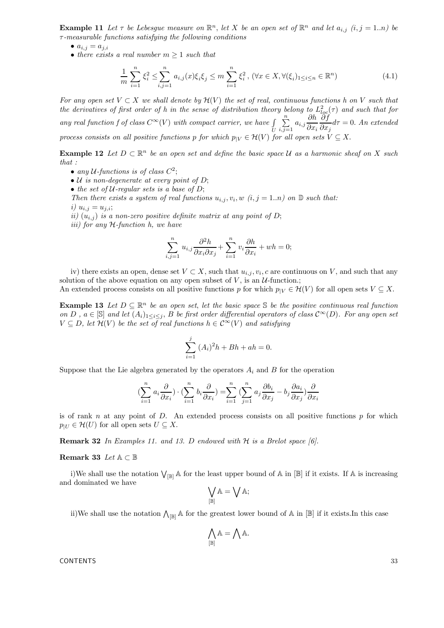**Example 11** Let  $\tau$  be Lebesgue measure on  $\mathbb{R}^n$ , let X be an open set of  $\mathbb{R}^n$  and let  $a_{i,j}$   $(i, j = 1..n)$  be τ -measurable functions satisfying the following conditions

•  $a_{i,j} = a_{j,i}$ 

• there exists a real number  $m \geq 1$  such that

$$
\frac{1}{m} \sum_{i=1}^{n} \xi_i^2 \le \sum_{i,j=1}^{n} a_{i,j}(x) \xi_i \xi_j \le m \sum_{i=1}^{n} \xi_i^2, \ (\forall x \in X, \forall (\xi_i)_{1 \le i \le n} \in \mathbb{R}^n)
$$
\n(4.1)

For any open set  $V \subset X$  we shall denote by  $\mathcal{H}(V)$  the set of real, continuous functions h on V such that the derivatives of first order of h in the sense of distribution theory belong to  $L^2_{loc}(\tau)$  and such that for any real function f of class  $C^{\infty}(V)$  with compact carrier, we have | U  $\sum_{n=1}^{\infty}$  $\sum_{i,j=1}^n a_{i,j} \frac{\partial h}{\partial x_i}$  $\partial x_i$ ∂f  $\frac{\partial f}{\partial x_j}d\tau = 0$ . An extended process consists on all positive functions p for which  $p_{|V} \in \mathcal{H}(V)$  for all open sets  $V \subseteq X$ .

**Example 12** Let  $D \subset \mathbb{R}^n$  be an open set and define the basic space U as a harmonic sheaf on X such that :

- any  $U$ -functions is of class  $C^2$ ;
- $U$  is non-degenerate at every point of  $D$ ;
- the set of  $U$ -regular sets is a base of  $D$ ;

Then there exists a system of real functions  $u_{i,j}, v_i, w$   $(i, j = 1..n)$  on  $\mathbb{D}$  such that: i)  $u_{i,j} = u_{j,i};$ 

ii)  $(u_{i,j})$  is a non-zero positive definite matrix at any point of D;

iii) for any  $H$ -function h, we have

$$
\sum_{i,j=1}^{n} u_{i,j} \frac{\partial^2 h}{\partial x_i \partial x_j} + \sum_{i=1}^{n} v_i \frac{\partial h}{\partial x_i} + wh = 0;
$$

iv) there exists an open, dense set  $V \subset X$ , such that  $u_{i,j}, v_i, c$  are continuous on V, and such that any solution of the above equation on any open subset of  $V$ , is an  $U$ -function.;

An extended process consists on all positive functions p for which  $p_{|V} \in \mathcal{H}(V)$  for all open sets  $V \subseteq X$ .

**Example 13** Let  $D \subseteq \mathbb{R}^n$  be an open set, let the basic space S be the positive continuous real function on D,  $a \in [\mathbb{S}]$  and let  $(A_i)_{1 \leq i \leq j}$ , B be first order differential operators of class  $\mathcal{C}^{\infty}(D)$ . For any open set  $V \subseteq D$ , let  $\mathcal{H}(V)$  be the set of real functions  $h \in C^{\infty}(V)$  and satisfying

$$
\sum_{i=1}^{j} (A_i)^2 h + Bh + ah = 0.
$$

Suppose that the Lie algebra generated by the operators  $A_i$  and  $B$  for the operation

$$
(\sum_{i=1}^n a_i\frac{\partial}{\partial x_i})\cdot (\sum_{i=1}^n b_i\frac{\partial}{\partial x_i})=\sum_{i=1}^n\big(\sum_{j=1}^n a_j\frac{\partial b_i}{\partial x_j}-b_j\frac{\partial a_i}{\partial x_j}\big)\frac{\partial}{\partial x_i}
$$

is of rank n at any point of D. An extended process consists on all positive functions  $p$  for which  $p_{|U} \in \mathcal{H}(U)$  for all open sets  $U \subseteq X$ .

**Remark 32** In Examples 11. and 13. D endowed with  $H$  is a Brelot space [6].

#### Remark 33 Let  $A \subset \mathbb{B}$

i)We shall use the notation  $\bigvee_{[B]} A$  for the least upper bound of A in  $[B]$  if it exists. If A is increasing and dominated we have

$$
\bigvee_{[\mathbb{B}]} \mathbb{A} = \bigvee \mathbb{A};
$$

ii)We shall use the notation  $\bigwedge_{[\mathbb{B}]} A$  for the greatest lower bound of  $A$  in  $[\mathbb{B}]$  if it exists.In this case

$$
\bigwedge_{[\mathbb{B}]} \mathbb{A} = \bigwedge \mathbb{A}.
$$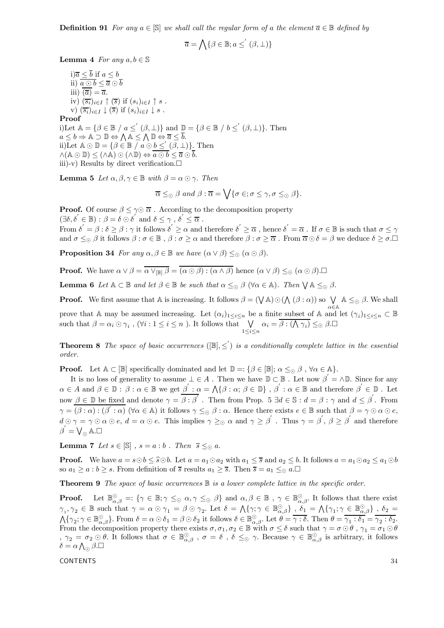**Definition 91** For any  $a \in \mathbb{S}$  we shall call the regular form of a the element  $\overline{a} \in \mathbb{B}$  defined by

$$
\overline{a} = \bigwedge \{ \beta \in \mathbb{B}; a \leq^{'} (\beta, \bot) \}
$$

**Lemma 4** For any  $a, b \in \mathbb{S}$ 

i) $\overline{a} \leq \overline{b}$  if  $a \leq b$ ii)  $\overline{a \odot b} \leq \overline{a} \odot \overline{b}$ iii)  $\overline{a}$  =  $\overline{a}$ . iv)  $(\overline{s_i})_{i\in I} \uparrow (\overline{s})$  if  $(s_i)_{i\in I} \uparrow s$ . v)  $(\overline{s_i})_{i\in I} \downarrow (\overline{s})$  if  $(s_i)_{i\in I} \downarrow s$ .

#### Proof

i)Let  $A = \{\beta \in \mathbb{B} / a \leq (\beta, \perp)\}\$ and  $\mathbb{D} = \{\beta \in \mathbb{B} / b \leq (\beta, \perp)\}\$ . Then  $a \leq b \Rightarrow A \supset \mathbb{D} \Leftrightarrow \bigwedge A \leq \bigwedge \mathbb{D} \Leftrightarrow \overline{a} \leq \overline{b}.$ ii)Let  $\mathbb{A} \odot \mathbb{D} = \{ \beta \in \mathbb{B} \mid a \odot \underline{b} \leq' (\beta, \bot) \}$ . Then  $\wedge$ ( $\wedge \odot$ III)  $\leq$  ( $\wedge \wedge$ )  $\odot$  ( $\wedge$ III)  $\Leftrightarrow$   $\overline{a \odot b} \leq \overline{a} \odot \overline{b}$ . iii)-v) Results by direct verification. $\square$ 

**Lemma 5** Let  $\alpha, \beta, \gamma \in \mathbb{B}$  with  $\beta = \alpha \odot \gamma$ . Then

$$
\overline{\alpha} \leq_{\odot} \beta \text{ and } \beta : \overline{\alpha} = \bigvee \{ \sigma \in; \sigma \leq \gamma, \sigma \leq_{\odot} \beta \}.
$$

**Proof.** Of course  $\beta \leq \gamma \odot \overline{\alpha}$ . According to the decomposition property  $(\exists \delta, \delta' \in \mathbb{B}) : \beta = \delta \odot \delta'$  and  $\delta \leq \gamma, \delta' \leq \overline{\alpha}$ .

From  $\delta' = \beta : \delta \geq \beta : \gamma$  it follows  $\delta' \geq \alpha$  and therefore  $\delta' \geq \overline{\alpha}$ , hence  $\delta' = \overline{\alpha}$ . If  $\sigma \in \mathbb{B}$  is such that  $\sigma \leq \gamma$ and  $\sigma \leq_{\odot} \beta$  it follows  $\beta : \sigma \in \mathbb{B}$ ,  $\beta : \sigma \geq \alpha$  and therefore  $\beta : \sigma \geq \overline{\alpha}$ . From  $\overline{\alpha} \odot \delta = \beta$  we deduce  $\delta \geq \sigma$ .

**Proposition 34** For any  $\alpha, \beta \in \mathbb{B}$  we have  $(\alpha \vee \beta) \leq_{\odot} (\alpha \odot \beta)$ .

**Proof.** We have  $\alpha \vee \beta = \overline{\alpha \vee_{\Box \beta} \beta} = \overline{(\alpha \odot \beta) : (\alpha \wedge \beta)}$  hence  $(\alpha \vee \beta) \leq_{\odot} (\alpha \odot \beta)$ .

**Lemma 6** Let  $A \subset \mathbb{B}$  and let  $\beta \in \mathbb{B}$  be such that  $\alpha \leq_{\odot} \beta$  ( $\forall \alpha \in A$ ). Then  $\forall A \leq_{\odot} \beta$ .

**Proof.** We first assume that  $\mathbb{A}$  is increasing. It follows  $\beta = (\bigvee \mathbb{A}) \odot (\bigwedge (\beta : \alpha))$  so  $\bigvee$  $\bigvee_{\alpha \in A} A \leq_{\odot} \beta$ . We shall prove that A may be assumed increasing. Let  $(\alpha_i)_{1\leq i\leq n}$  be a finite subset of A and let  $(\gamma_i)_{1\leq i\leq n}\subset \mathbb{B}$ such that  $\beta = \alpha_i \odot \gamma_i$ ,  $(\forall i : 1 \le i \le n)$ . It follows that  $\bigvee_{1 \le i \le n} \alpha_i = \overline{\beta : (\bigwedge \gamma_i)} \leq_{\odot} \beta$ .

**Theorem 8** The space of basic occurrences  $([\mathbb{B}], \leq')$  is a conditionally complete lattice in the essential order.

**Proof.** Let  $A \subset [\mathbb{B}]$  specifically dominated and let  $\mathbb{D} =: \{\beta \in [\mathbb{B}] ; \alpha \leq_{\odot} \beta, \forall \alpha \in \mathbb{A}\}.$ 

It is no loss of generality to assume  $\perp \in A$ . Then we have  $\mathbb{D} \subset \mathbb{B}$ . Let now  $\beta' = \wedge \mathbb{D}$ . Since for any  $\alpha \in A$  and  $\beta \in \mathbb{D}$ :  $\beta : \alpha \in \mathbb{B}$  we get  $\underline{\beta' : \alpha} = \bigwedge \{ \beta : \alpha; \beta \in \mathbb{D} \}$ ,  $\beta' : \alpha \in \mathbb{B}$  and therefore  $\beta' \in \mathbb{D}$ . Let now  $\beta \in \mathbb{D}$  be fixed and denote  $\gamma = \beta : \beta'$ . Then from Prop. 5  $\exists d \in \mathbb{S} : d = \beta : \gamma$  and  $d \leq \beta'$ . From  $\gamma = (\beta : \alpha) : (\beta' : \alpha) \; (\forall \alpha \in \mathbb{A})$  it follows  $\gamma \leq_{\odot} \beta : \alpha$ . Hence there exists  $e \in \mathbb{B}$  such that  $\beta = \gamma \odot \alpha \odot e$ ,  $d \odot \gamma = \gamma \odot \alpha \odot e$ ,  $d = \alpha \odot e$ . This implies  $\gamma \geq_{\odot} \alpha$  and  $\gamma \geq \beta^{'}$ . Thus  $\gamma = \beta^{'}$ ,  $\beta \geq \beta^{'}$  and therefore  $\beta^{'} = \bigvee_{\odot} \mathbb{A}.\square$ 

**Lemma 7** Let  $s \in [\mathbb{S}]$ ,  $s = a:b$ . Then  $\overline{s} \leq_{\odot} a$ .

**Proof.** We have  $a = s \odot b \leq \hat{s} \odot b$ . Let  $a = a_1 \odot a_2$  with  $a_1 \leq \overline{s}$  and  $a_2 \leq b$ . It follows  $a = a_1 \odot a_2 \leq a_1 \odot b$ so  $a_1 \ge a : b \ge s$ . From definition of  $\overline{s}$  results  $a_1 \ge \overline{s}$ . Then  $\overline{s} = a_1 \le_{\odot} a$ .

**Theorem 9** The space of basic occurrences  $\mathbb{B}$  is a lower complete lattice in the specific order.

**Proof.** Let  $\mathbb{B}^{\mathbb{O}}_{\alpha,\beta} = \{\gamma \in \mathbb{B}; \gamma \leq_{\mathbb{O}} \alpha, \gamma \leq_{\mathbb{O}} \beta\}$  and  $\alpha, \beta \in \mathbb{B}$ ,  $\gamma \in \mathbb{B}^{\mathbb{O}}_{\alpha,\beta}$ . It follows that there exist  $\gamma_1, \gamma_2 \in \mathbb{B}$  such that  $\gamma = \alpha \odot \gamma_1 = \beta \odot \gamma_2$ . Let  $\delta = \bigwedge \{ \gamma_i \gamma \in \mathbb{B}^\odot_{\alpha, \beta} \}$ ,  $\delta_1 = \bigwedge \{ \gamma_1; \gamma \in \mathbb{B}^\odot_{\alpha, \beta} \}$  $\gamma_1, \gamma_2 \in \mathbb{B}$  such that  $\gamma = \alpha \odot \gamma_1 = \beta \odot \gamma_2$ . Let  $\delta = \bigwedge \{\gamma; \gamma \in \mathbb{B}^{\odot}_{\alpha,\beta}\}\,$ ,  $\delta_1 = \bigwedge \{\gamma_1; \gamma \in \mathbb{B}^{\odot}_{\alpha,\beta}\}\,$ ,  $\delta_2 = \bigwedge \{\gamma_2; \gamma \in \mathbb{B}^{\odot}_{\alpha,\beta}\}\.$  From  $\delta = \alpha \odot \delta_1 = \beta \odot \delta_2$  it follows  $\$ From the decomposition property there exists  $\sigma, \sigma_1, \sigma_2 \in \mathbb{B}$  with  $\sigma \leq \delta$  such that  $\gamma = \sigma \odot \theta$ ,  $\gamma_1 = \sigma_1 \odot \theta$  $\sigma$ ,  $\gamma_2 = \sigma_2 \odot \theta$ . It follows that  $\sigma \in \mathbb{B}^{\odot}_{\alpha,\beta}$ ,  $\sigma = \delta$ ,  $\delta \leq_{\odot} \gamma$ . Because  $\gamma \in \mathbb{B}^{\odot}_{\alpha,\beta}$  is arbitrary, it follows  $\delta = \alpha \bigwedge_{\odot} \beta$ . $\square$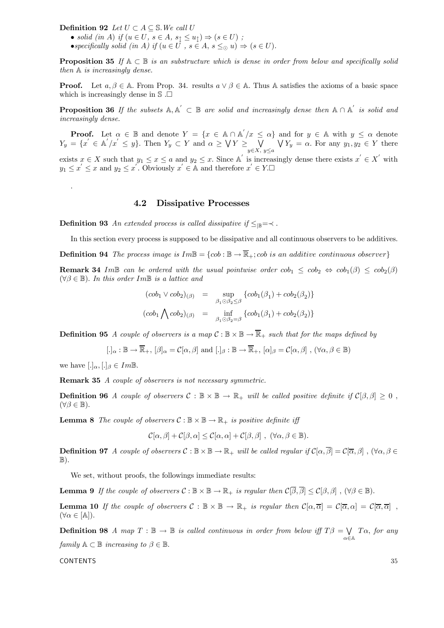Definition 92 Let  $U \subset A \subseteq \mathbb{S}$ . We call U

• solid (in A) if  $(u \in U, s \in A, s_1 \le u_1) \Rightarrow (s \in U)$ ; •specifically solid (in A) if  $(u \in U, s \in A, s \leq_0 u) \Rightarrow (s \in U)$ .

**Proposition 35** If  $A \subseteq B$  is an substructure which is dense in order from below and specifically solid then A is increasingly dense.

**Proof.** Let  $a, \beta \in \mathbb{A}$ . From Prop. 34. results  $a \lor \beta \in \mathbb{A}$ . Thus A satisfies the axioms of a basic space which is increasingly dense in  $\mathbb{S}$ .

**Proposition 36** If the subsets  $A, A' \subset \mathbb{B}$  are solid and increasingly dense then  $A \cap A'$  is solid and increasingly dense.

**Proof.** Let  $\alpha \in \mathbb{B}$  and denote  $Y = \{x \in \mathbb{A} \cap \mathbb{A}'/x \leq \alpha\}$  and for  $y \in \mathbb{A}$  with  $y \leq \alpha$  denote  $Y_y = \{x' \in \mathbb{A}'/x' \leq y\}$ . Then  $Y_y \subset Y$  and  $\alpha \geq \bigvee Y \geq \bigvee_{y \in X, y \leq \alpha} \bigvee Y_y = \alpha$ . For any  $y_1, y_2 \in Y$  there exists  $x \in X$  such that  $y_1 \leq x \leq a$  and  $y_2 \leq x$ . Since A is increasingly dense there exists  $x \in X$  with  $y_1 \leq x' \leq x$  and  $y_2 \leq x'$ . Obviously  $x' \in A$  and therefore  $x' \in Y$ .

## 4.2 Dissipative Processes

**Definition 93** An extended process is called dissipative if  $\leq_{\mathbb{B}} = \prec$ .

In this section every process is supposed to be dissipative and all continuous observers to be additives.

**Definition 94** The process image is  $Im\mathbb{B} = \{ cob : \mathbb{B} \to \overline{\mathbb{R}}_+; cob \text{ is an additive continuous observer} \}$ 

**Remark 34** ImB can be ordered with the usual pointwise order  $\text{coh}_1 \leq \text{coh}_2 \Leftrightarrow \text{coh}_1(\beta) \leq \text{coh}_2(\beta)$  $(\forall \beta \in \mathbb{B})$ . In this order Im $\mathbb{B}$  is a lattice and

$$
\begin{array}{rcl}\n(\cosh \sqrt{\cosh_2})_{(\beta)} & = & \sup_{\beta_1 \odot \beta_2 \leq \beta} \{ \cosh(\beta_1) + \cosh(\beta_2) \} \\
(\cosh \sqrt{\cosh_2})_{(\beta)} & = & \inf_{\beta_1 \odot \beta_2 = \beta} \{ \cosh(\beta_1) + \cosh(\beta_2) \}\n\end{array}
$$

**Definition 95** A couple of observers is a map  $C : \mathbb{B} \times \mathbb{B} \to \overline{\mathbb{R}}_+$  such that for the maps defined by

$$
[.]_{\alpha} : \mathbb{B} \to \overline{\mathbb{R}}_{+}, [\beta]_{\alpha} = C[\alpha, \beta] \text{ and } [.]_{\beta} : \mathbb{B} \to \overline{\mathbb{R}}_{+}, [\alpha]_{\beta} = C[\alpha, \beta] , (\forall \alpha, \beta \in \mathbb{B})
$$

we have  $[.]_{\alpha},[.]_{\beta} \in Im \mathbb{B}$ .

.

Remark 35 A couple of observers is not necessary symmetric.

**Definition 96** A couple of observers  $\mathcal{C}: \mathbb{B} \times \mathbb{B} \to \mathbb{R}_+$  will be called positive definite if  $\mathcal{C}(\beta, \beta) \geq 0$ ,  $(\forall \beta \in \mathbb{B}).$ 

**Lemma 8** The couple of observers  $C : \mathbb{B} \times \mathbb{B} \to \mathbb{R}_+$  is positive definite iff

$$
\mathcal{C}[\alpha,\beta]+\mathcal{C}[\beta,\alpha]\leq \mathcal{C}[\alpha,\alpha]+\mathcal{C}[\beta,\beta],\;(\forall\alpha,\beta\in\mathbb{B}).
$$

**Definition 97** A couple of observers  $C : \mathbb{B} \times \mathbb{B} \to \mathbb{R}_+$  will be called regular if  $C[\alpha, \overline{\beta}] = C[\overline{\alpha}, \beta]$ ,  $(\forall \alpha, \beta \in \mathbb{C}$  $\mathbb{B}$ ).

We set, without proofs, the followings immediate results:

**Lemma 9** If the couple of observers  $C : \mathbb{B} \times \mathbb{B} \to \mathbb{R}_+$  is regular then  $C[\overline{\beta}, \overline{\beta}] \le C[\beta, \beta]$ ,  $(\forall \beta \in \mathbb{B})$ .

**Lemma 10** If the couple of observers  $C : \mathbb{B} \times \mathbb{B} \to \mathbb{R}_+$  is regular then  $C[\alpha, \overline{\alpha}] = C[\overline{\alpha}, \alpha] = C[\overline{\alpha}, \overline{\alpha}]$ ,  $(\forall \alpha \in [\mathbb{A}]).$ 

**Definition 98** A map  $T : \mathbb{B} \to \mathbb{B}$  is called continuous in order from below iff  $T\beta = \bigvee_{\alpha \in \mathbb{A}}$ Tα, for any family  $\mathbb{A} \subset \mathbb{B}$  increasing to  $\beta \in \mathbb{B}$ .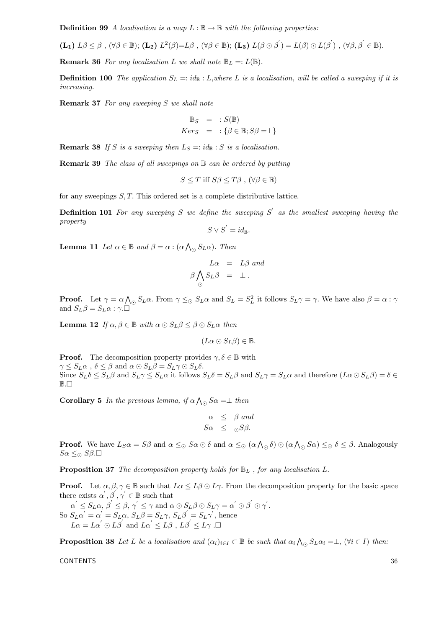**Definition 99** A localisation is a map  $L : \mathbb{B} \to \mathbb{B}$  with the following properties:

$$
(\mathbf{L_1}) L\beta \leq \beta, (\forall \beta \in \mathbb{B}); (\mathbf{L_2}) L^2(\beta) = L\beta, (\forall \beta \in \mathbb{B}); (\mathbf{L_3}) L(\beta \odot \beta') = L(\beta) \odot L(\beta'), (\forall \beta, \beta' \in \mathbb{B}).
$$

**Remark 36** For any localisation L we shall note  $\mathbb{B}_L = L(\mathbb{B})$ .

**Definition 100** The application  $S_L = id_{\mathbb{B}} : L$ , where L is a localisation, will be called a sweeping if it is increasing.

Remark 37 For any sweeping S we shall note

$$
\mathbb{B}_S = :S(\mathbb{B})
$$
  

$$
Ker_S = :{\beta \in \mathbb{B}; S\beta = \perp}
$$

**Remark 38** If S is a sweeping then  $L_S = id_B : S$  is a localisation.

Remark 39 The class of all sweepings on  $\mathbb B$  can be ordered by putting

$$
S \leq T \text{ iff } S\beta \leq T\beta , (\forall \beta \in \mathbb{B})
$$

for any sweepings  $S, T$ . This ordered set is a complete distributive lattice.

**Definition 101** For any sweeping S we define the sweeping S' as the smallest sweeping having the property

$$
S\vee S^{'}=id_{\mathbb{B}}.
$$

**Lemma 11** Let  $\alpha \in \mathbb{B}$  and  $\beta = \alpha : (\alpha \bigwedge_{\odot} S_L \alpha)$ . Then

$$
L\alpha = L\beta \text{ and}
$$
  

$$
\beta \bigwedge_{\odot} S_L\beta = \bot.
$$

**Proof.** Let  $\gamma = \alpha \bigwedge_{\mathcal{O}} S_L \alpha$ . From  $\gamma \leq_{\mathcal{O}} S_L \alpha$  and  $S_L = S_L^2$  it follows  $S_L \gamma = \gamma$ . We have also  $\beta = \alpha : \gamma$ and  $S_L \beta = S_L \alpha : \gamma$ .

**Lemma 12** If  $\alpha, \beta \in \mathbb{B}$  with  $\alpha \odot S_L \beta \leq \beta \odot S_L \alpha$  then

$$
(L\alpha \odot S_L\beta) \in \mathbb{B}.
$$

**Proof.** The decomposition property provides  $\gamma, \delta \in \mathbb{B}$  with  $\gamma \leq S_L \alpha$ ,  $\delta \leq \beta$  and  $\alpha \odot S_L \beta = S_L \gamma \odot S_L \delta$ .

Since  $S_L \delta \leq S_L \beta$  and  $S_L \gamma \leq S_L \alpha$  it follows  $S_L \delta = S_L \beta$  and  $S_L \gamma = S_L \alpha$  and therefore  $(L \alpha \odot S_L \beta) = \delta \in$  $\mathbb{B}.\Box$ 

**Corollary 5** In the previous lemma, if  $\alpha \wedge_{\odot} S \alpha = \perp$  then

$$
\begin{array}{rcl}\n\alpha & \leq & \beta \text{ and} \\
S\alpha & \leq & \circ S\beta.\n\end{array}
$$

**Proof.** We have  $L_S \alpha = S \beta$  and  $\alpha \leq_{\odot} S \alpha \odot \delta$  and  $\alpha \leq_{\odot} (\alpha \bigwedge_{\odot} \delta) \odot (\alpha \bigwedge_{\odot} S \alpha) \leq_{\odot} \delta \leq \beta$ . Analogously  $S\alpha \leq_{\odot} S\beta.\square$ 

**Proposition 37** The decomposition property holds for  $\mathbb{B}_L$ , for any localisation L.

**Proof.** Let  $\alpha, \beta, \gamma \in \mathbb{B}$  such that  $L\alpha \leq L\beta \odot L\gamma$ . From the decomposition property for the basic space there exists  $\alpha', \beta', \gamma' \in \mathbb{B}$  such that

 $\alpha^{'} \leq S_L \alpha, \, \beta^{'} \leq \beta, \, \gamma^{'} \leq \gamma \, \, \text{and} \, \, \alpha \odot S_L \beta \odot S_L \gamma = \alpha^{'} \odot \beta^{'} \odot \gamma^{'} .$ So  $S_L \alpha' = \alpha' = S_L \alpha$ ,  $S_L \beta = S_L \gamma$ ,  $S_L \beta' = S_L \gamma'$ , hence  $L\alpha = L\alpha' \odot L\beta'$  and  $L\alpha' \leq L\beta$ ,  $L\beta' \leq L\gamma$ .

**Proposition 38** Let L be a localisation and  $(\alpha_i)_{i \in I} \subset \mathbb{B}$  be such that  $\alpha_i \wedge_{\mathcal{O}} S_L \alpha_i = \perp$ ,  $(\forall i \in I)$  then: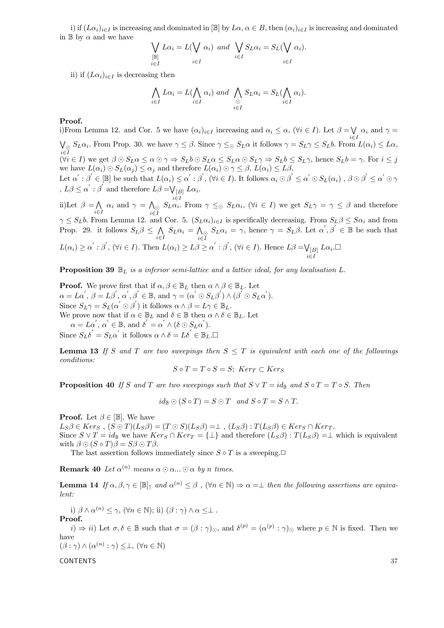i) if  $(L\alpha_i)_{i\in I}$  is increasing and dominated in  $[\mathbb{B}]$  by  $L\alpha$ ,  $\alpha \in B$ , then  $(\alpha_i)_{i\in I}$  is increasing and dominated in  $\mathbb B$  by  $\alpha$  and we have

$$
\bigvee_{\substack{[\mathbb{B}]\i \in I}} L\alpha_i = L(\bigvee_{i \in I} \alpha_i) \text{ and } \bigvee_{i \in I} S_L \alpha_i = S_L(\bigvee_{i \in I} \alpha_i).
$$

ii) if  $(L\alpha_i)_{i\in I}$  is decreasing then

$$
\bigwedge_{i \in I} L \alpha_i = L(\bigwedge_{i \in I} \alpha_i) \text{ and } \bigwedge_{\substack{\bigcirc \\ i \in I}} S_L \alpha_i = S_L(\bigwedge_{i \in I} \alpha_i).
$$

#### Proof.

i)From Lemma 12. and Cor. 5 we have  $(\alpha_i)_{i\in I}$  increasing and  $\alpha_i \leq \alpha$ ,  $(\forall i \in I)$ . Let  $\beta = \bigvee_{i\in I} \alpha_i$  and  $\gamma =$  $\bigvee_{i\in I} S_L\alpha_i$ . From Prop. 30. we have  $\gamma \leq \beta$ . Since  $\gamma \leq_{\odot} S_L\alpha$  it follows  $\gamma = S_L\gamma \leq S_Lb$ . From  $L(\alpha_i) \leq L\alpha$ ,  $i\in I$ <br>  $(\forall i \in I)$  we get  $\beta \odot S_L \alpha \leq \alpha \odot \gamma \Rightarrow S_L b \odot S_L \alpha \leq S_L \alpha \odot S_L \gamma \Rightarrow S_L b \leq S_L \gamma$ , hence  $S_L b = \gamma$ . For  $i \leq j$ we have  $L(\alpha_i) \odot S_L(\alpha_j) \leq \alpha_j$  and therefore  $L(\alpha_i) \odot \gamma \leq \beta$ ,  $L(\alpha_i) \leq L\beta$ . Let  $\alpha^{'} : \beta^{'} \in [\mathbb{B}]$  be such that  $L(\alpha_i) \leq \alpha^{'} : \beta^{'}$ ,  $(\forall i \in I)$ . It follows  $\alpha_i \odot \beta^{'} \leq \alpha^{'} \odot S_L(\alpha_i)$  ,  $\beta \odot \beta^{'} \leq \alpha^{'} \odot \gamma$ ,  $L\beta \leq \alpha'$ :  $\beta'$  and therefore  $L\beta = \bigvee_{[B]} L\alpha_i$ .

ii)Let  $\beta = \bigwedge \alpha_i$  and  $\gamma = \bigwedge_{\odot} S_L \alpha_i$ . i∈I  $\alpha_i$  and  $\gamma = \bigwedge_{i \in I}$  $S_L \alpha_i$ . From  $\gamma \leq_{\odot} S_L \alpha_i$ ,  $(\forall i \in I)$  we get  $S_L \gamma = \gamma \leq \beta$  and therefore  $\gamma \le S_L b$ . From Lemma 12. and Cor. 5.  $(S_L \alpha_i)_{i \in I}$  is specifically decreasing. From  $S_L \beta \le S \alpha_i$  and from Prop. 29. it follows  $S_L \beta \leq \bigwedge_{i \in I}$  $S_L \alpha_i = \bigwedge_{i \in I}$  $S_L \alpha_i = \gamma$ , hence  $\gamma = S_L \beta$ . Let  $\alpha', \beta' \in \mathbb{B}$  be such that  $L(\alpha_i) \ge \alpha' : \beta', (\forall i \in I)$ . Then  $L(\alpha_i) \ge L\beta \ge \alpha' : \beta', (\forall i \in I)$ . Hence  $L\beta = \bigvee_{[B]}$ i∈I  $L\alpha_i.\Box$ 

**Proposition 39**  $\mathbb{B}_L$  is a inferior semi-lattice and a lattice ideal, for any localisation L.

**Proof.** We prove first that if  $\alpha, \beta \in \mathbb{B}_L$  then  $\alpha \wedge \beta \in \mathbb{B}_L$ . Let  $\alpha = L\alpha', \beta = L\beta', \alpha', \beta' \in \mathbb{B}$ , and  $\gamma = (\alpha' \odot S_L\beta') \wedge (\beta' \odot S_L\alpha').$ Since  $S_L \gamma = S_L(\alpha' \odot \beta')$  it follows  $\alpha \wedge \beta = L \gamma \in \mathbb{B}_L$ . We prove now that if  $\alpha \in \mathbb{B}_L$  and  $\delta \in \mathbb{B}$  then  $\alpha \wedge \delta \in \mathbb{B}_L$ . Let

 $\alpha = L\alpha', \alpha' \in \mathbb{B}$ , and  $\delta' = \alpha' \wedge (\delta \odot S_{L}\alpha')$ . Since  $S_L \delta' = S_L \alpha'$  it follows  $\alpha \wedge \delta = L \delta' \in \mathbb{B}_L$ .

**Lemma 13** If S and T are two sweepings then  $S \leq T$  is equivalent with each one of the followings conditions:

$$
S \circ T = T \circ S = S; \ Ker_T \subset Ker_S
$$

**Proposition 40** If S and T are two sweepings such that  $S \vee T = id_{\mathbb{B}}$  and  $S \circ T = T \circ S$ . Then

$$
id_{\mathbb{B}} \odot (S \circ T) = S \odot T \quad and \quad S \circ T = S \wedge T.
$$

**Proof.** Let  $\beta \in [\mathbb{B}]$ . We have

 $L_S\beta \in Ker_S$ ,  $(S \odot T)(L_S\beta) = (T \odot S)(L_S\beta) = \perp$ ,  $(L_S\beta) : T(L_S\beta) \in Ker_S \cap Ker_T$ . Since  $S \vee T = id_{\mathbb{B}}$  we have  $Ker_S \cap Ker_T = {\perp}$  and therefore  $(L_S \beta) : T(L_S \beta) = \perp$  which is equivalent with  $\beta \odot (S \circ T)\beta = S\beta \odot T\beta$ .

The last assertion follows immediately since  $S \circ T$  is a sweeping.

**Remark 40** Let  $\alpha^{(n)}$  means  $\alpha \odot \alpha ... \odot \alpha$  by n times.

**Lemma 14** If  $\alpha, \beta, \gamma \in [\mathbb{B}]_1$  and  $\alpha^{(n)} \leq \beta$ ,  $(\forall n \in \mathbb{N}) \Rightarrow \alpha = \bot$  then the following assertions are equivalent:

i)  $\beta \wedge \alpha^{(n)} \leq \gamma$ ,  $(\forall n \in \mathbb{N})$ ; ii)  $(\beta : \gamma) \wedge \alpha \leq \perp$ .

Proof.  $i) \Rightarrow ii)$  Let  $\sigma, \delta \in \mathbb{B}$  such that  $\sigma = (\beta : \gamma)_{\odot}$ , and  $\delta^{(p)} = (\alpha^{(p)} : \gamma)_{\odot}$  where  $p \in \mathbb{N}$  is fixed. Then we have

 $(\beta : \gamma) \wedge (\alpha^{(n)} : \gamma) \leq \perp, (\forall n \in \mathbb{N})$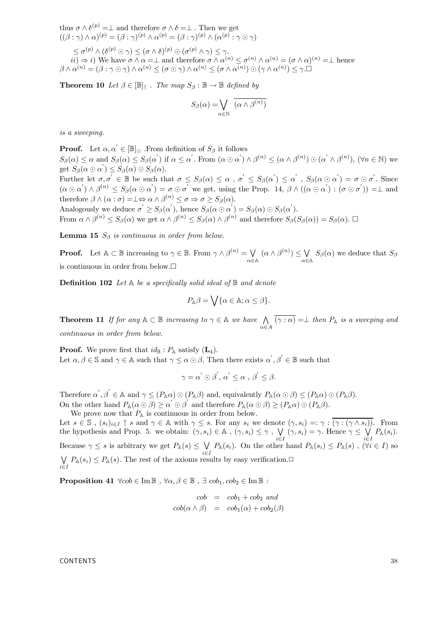thus  $\sigma \wedge \delta^{(p)} = \perp$  and therefore  $\sigma \wedge \delta = \perp$ . Then we get  $((\beta : \gamma) \wedge \alpha)^{(p)} = (\beta : \gamma)^{(p)} \wedge \alpha^{(p)} = (\beta : \gamma)^{(p)} \wedge (\alpha^{(p)} : \gamma \odot \gamma)$ 

 $\leq \sigma^{(p)} \wedge (\delta^{(p)} \odot \gamma) \leq (\sigma \wedge \delta)^{(p)} \odot (\sigma^{(p)} \wedge \gamma) \leq \gamma.$  $ii) \Rightarrow i)$  We have  $\sigma \wedge \alpha = \perp$  and therefore  $\sigma \wedge \alpha^{(n)} \leq \sigma^{(n)} \wedge \alpha^{(n)} = (\sigma \wedge \alpha)^{(n)} = \perp$  hence  $\beta \wedge \alpha^{(n)} = (\beta : \gamma \odot \gamma) \wedge \alpha^{(n)} \le (\sigma \odot \gamma) \wedge \alpha^{(n)} \le (\sigma \wedge \alpha^{(n)}) \odot (\gamma \wedge \alpha^{(n)}) \le \gamma. \Box$ 

**Theorem 10** Let  $\beta \in [\mathbb{B}]$  . The map  $S_{\beta} : \mathbb{B} \to \mathbb{B}$  defined by

$$
S_{\beta}(\alpha) = \bigvee_{n \in \mathbb{N}} \overline{(\alpha \wedge \beta^{(n)})}
$$

is a sweeping.

**Proof.** Let  $\alpha, \alpha' \in [\mathbb{B}]_{\odot}$  . From definition of  $S_{\beta}$  it follows  $S_{\beta}(\alpha) \leq \alpha$  and  $S_{\beta}(\alpha) \leq S_{\beta}(\alpha')$  if  $\alpha \leq \alpha'$ . From  $(\alpha \odot \alpha') \wedge \beta^{(n)} \leq (\alpha \wedge \beta^{(n)}) \odot (\alpha' \wedge \beta^{(n)})$ ,  $(\forall n \in \mathbb{N})$  we get  $S_{\beta}(\alpha \odot \alpha') \leq S_{\beta}(\alpha) \odot S_{\beta}(\alpha)$ . Further let  $\sigma, \sigma' \in \mathbb{B}$  be such that  $\sigma \leq S_{\beta}(\alpha) \leq \alpha$ ,  $\sigma' \leq S_{\beta}(\alpha') \leq \alpha'$ ,  $S_{\beta}(\alpha \odot \alpha') = \sigma \odot \sigma'$ . Since  $(\alpha \odot \alpha') \wedge \beta^{(n)} \leq S_{\beta}(\alpha \odot \alpha') = \sigma \odot \sigma'$  we get, using the Prop. 14,  $\beta \wedge ((\alpha \odot \alpha') : (\sigma \odot \sigma')) = \perp$  and therefore  $\beta \wedge (\alpha : \sigma) = \perp \Leftrightarrow \alpha \wedge \beta^{(n)} \leq \sigma \Rightarrow \sigma \geq S_{\beta}(\alpha)$ .

Analogously we deduce  $\sigma' \geq S_{\beta}(\alpha')$ , hence  $S_{\beta}(\alpha \odot \alpha') = S_{\beta}(\alpha) \odot S_{\beta}(\alpha')$ .

From  $\alpha \wedge \beta^{(n)} \leq S_{\beta}(\alpha)$  we get  $\alpha \wedge \beta^{(n)} \leq S_{\beta}(\alpha) \wedge \beta^{(n)}$  and therefore  $S_{\beta}(S_{\beta}(\alpha)) = S_{\beta}(\alpha)$ .

**Lemma 15**  $S_{\beta}$  is continuous in order from below.

**Proof.** Let  $\mathbb{A} \subset \mathbb{B}$  increasing to  $\gamma \in \mathbb{B}$ . From  $\gamma \wedge \beta^{(n)} = \bigvee_{\alpha \in \mathbb{A}} (\alpha \wedge \beta^{(n)}) \leq \bigvee_{\alpha \in \mathbb{A}}$  $S_{\beta}(\alpha)$  we deduce that  $S_{\beta}$ is continuous in order from below.

**Definition 102** Let  $A$  be a specifically solid ideal of  $B$  and denote

$$
P_{\mathbb{A}}\beta=\bigvee\{\alpha\in\mathbb{A}; \alpha\leq\beta\}.
$$

**Theorem 11** If for any  $A \subset \mathbb{B}$  increasing to  $\gamma \in A$  we have  $\bigwedge_{\alpha \in A} (\gamma : \alpha) = \bot$  then  $P_A$  is a sweeping and continuous in order from below.

**Proof.** We prove first that  $id_{\mathbb{B}}: P_{\mathbb{A}}$  satisfy  $(L_4)$ . Let  $\alpha, \beta \in \mathbb{S}$  and  $\gamma \in \mathbb{A}$  such that  $\gamma \leq \alpha \odot \beta$ . Then there exists  $\alpha', \beta' \in \mathbb{B}$  such that

$$
\gamma = \alpha' \odot \beta', \alpha' \le \alpha, \beta' \le \beta.
$$

Therefore  $\alpha', \beta' \in A$  and  $\gamma \leq (P_{\mathbb{A}}\alpha) \odot (P_{\mathbb{A}}\beta)$  and, equivalently  $P_{\mathbb{A}}(\alpha \odot \beta) \leq (P_{\mathbb{A}}\alpha) \odot (P_{\mathbb{A}}\beta)$ . On the other hand  $P_{\mathbb{A}}(\alpha \odot \beta) \geq \alpha' \odot \beta'$  and therefore  $P_{\mathbb{A}}(\alpha \odot \beta) \geq (P_{\mathbb{A}}\alpha) \odot (P_{\mathbb{A}}\beta)$ .

We prove now that  $P_{\mathbb{A}}$  is continuous in order from below.

Let  $s \in \mathbb{S}$ ,  $(s_i)_{i \in I} \uparrow s$  and  $\gamma \in \mathbb{A}$  with  $\gamma \leq s$ . For any  $s_i$  we denote  $(\gamma, s_i) =: \gamma : (\gamma : (\gamma \wedge s_i))$ . From the hypothesis and Prop. 5. we obtain:  $(\gamma, s_i) \in \mathbb{A}$ ,  $(\gamma, s_i) \leq \gamma$ ,  $\bigvee_{i \in I} (\gamma, s_i) = \gamma$ . Hence  $\gamma \leq \bigvee_{i \in I}$  $P_{\mathbb{A}}(s_i)$ . Because  $\gamma \leq s$  is arbitrary we get  $P_{\mathbb{A}}(s) \leq \bigvee_{i \in I} P_{\mathbb{A}}(s_i)$ . On the other hand  $P_{\mathbb{A}}(s_i) \leq P_{\mathbb{A}}(s)$ ,  $(\forall i \in I)$  so  $\bigvee_{\sigma} P_{\mathbb{A}}(s_i) \leq P_{\mathbb{A}}(s)$ . The rest of the axioms results by easy verification. i∈I

**Proposition 41**  $\forall \text{cob} \in \text{Im } \mathbb{B}$ ,  $\forall \alpha, \beta \in \mathbb{B}$ ,  $\exists \text{ cob}_1, \text{cob}_2 \in \text{Im } \mathbb{B}$ :

$$
cob = cob1 + cob2 and
$$
  

$$
cob(\alpha \wedge \beta) = cob1(\alpha) + cob2(\beta)
$$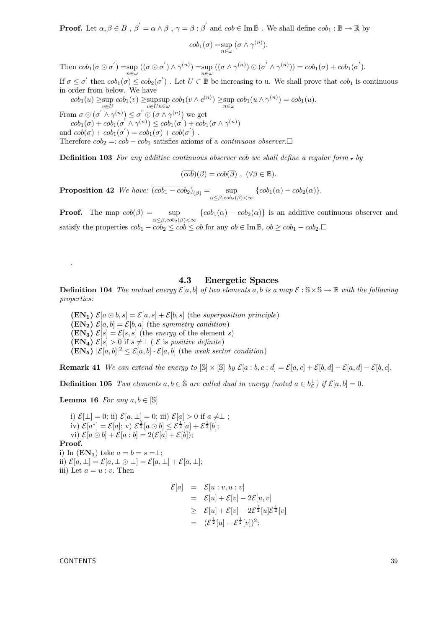**Proof.** Let  $\alpha, \beta \in B$ ,  $\beta' = \alpha \wedge \beta$ ,  $\gamma = \beta : \beta'$  and  $\alpha b \in \text{Im } \mathbb{B}$ . We shall define  $\alpha b_1 : \mathbb{B} \to \mathbb{R}$  by

$$
cob1(\sigma) = \sup_{n \in \omega} (\sigma \wedge \gamma^{(n)}).
$$

Then  $\cosh(\sigma \odot \sigma') = \sup_{\sigma \in \mathcal{C}}$  $\sup_{n\in\omega} ((\sigma\odot\sigma^{'})\wedge\gamma^{(n)}) = \sup_{n\in\omega} ((\sigma\wedge\gamma^{(n)})\odot(\sigma^{'}\wedge\gamma^{(n)})) = cob_1(\sigma) + cob_1(\sigma^{'}).$ If  $\sigma \leq \sigma'$  then  $\cosh(\sigma) \leq \cosh(2\sigma')$ . Let  $U \subset \mathbb{B}$  be increasing to u. We shall prove that  $\cosh$  is continuous in order from below. We have

sup  $\sup_{n\in\omega} \cosh(v \wedge c^{(n)}) \geq \sup_{n\in\omega} \cosh(u \wedge \gamma^{(n)}) = \cosh(u).$ 

 $\cosh(u) \geq \sup_{v \in U} \cosh(v) \geq \sup_{v \in U}$ From  $\sigma \odot (\sigma' \wedge \gamma^{(n)}) \leq \sigma' \odot (\sigma \wedge \gamma^{(n)})$  we get  $\cosh(\sigma) + \cosh(\sigma' \wedge \gamma^{(n)}) \leq \cosh(\sigma') + \cosh(\sigma \wedge \gamma^{(n)})$ 

and  $\cosh(\sigma) + \cosh(\sigma') = \cosh(\sigma) + \cosh(\sigma')$ .

Therefore  $\cosh_2 = \cosh - \cosh_1$  satisfies axioms of a *continuous observer*.

**Definition 103** For any additive continuous observer cob we shall define a regular form - by

$$
(\overline{cob})(\beta)= cob(\overline{\beta}) , (\forall \beta \in \mathbb{B}).
$$

**Proposition 42** We have:  $(cob_1 - cob_2)_{(\beta)} = \sup_{\alpha \leq \beta, cob_2(\beta) < \infty} \{ cob_1(\alpha) - cob_2(\alpha) \}.$ 

**Proof.** The map  $\text{cob}(\beta) = \text{sup}$  $\sup_{\alpha \leq \beta, \cosh(0) < \infty} \{ \cosh(\alpha) - \cosh(\alpha) \}$  is an additive continuous observer and satisfy the properties  $\cosh_1 - \cosh_2 \leq \cosh \leq \cosh \cosh \theta$  for any  $\cosh \theta \in \text{Im } \mathbb{B}$ ,  $\cosh \theta \geq \cosh_1 - \cosh_2 \theta$ .

## 4.3 Energetic Spaces

**Definition 104** The mutual energy  $\mathcal{E}[a, b]$  of two elements a, b is a map  $\mathcal{E}: \mathbb{S} \times \mathbb{S} \to \mathbb{R}$  with the following properties:

 $(\mathbf{EN_1}) \mathcal{E}[a \odot b, s] = \mathcal{E}[a, s] + \mathcal{E}[b, s]$  (the superposition principle)  $(\mathbf{EN_2}) \mathcal{E}[a, b] = \mathcal{E}[b, a]$  (the symmetry condition) **(EN<sub>3</sub>)**  $\mathcal{E}[s] = \mathcal{E}[s, s]$  (the *energy* of the element s) **(EN<sub>4</sub>)**  $\mathcal{E}[s] > 0$  if  $s \neq \perp$  (  $\mathcal{E}$  is positive definite)  $(\mathbf{EN}_5) \; |\mathcal{E}[a, b]|^2 \leq \mathcal{E}[a, b] \cdot \mathcal{E}[a, b]$  (the weak sector condition)

**Remark 41** We can extend the energy to  $[\mathbb{S}] \times [\mathbb{S}]$  by  $\mathcal{E}[a : b, c : d] = \mathcal{E}[a, c] + \mathcal{E}[b, d] - \mathcal{E}[a, d] - \mathcal{E}[b, c]$ .

**Definition 105** Two elements  $a, b \in \mathbb{S}$  are called dual in energy (noted  $a \in b_{\mathcal{E}}^{\perp}$ ) if  $\mathcal{E}[a, b] = 0$ .

**Lemma 16** For any  $a, b \in [\mathbb{S}]$ 

.

i)  $\mathcal{E}[\perp] = 0$ ; ii)  $\mathcal{E}[a, \perp] = 0$ ; iii)  $\mathcal{E}[a] > 0$  if  $a \neq \perp$ ; iv)  $\mathcal{E}[a^*] = \mathcal{E}[a]$ ; v)  $\mathcal{E}^{\frac{1}{2}}[a \odot b] \leq \mathcal{E}^{\frac{1}{2}}[a] + \mathcal{E}^{\frac{1}{2}}[b]$ ; vi)  $\mathcal{E}[a \odot b] + \mathcal{E}[a:b] = 2(\mathcal{E}[a] + \mathcal{E}[b])$ ; Proof. i) In  $(EN_1)$  take  $a = b = s = \perp$ ; ii)  $\mathcal{E}[a, \perp] = \mathcal{E}[a, \perp \odot \perp] = \mathcal{E}[a, \perp] + \mathcal{E}[a, \perp];$ iii) Let  $a = u : v$ . Then

$$
\mathcal{E}[a] = \mathcal{E}[u:v, u:v] \n= \mathcal{E}[u] + \mathcal{E}[v] - 2\mathcal{E}[u, v] \n\geq \mathcal{E}[u] + \mathcal{E}[v] - 2\mathcal{E}^{\frac{1}{2}}[u]\mathcal{E}^{\frac{1}{2}}[v] \n= (\mathcal{E}^{\frac{1}{2}}[u] - \mathcal{E}^{\frac{1}{2}}[v])^2;
$$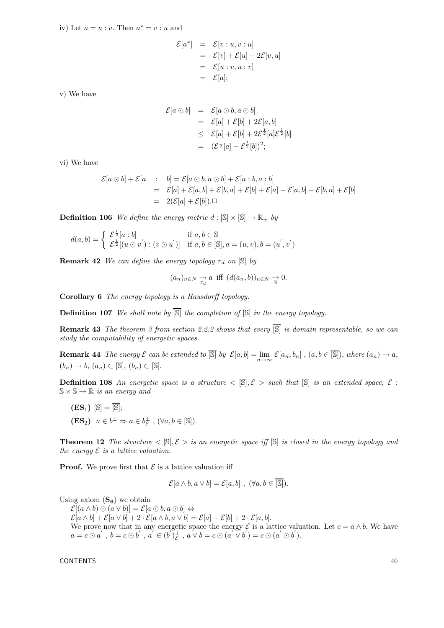iv) Let  $a = u : v$ . Then  $a^* = v : u$  and

$$
\begin{array}{rcl} \mathcal{E}[a^*] & = & \mathcal{E}[v:u,v:u] \\ & = & \mathcal{E}[v]+\mathcal{E}[u]-2\mathcal{E}[v,u] \\ & = & \mathcal{E}[u:v,u:v] \\ & = & \mathcal{E}[a]; \end{array}
$$

v) We have

$$
\mathcal{E}[a \odot b] = \mathcal{E}[a \odot b, a \odot b]
$$
  
=  $\mathcal{E}[a] + \mathcal{E}[b] + 2\mathcal{E}[a, b]$   
 $\leq \mathcal{E}[a] + \mathcal{E}[b] + 2\mathcal{E}^{\frac{1}{2}}[a]\mathcal{E}^{\frac{1}{2}}[b]$   
=  $(\mathcal{E}^{\frac{1}{2}}[a] + \mathcal{E}^{\frac{1}{2}}[b])^2;$ 

vi) We have

$$
\mathcal{E}[a \odot b] + \mathcal{E}[a : b] = \mathcal{E}[a \odot b, a \odot b] + \mathcal{E}[a : b, a : b]
$$
  
=  $\mathcal{E}[a] + \mathcal{E}[a, b] + \mathcal{E}[b, a] + \mathcal{E}[b] + \mathcal{E}[a] - \mathcal{E}[a, b] - \mathcal{E}[b, a] + \mathcal{E}[b]$   
=  $2(\mathcal{E}[a] + \mathcal{E}[b]) \square$ 

**Definition 106** We define the energy metric  $d : [\mathbb{S}] \times [\mathbb{S}] \to \mathbb{R}_+$  by

$$
d(a,b) = \begin{cases} \mathcal{E}^{\frac{1}{2}}[a:b] & \text{if } a,b \in \mathbb{S} \\ \mathcal{E}^{\frac{1}{2}}[(u \odot v^{'}):(v \odot u^{'})] & \text{if } a,b \in [\mathbb{S}], a = (u,v), b = (u^{'},v^{'}) \end{cases}
$$

**Remark 42** We can define the energy topology  $\tau_d$  on  $[\mathbb{S}]$  by

$$
(a_n)_{n\in N} \underset{\tau_d}{\rightarrow} a
$$
 iff  $(d(a_n, b))_{n\in N} \underset{\mathbb{R}}{\rightarrow} 0$ .

Corollary 6 The energy topology is a Hausdorff topology.

**Definition 107** We shall note by  $\overline{S}$  the completion of  $S$  in the energy topology.

**Remark 43** The theorem 3 from section 2.2.2 shows that every  $\boxed{\mathbb{S}}$  is domain representable, so we can study the computability of energetic spaces.

**Remark 44** The energy  $\mathcal E$  can be extended to  $\overline{[\mathbb S]}$  by  $\mathcal E[a, b] = \lim_{n\to\infty} \mathcal E[a_n, b_n]$ ,  $(a, b \in \overline{[\mathbb S]}),$  where  $(a_n) \to a$ ,  $(b_n) \rightarrow b, (a_n) \subset [\mathbb{S}], (b_n) \subset [\mathbb{S}].$ 

**Definition 108** An energetic space is a structure  $\leq$   $\mathbb{S}, \mathcal{E}$  > such that  $\mathbb{S}$  is an extended space,  $\mathcal{E}$ :  $\mathbb{S} \times \mathbb{S} \to \mathbb{R}$  is an energy and

(ES<sub>1</sub>) [S] = [S];  
(ES<sub>2</sub>) 
$$
a \in b^{\perp} \Rightarrow a \in b_{\mathcal{E}}^{\perp}
$$
, ( $\forall a, b \in [S]$ ).

**Theorem 12** The structure  $\leq$   $\mathbb{S}$ ,  $\mathcal{E}$  > is an energetic space iff  $\mathbb{S}$  is closed in the energy topology and the energy  $\mathcal E$  is a lattice valuation.

**Proof.** We prove first that  $\mathcal{E}$  is a lattice valuation iff

$$
\mathcal{E}[a \wedge b, a \vee b] = \mathcal{E}[a, b] , (\forall a, b \in \overline{[\mathbb{S}]}).
$$

Using axiom  $(\mathbf{S}_6)$  we obtain

 $\mathcal{E}[(a \wedge b) \odot (a \vee b)] = \mathcal{E}[a \odot b, a \odot b] \Leftrightarrow$  $\mathcal{E}[a \wedge b] + \mathcal{E}[a \vee b] + 2 \cdot \mathcal{E}[a \wedge b, a \vee b] = \mathcal{E}[a] + \mathcal{E}[b] + 2 \cdot \mathcal{E}[a, b].$ We prove now that in any energetic space the energy  $\mathcal E$  is a lattice valuation. Let  $c = a \wedge b$ . We have  $a = c \odot a'$ ,  $b = c \odot b'$ ,  $a' \in (b')^{\perp}_{\mathcal{E}}$ ,  $a \vee b = c \odot (a' \vee b') = c \odot (a' \odot b').$ 

 $\sim$  CONTENTS  $\sim$  40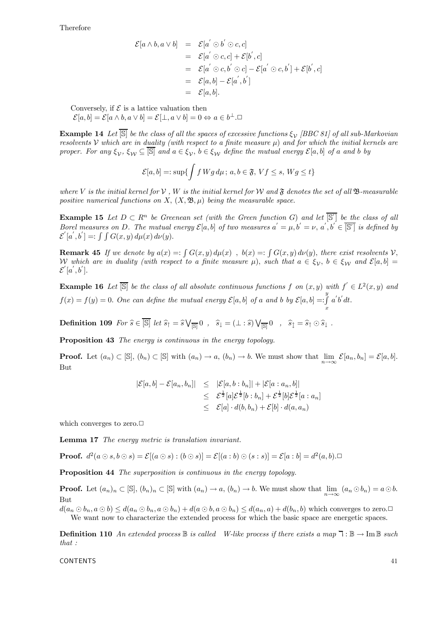Therefore

$$
\mathcal{E}[a \wedge b, a \vee b] = \mathcal{E}[a' \odot b' \odot c, c]
$$
  
=  $\mathcal{E}[a' \odot c, c] + \mathcal{E}[b', c]$   
=  $\mathcal{E}[a' \odot c, b' \odot c] - \mathcal{E}[a' \odot c, b'] + \mathcal{E}[b', c]$   
=  $\mathcal{E}[a, b] - \mathcal{E}[a', b']$   
=  $\mathcal{E}[a, b].$ 

Conversely, if  $\mathcal E$  is a lattice valuation then  $\mathcal{E}[a, b] = \mathcal{E}[a \wedge b, a \vee b] = \mathcal{E}[\perp, a \vee b] = 0 \Leftrightarrow a \in b^{\perp}.\square$ 

**Example 14** Let  $\overline{S}$  be the class of all the spaces of excessive functions  $\xi_V$  [BBC 81] of all sub-Markovian resolvents V which are in duality (with respect to a finite measure  $\mu$ ) and for which the initial kernels are proper. For any  $\xi_V, \xi_W \subseteq \overline{\mathbb{S}}$  and  $a \in \xi_V, b \in \xi_W$  define the mutual energy  $\mathcal{E}[a, b]$  of a and b by

$$
\mathcal{E}[a,b] =: \sup\{\int f\,Wg\,d\mu\,;\,a,b\in\mathfrak{F},\,Vf\leq s,\,Wg\leq t\}
$$

where V is the initial kernel for V, W is the initial kernel for W and  $\mathfrak F$  denotes the set of all  $\mathfrak B$ -measurable positive numerical functions on X,  $(X, \mathfrak{B}, \mu)$  being the measurable space.

**Example 15** Let  $D \subset R^n$  be Greenean set (with the Green function G) and let  $\boxed{S'}$  be the class of all Borel measures on D. The mutual energy  $\mathcal{E}[a,b]$  of two measures  $a' = \mu, b' = \nu, a', b' \in [\mathbb{S}']$  is defined by  $\mathcal{E}'[a',b'] =: \int \int G(x,y) d\mu(x) d\nu(y).$ 

**Remark 45** If we denote by  $a(x) = \int G(x, y) d\mu(x)$ ,  $b(x) = \int G(x, y) d\nu(y)$ , there exist resolvents  $\mathcal{V}$ , W which are in duality (with respect to a finite measure  $\mu$ ), such that  $a \in \xi_{\mathcal{V}}$ ,  $b \in \xi_{\mathcal{W}}$  and  $\mathcal{E}[a, b] =$  $\mathcal{E}^{'}[a^{'},b^{'}].$ 

**Example 16** Let  $\overline{\mathbb{S}}$  be the class of all absolute continuous functions f on  $(x, y)$  with  $f' \in L^2(x, y)$  and  $f(x) = f(y) = 0$ . One can define the mutual energy  $\mathcal{E}[a, b]$  of a and b by  $\mathcal{E}[a, b] =:$  $\int$ x  $a'b'dt.$ 

**Definition 109** For  $\hat{s} \in \overline{\mathbb{S}}$  let  $\hat{s}_{\uparrow} = \hat{s} \vee \overline{\mathbb{S}}$  ,  $\hat{s}_{\downarrow} = (\perp : \hat{s}) \vee \overline{\mathbb{S}}$  ,  $\hat{s}_{\uparrow} = \hat{s}_{\uparrow} \odot \hat{s}_{\downarrow}$ .

Proposition 43 The energy is continuous in the energy topology.

**Proof.** Let  $(a_n) \subset [\mathbb{S}], (b_n) \subset [\mathbb{S}]$  with  $(a_n) \to a$ ,  $(b_n) \to b$ . We must show that  $\lim_{n \to \infty} \mathcal{E}[a_n, b_n] = \mathcal{E}[a, b]$ . But

$$
|\mathcal{E}[a,b] - \mathcal{E}[a_n, b_n]| \leq |\mathcal{E}[a, b:b_n]| + |\mathcal{E}[a:a_n, b]|
$$
  

$$
\leq \mathcal{E}^{\frac{1}{2}}[a]\mathcal{E}^{\frac{1}{2}}[b:b_n] + \mathcal{E}^{\frac{1}{2}}[b]\mathcal{E}^{\frac{1}{2}}[a:a_n]
$$
  

$$
\leq \mathcal{E}[a] \cdot d(b, b_n) + \mathcal{E}[b] \cdot d(a, a_n)
$$

which converges to zero.  $\Box$ 

Lemma 17 The energy metric is translation invariant.

**Proof.**  $d^2(a \odot s, b \odot s) = \mathcal{E}[(a \odot s):(b \odot s)] = \mathcal{E}[(a:b) \odot (s:s)] = \mathcal{E}[a:b] = d^2(a,b).$ 

Proposition 44 The superposition is continuous in the energy topology.

**Proof.** Let  $(a_n)_n \subset [\mathbb{S}], (b_n)_n \subset [\mathbb{S}]$  with  $(a_n) \to a$ ,  $(b_n) \to b$ . We must show that  $\lim_{n \to \infty} (a_n \odot b_n) = a \odot b$ . But

 $d(a_n \odot b_n, a \odot b) \leq d(a_n \odot b_n, a \odot b_n) + d(a \odot b, a \odot b_n) \leq d(a_n, a) + d(b_n, b)$  which converges to zero. We want now to characterize the extended process for which the basic space are energetic spaces.

**Definition 110** An extended process  $\mathbb{B}$  is called W-like process if there exists a map  $\mathbb{T} : \mathbb{B} \to \text{Im } \mathbb{B}$  such that :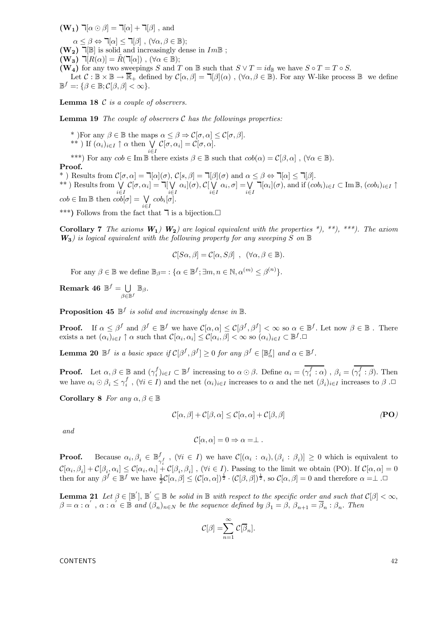$(\mathbf{W}_1)$   $\exists [\alpha \odot \beta] = \exists [\alpha] + \exists [\beta]$ , and

 $\alpha \leq \beta \Leftrightarrow \Box[\alpha] \leq \Box[\beta]$ ,  $(\forall \alpha, \beta \in \mathbb{B});$ 

 $(W_2)$   $\P[\mathbb{B}]$  is solid and increasingly dense in  $Im\mathbb{B}$  ;

 $(\mathbf{W_3}) \ \mathbf{\bar{a}}[R(\alpha)] = R(\mathbf{\bar{a}}[\alpha])$ ,  $(\forall \alpha \in \mathbb{B});$ 

(W<sub>4</sub>) for any two sweepings S and T on B such that  $S \vee T = id_{\mathbb{B}}$  we have  $S \circ T = T \circ S$ .

Let  $\mathcal{C} : \mathbb{B} \times \mathbb{B} \to \overline{\mathbb{R}}_+$  defined by  $\mathcal{C}[\alpha, \beta] = \mathbb{k}[\beta](\alpha)$ ,  $(\forall \alpha, \beta \in \mathbb{B})$ . For any W-like process  $\mathbb{B}$  we define  $\mathbb{B}^f =: \{ \beta \in \mathbb{B}; C[\beta, \beta] < \infty \}.$ 

**Lemma 18**  $C$  is a couple of observers.

**Lemma 19** The couple of observers  $C$  has the followings properties:

\* )For any  $\beta \in \mathbb{B}$  the maps  $\alpha \leq \beta \Rightarrow C[\sigma, \alpha] \leq C[\sigma, \beta]$ . \*\* ) If  $(\alpha_i)_{i\in I} \uparrow \alpha$  then  $\bigvee_{i\in I} C[\sigma, \alpha_i] = C[\sigma, \alpha]$ .

\*\*\*) For any  $\cosh \in \text{Im } \mathbb{B}$  there exists  $\beta \in \mathbb{B}$  such that  $\cosh(\alpha) = \mathcal{C}[\beta, \alpha]$ ,  $(\forall \alpha \in \mathbb{B})$ . Proof.

\* ) Results from  $\mathcal{C}[\sigma, \alpha] = \mathbb{k}[\alpha](\sigma)$ ,  $\mathcal{C}[s, \beta] = \mathbb{k}[\beta](\sigma)$  and  $\alpha \leq \beta \Leftrightarrow \mathbb{k}[\alpha] \leq \mathbb{k}[\beta]$ .

\*\* ) Results from  $\sqrt{}$  $\bigvee_{i\in I} C[\sigma,\alpha_i] = \prod_{i\in I} \bigvee_{i\in I}$  $\bigvee_{i\in I}\alpha_i](\sigma), C[\bigvee_{i\in I}$ i∈I  $[\alpha_i, \sigma] = \bigvee$  $\bigvee_{i\in I} \mathbb{I}[\alpha_i](\sigma)$ , and if  $(cobi)_{i\in I} \subset \text{Im}\,\mathbb{B}$ ,  $(cobi)_{i\in I} \uparrow$  $\cosh \in \text{Im } \mathbb{B} \text{ then } \cosh[\sigma] = \bigvee_{\sigma} \cosh[\sigma].$ 

\*\*\*) Follows from the fact that  $\overline{\mathsf{I}}$  is a bijection. $\Box$ 

**Corollary 7** The axioms  $W_1$ )  $W_2$ ) are logical equivalent with the properties \*), \*\*), \*\*\*). The axiom  $W_3$ ) is logical equivalent with the following property for any sweeping S on  $\mathbb B$ 

$$
\mathcal{C}[S\alpha,\beta] = \mathcal{C}[\alpha,S\beta] , (\forall \alpha,\beta \in \mathbb{B}).
$$

For any  $\beta \in \mathbb{B}$  we define  $\mathbb{B}_{\beta} = \mathbb{B} \{ \alpha \in \mathbb{B}^f; \exists m, n \in \mathbb{N}, \alpha^{(m)} \leq \beta^{(n)} \}.$ 

 $\bold{Remark}\; \bold{46}\;\;\mathbb{B}^{f}=\ \bigcup$  $\beta \in \mathbb{B}^f$  $\mathbb{B}_{\beta}$  .

**Proposition 45**  $\mathbb{B}^f$  is solid and increasingly dense in  $\mathbb{B}$ .

**Proof.** If  $\alpha \leq \beta^f$  and  $\beta^f \in \mathbb{B}^f$  we have  $\mathcal{C}[\alpha, \alpha] \leq \mathcal{C}[\beta^f, \beta^f] < \infty$  so  $\alpha \in \mathbb{B}^f$ . Let now  $\beta \in \mathbb{B}$ . There exists a net  $(\alpha_i)_{i\in I} \uparrow \alpha$  such that  $\mathcal{C}[\alpha_i, \alpha_i] \leq \mathcal{C}[\alpha_i, \beta] < \infty$  so  $(\alpha_i)_{i\in I} \subset \mathbb{B}^f$ .

**Lemma 20**  $\mathbb{B}^f$  is a basic space if  $\mathcal{C}[\beta^f, \beta^f] \geq 0$  for any  $\beta^f \in [\mathbb{B}^f_\alpha]$  and  $\alpha \in \mathbb{B}^f$ .

**Proof.** Let  $\alpha, \beta \in \mathbb{B}$  and  $(\gamma_i^f)_{i \in I} \subset \mathbb{B}^f$  increasing to  $\alpha \odot \beta$ . Define  $\alpha_i = (\gamma_i^f : \alpha)$ ,  $\beta_i = (\gamma_i^f : \beta)$ . Then we have  $\alpha_i \odot \beta_i \leq \gamma_i^f$ ,  $(\forall i \in I)$  and the net  $(\alpha_i)_{i \in I}$  increases to  $\alpha$  and the net  $(\beta_i)_{i \in I}$  increases to  $\beta$ .

Corollary 8 For any  $\alpha, \beta \in \mathbb{B}$ 

$$
C[\alpha, \beta] + C[\beta, \alpha] \le C[\alpha, \alpha] + C[\beta, \beta]
$$
 (PO)

and

$$
\mathcal{C}[\alpha,\alpha] = 0 \Rightarrow \alpha = \perp.
$$

**Proof.** Because  $\alpha_i, \beta_i \in \mathbb{B}^f_{\gamma_i^f}$ ,  $(\forall i \in I)$  we have  $\mathcal{C}[(\alpha_i : \alpha_i), (\beta_i : \beta_i)] \geq 0$  which is equivalent to  $\mathcal{C}[\alpha_i, \beta_i] + \mathcal{C}[\beta_i, \alpha_i] \leq \mathcal{C}[\alpha_i, \alpha_i] + \mathcal{C}[\beta_i, \beta_i]$ ,  $(\forall i \in I)$ . Passing to the limit we obtain (PO). If  $\mathcal{C}[\alpha, \alpha] = 0$ then for any  $\beta^f \in \mathbb{B}^f$  we have  $\frac{1}{2}\mathcal{C}[\alpha,\beta] \leq (\mathcal{C}[\alpha,\alpha])^{\frac{1}{2}} \cdot (\mathcal{C}[\beta,\beta])^{\frac{1}{2}}$ , so  $\mathcal{C}[\alpha,\beta] = 0$  and therefore  $\alpha = \perp \square$ 

**Lemma 21** Let  $\beta \in [\mathbb{B}'], \mathbb{B}' \subseteq \mathbb{B}$  be solid in  $\mathbb{B}$  with respect to the specific order and such that  $\mathcal{C}[\beta] < \infty$ ,  $\beta = \alpha : \alpha'$ ,  $\alpha : \alpha' \in \mathbb{B}$  and  $(\beta_n)_{n \in \mathbb{N}}$  be the sequence defined by  $\beta_1 = \beta$ ,  $\beta_{n+1} = \overline{\beta}_n : \beta_n$ . Then

$$
\mathcal{C}[\beta] = \sum_{n=1}^{\infty} \mathcal{C}[\overline{\beta}_n].
$$

 $\mathsf{CONTENTS}$  and  $\mathsf{42}$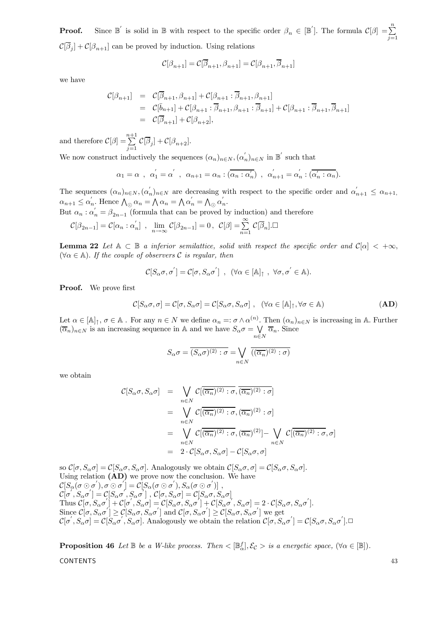**Proof.** Since  $\mathbb{B}'$  is solid in  $\mathbb{B}$  with respect to the specific order  $\beta_n \in [\mathbb{B}']$ . The formula  $\mathcal{C}[\beta] = \sum_{j=1}^n$  $\mathcal{C}[\overline{\beta}_i] + \mathcal{C}[\beta_{n+1}]$  can be proved by induction. Using relations

$$
\mathcal{C}[\beta_{n+1}] = \mathcal{C}[\overline{\beta}_{n+1}, \beta_{n+1}] = \mathcal{C}[\beta_{n+1}, \overline{\beta}_{n+1}]
$$

we have

$$
\mathcal{C}[\beta_{n+1}] = \mathcal{C}[\overline{\beta}_{n+1}, \beta_{n+1}] + \mathcal{C}[\beta_{n+1} : \overline{\beta}_{n+1}, \beta_{n+1}]
$$
  
\n
$$
= \mathcal{C}[\overline{b}_{n+1}] + \mathcal{C}[\beta_{n+1} : \overline{\beta}_{n+1}, \beta_{n+1} : \overline{\beta}_{n+1}] + \mathcal{C}[\beta_{n+1} : \overline{\beta}_{n+1}, \overline{\beta}_{n+1}]
$$
  
\n
$$
= \mathcal{C}[\overline{\beta}_{n+1}] + \mathcal{C}[\beta_{n+2}],
$$

and therefore  $\mathcal{C}[\beta] = \sum_{i=1}^{n+1}$  $\sum_{j=1}^{\infty} C[\beta_j] + C[\beta_{n+2}].$ 

We now construct inductively the sequences  $(\alpha_n)_{n \in N}$ ,  $(\alpha'_n)_{n \in N}$  in  $\mathbb{B}'$  such that

$$
\alpha_1 = \alpha \ , \ \alpha_1^{'} = \alpha^{'} \ , \ \alpha_{n+1} = \alpha_n : (\overline{\alpha_n : \alpha_n^{'}}) \ , \ \alpha_{n+1}^{'} = \alpha_n^{'} : (\overline{\alpha_n^{'} : \alpha_n}).
$$

The sequences  $(\alpha_n)_{n\in\mathbb{N}}, (\alpha'_n)_{n\in\mathbb{N}}$  are decreasing with respect to the specific order and  $\alpha'_{n+1} \leq \alpha_{n+1}$ ,  $\alpha_{n+1} \leq \alpha'_{n}$ . Hence  $\bigwedge_{\odot} \alpha_n = \bigwedge \alpha_n = \bigwedge \alpha'_n = \bigwedge_{\odot} \alpha'_n$ .

But  $\alpha_n : \alpha'_n = \beta_{2n-1}$  (formula that can be proved by induction) and therefore

$$
\mathcal{C}[\beta_{2n-1}] = \mathcal{C}[\alpha_n : \alpha'_n], \quad \lim_{n \to \infty} \mathcal{C}[\beta_{2n-1}] = 0, \quad \mathcal{C}[\beta] = \sum_{n=1}^{\infty} \mathcal{C}[\overline{\beta}_n]. \square
$$

**Lemma 22** Let  $A \subset \mathbb{B}$  a inferior semilattice, solid with respect the specific order and  $\mathcal{C}[\alpha] < +\infty$ ,  $(\forall \alpha \in \mathbb{A})$ . If the couple of observers C is regular, then

$$
C[S_{\alpha}\sigma,\sigma'] = C[\sigma, S_{\alpha}\sigma'] , (\forall \alpha \in [A]_{\uparrow} , \forall \sigma, \sigma' \in A).
$$

Proof. We prove first

$$
C[S_{\alpha}\sigma,\sigma] = C[\sigma, S_{\alpha}\sigma] = C[S_{\alpha}\sigma, S_{\alpha}\sigma], \quad (\forall \alpha \in [\mathbb{A}]_{\uparrow}, \forall \sigma \in \mathbb{A})
$$
\n
$$
(AD)
$$

Let  $\alpha \in [\mathbb{A}]_{\uparrow}$ ,  $\sigma \in \mathbb{A}$ . For any  $n \in N$  we define  $\alpha_n =: \sigma \wedge \alpha^{(n)}$ . Then  $(\alpha_n)_{n \in N}$  is increasing in A. Further  $(\overline{\alpha}_n)_{n\in\mathbb{N}}$  is an increasing sequence in A and we have  $S_\alpha \sigma = \bigvee_{\alpha} \overline{\alpha}_n$ . Since  $n \in \mathbb{N}$ 

$$
S_{\alpha}\sigma = \overline{(S_{\alpha}\sigma)^{(2)} : \sigma} = \bigvee_{n \in N} \overline{((\overline{\alpha_n})^{(2)} : \sigma)}
$$

we obtain

$$
\mathcal{C}[S_{\alpha}\sigma, S_{\alpha}\sigma] = \bigvee_{n \in N} \mathcal{C}[\overline{(\overline{\alpha_n})^{(2)} : \sigma}, \overline{(\overline{\alpha_n})^{(2)} : \sigma}]
$$
  
\n
$$
= \bigvee_{n \in N} \mathcal{C}[\overline{(\overline{\alpha_n})^{(2)} : \sigma}, (\overline{\alpha_n})^{(2)} : \sigma]
$$
  
\n
$$
= \bigvee_{n \in N} \mathcal{C}[\overline{(\overline{\alpha_n})^{(2)} : \sigma}, (\overline{\alpha_n})^{(2)}] - \bigvee_{n \in N} \mathcal{C}[\overline{(\overline{\alpha_n})^{(2)} : \sigma}, \sigma]
$$
  
\n
$$
= 2 \cdot \mathcal{C}[S_{\alpha}\sigma, S_{\alpha}\sigma] - \mathcal{C}[S_{\alpha}\sigma, \sigma]
$$

so  $\mathcal{C}[\sigma, S_\alpha \sigma] = \mathcal{C}[S_\alpha \sigma, S_\alpha \sigma]$ . Analogously we obtain  $\mathcal{C}[S_\alpha \sigma, \sigma] = \mathcal{C}[S_\alpha \sigma, S_\alpha \sigma]$ . Using relation (AD) we prove now the conclusion. We have  $\mathcal{C}[S_{\alpha}(\sigma\odot\sigma^{'}),\sigma\odot\sigma^{'}]=\mathcal{C}[S_{\alpha}(\sigma\odot\sigma^{'}),S_{\alpha}(\sigma\odot\sigma^{'})]$  $\mathcal{C}[\sigma', S_{\alpha} \sigma'] = \mathcal{C}[S_{\alpha} \sigma', S_{\alpha} \sigma']$ ,  $\mathcal{C}[\sigma, S_{\alpha} \sigma] = \mathcal{C}[S_{\alpha} \sigma, S_{\alpha} \sigma]$ Thus  $C[\sigma, S_{\alpha}\sigma'] + C[\sigma', S_{\alpha}\sigma] = C[S_{\alpha}\sigma, S_{\alpha}\sigma'] + C[S_{\alpha}\sigma', S_{\alpha}\sigma] = 2 \cdot C[S_{\alpha}\sigma, S_{\alpha}\sigma']$ . Since  $C[\sigma, S_{\alpha} \sigma'] \geq C[S_{\alpha} \sigma, S_{\alpha} \sigma']$  and  $C[\sigma, S_{\alpha} \sigma'] \geq C[S_{\alpha} \sigma, S_{\alpha} \sigma']$  we get  $\mathcal{C}[\sigma', S_{\alpha}\sigma] = \mathcal{C}[S_{\alpha}\sigma', S_{\alpha}\sigma]$ . Analogously we obtain the relation  $\mathcal{C}[\sigma, S_{\alpha}\sigma'] = \mathcal{C}[S_{\alpha}\sigma, S_{\alpha}\sigma']$ .

**Proposition 46** Let  $\mathbb{B}$  be a W-like process. Then  $\leq [\mathbb{B}_\alpha^f], \mathcal{E}_\mathcal{C} >$  is a energetic space,  $(\forall \alpha \in [\mathbb{B}]).$ CONTENTS 43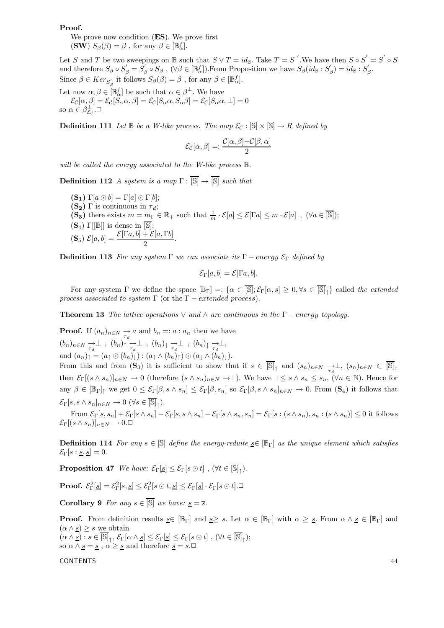## Proof.

We prove now condition (**ES**). We prove first  $(\textbf{SW}) S_{\beta}(\beta) = \beta$ , for any  $\beta \in [\mathbb{B}_{\alpha}^f].$ 

Let S and T be two sweepings on B such that  $S \vee T = id_{\mathbb{B}}$ . Take  $T = S'$ . We have then  $S \circ S' = S' \circ S$ and therefore  $S_{\beta} \circ S_{\beta}' = S_{\beta}' \circ S_{\beta}$ ,  $(\forall \beta \in [\mathbb{B}_{\alpha}^{f}])$ . From Proposition we have  $S_{\beta}(id_{\mathbb{B}}: S_{\beta}') = id_{\mathbb{B}}: S_{\beta}'$ . Since  $\beta \in Ker_{S'_\beta}$  it follows  $S_\beta(\beta) = \beta$ , for any  $\beta \in [\mathbb{B}_\alpha^f]$ .

Let now  $\alpha, \beta \in [\mathbb{B}_{\alpha}^f]$  be such that  $\alpha \in \beta^{\perp}$ . We have

 $\mathcal{E}_{\mathcal{C}}[\alpha, \beta] = \mathcal{E}_{\mathcal{C}}[S_\alpha \alpha, \beta] = \mathcal{E}_{\mathcal{C}}[S_\alpha \alpha, S_\alpha \beta] = \mathcal{E}_{\mathcal{C}}[S_\alpha \alpha, \bot] = 0$ so  $\alpha \in \beta_{\mathcal{E}_{\mathcal{C}}}^{\perp}$ . $\Box$ 

**Definition 111** Let  $\mathbb{B}$  be a W-like process. The map  $\mathcal{E}_{\mathcal{C}} : [\mathbb{S}] \times [\mathbb{S}] \to R$  defined by

$$
\mathcal{E}_{\mathcal{C}}[\alpha, \beta]=:\frac{\mathcal{C}[\alpha, \beta]{+}\mathcal{C}[\beta, \alpha]}{2}
$$

will be called the energy associated to the W-like process  $\mathbb{B}$ .

**Definition 112** A system is a map  $\Gamma : \overline{[S]} \to \overline{[S]}$  such that

**(S<sub>1</sub>)**  $\Gamma[a \odot b] = \Gamma[a] \odot \Gamma[b];$  $(S_2)$  Γ is continuous in  $\tau_d$ ; (S<sub>3</sub>) there exists  $m = m_{\Gamma} \in \mathbb{R}_+$  such that  $\frac{1}{m} \cdot \mathcal{E}[a] \leq \mathcal{E}[\Gamma a] \leq m \cdot \mathcal{E}[a]$ ,  $(\forall a \in \overline{\mathbb{S}}]$ ;  $(\mathbf{S}_4)$  Γ[[B]] is dense in [S];  $(\mathbf{S}_5) \ \mathcal{E}[a, b] = \frac{\mathcal{E}[\Gamma a, b] + \mathcal{E}[a, \Gamma b]}{2}.$ 

**Definition 113** For any system Γ we can associate its Γ – energy  $\mathcal{E}_{\Gamma}$  defined by

 $\mathcal{E}_{\Gamma}[a, b] = \mathcal{E}[\Gamma a, b].$ 

For any system  $\Gamma$  we define the space  $[\mathbb{B}_{\Gamma}] =: {\alpha \in [\mathbb{S}]; \mathcal{E}_{\Gamma}[\alpha, s] \geq 0, \forall s \in [\mathbb{S}]_{\uparrow}}$  called the extended process associated to system  $\Gamma$  (or the  $\Gamma$  – extended process).

**Theorem 13** The lattice operations  $\vee$  and  $\wedge$  are continuous in the  $\Gamma$  – energy topology.

**Proof.** If  $(a_n)_{n \in \mathbb{N}} \to a$  and  $b_n =: a : a_n$  then we have  $(b_n)_{n\in N} \underset{\tau_d}{\rightarrow} \perp$ ,  $(b_n)_{\uparrow} \underset{\tau_d}{\rightarrow} \perp$ ,  $(b_n)_{\downarrow} \underset{\tau_d}{\rightarrow} \perp$ ,  $(b_n)_{\uparrow} \underset{\tau_d}{\rightarrow} \perp$ , and  $(a_n)_{\uparrow} = (a_{\uparrow} \odot (b_n)_{\downarrow}^a) : (a_{\uparrow} \wedge (b_n)_{\uparrow}) \odot (a_{\downarrow} \wedge (b_n)_{\downarrow}).$ 

From this and from  $(\mathbf{S}_3)$  it is sufficient to show that if  $s \in [\mathbb{S}]_\uparrow$  and  $(s_n)_{n\in N} \to \perp$ ,  $(s_n)_{n\in N} \subset [\mathbb{S}]_\uparrow$ then  $\mathcal{E}_{\Gamma}[(s \wedge s_n)]_{n \in \mathbb{N}} \to 0$  (therefore  $(s \wedge s_n)_{n \in \mathbb{N}} \to \perp$ ). We have  $\perp \leq s \wedge s_n \leq s_n$ ,  $(\forall n \in \mathbb{N})$ . Hence for any  $\beta \in [\mathbb{B}_{\Gamma}]_1$  we get  $0 \leq \mathcal{E}_{\Gamma}[\beta, s \wedge s_n] \leq \mathcal{E}_{\Gamma}[\beta, s_n]$  so  $\mathcal{E}_{\Gamma}[\beta, s \wedge s_n]_{n \in \mathbb{N}} \to 0$ . From  $(\mathbf{S}_4)$  it follows that  $\mathcal{E}_{\Gamma}[s, s \wedge s_n]_{n \in \mathbb{N}} \to 0 \ (\forall s \in [\mathbb{S}]_{\uparrow}).$ 

From  $\mathcal{E}_{\Gamma}[s, s_n] + \mathcal{E}_{\Gamma}[s \wedge s_n] - \mathcal{E}_{\Gamma}[s, s \wedge s_n] - \mathcal{E}_{\Gamma}[s \wedge s_n, s_n] = \mathcal{E}_{\Gamma}[s : (s \wedge s_n), s_n : (s \wedge s_n)] \leq 0$  it follows  $\mathcal{E}_{\Gamma}[(s \wedge s_n)]_{n \in N} \to 0. \square$ 

**Definition 114** For any  $s \in \overline{S}$  define the energy-reduite  $s \in \mathbb{B}$ <sub>Γ</sub> as the unique element which satisfies  $\mathcal{E}_{\Gamma}[s : \underline{s}, \underline{s}]=0.$ 

**Proposition 47** We have:  $\mathcal{E}_{\Gamma}[\underline{s}] \leq \mathcal{E}_{\Gamma}[s \odot t]$  ,  $(\forall t \in [\mathbb{S}]_{\uparrow}).$ 

**Proof.**  $\mathcal{E}_{\Gamma}^2[\underline{s}] = \mathcal{E}_{\Gamma}^2[s, \underline{s}] \leq \mathcal{E}_{\Gamma}^2[s \odot t, \underline{s}] \leq \mathcal{E}_{\Gamma}[\underline{s}] \cdot \mathcal{E}_{\Gamma}[s \odot t]$ . $\Box$ 

**Corollary 9** For any  $s \in \overline{S}$  we have:  $s = \overline{s}$ .

**Proof.** From definition results  $s \in [\mathbb{B}_{\Gamma}]$  and  $s \geq s$ . Let  $\alpha \in [\mathbb{B}_{\Gamma}]$  with  $\alpha \geq s$ . From  $\alpha \wedge s \in [\mathbb{B}_{\Gamma}]$  and  $(\alpha \wedge s) \geq s$  we obtain  $(\alpha \wedge \underline{s}) : s \in [\mathbb{S}]_\uparrow, \ \mathcal{E}_\Gamma[\alpha \wedge \underline{s}] \leq \mathcal{E}_\Gamma[\underline{s}] \leq \mathcal{E}_\Gamma[s \odot t]$ ,  $(\forall t \in [\mathbb{S}]_\uparrow);$ so  $\alpha\wedge\underline{s}=\underline{s}$  ,  $\alpha\ge\underline{s}$  and therefore<br>  $\underline{s}=\overline{s}.\Box$ 

$$
44\,
$$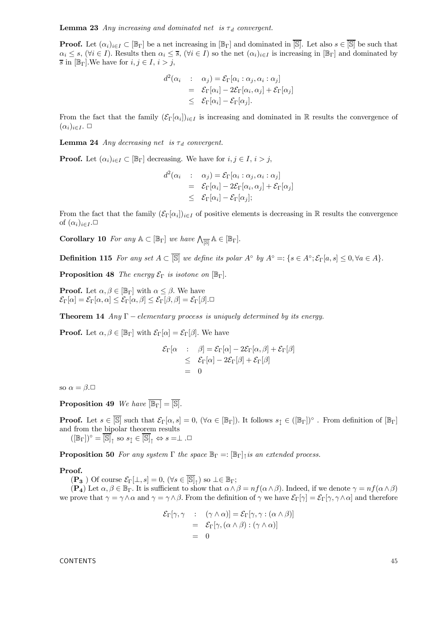**Lemma 23** Any increasing and dominated net is  $\tau_d$  convergent.

**Proof.** Let  $(\alpha_i)_{i\in I} \subset [\mathbb{B}_{\Gamma}]$  be a net increasing in  $[\mathbb{B}_{\Gamma}]$  and dominated in  $[\overline{\mathbb{S}}]$ . Let also  $s \in [\overline{\mathbb{S}}]$  be such that  $\alpha_i \leq s$ ,  $(\forall i \in I)$ . Results then  $\alpha_i \leq \overline{s}$ ,  $(\forall i \in I)$  so the net  $(\alpha_i)_{i \in I}$  is increasing in  $[\mathbb{B}_{\Gamma}]$  and dominated by  $\overline{s}$  in  $[\mathbb{B}_{\Gamma}]$ . We have for  $i, j \in I, i > j$ ,

$$
d^{2}(\alpha_{i} : \alpha_{j}) = \mathcal{E}_{\Gamma}[\alpha_{i} : \alpha_{j}, \alpha_{i} : \alpha_{j}]
$$
  
=  $\mathcal{E}_{\Gamma}[\alpha_{i}] - 2\mathcal{E}_{\Gamma}[\alpha_{i}, \alpha_{j}] + \mathcal{E}_{\Gamma}[\alpha_{j}]$   
 $\leq \mathcal{E}_{\Gamma}[\alpha_{i}] - \mathcal{E}_{\Gamma}[\alpha_{j}].$ 

From the fact that the family  $(\mathcal{E}_{\Gamma}[\alpha_i])_{i\in I}$  is increasing and dominated in R results the convergence of  $(\alpha_i)_{i\in I}$ .  $\Box$ 

**Lemma 24** Any decreasing net is  $\tau_d$  convergent.

**Proof.** Let  $(\alpha_i)_{i \in I} \subset [\mathbb{B}_{\Gamma}]$  decreasing. We have for  $i, j \in I, i > j$ ,

$$
d^{2}(\alpha_{i} : \alpha_{j}) = \mathcal{E}_{\Gamma}[\alpha_{i} : \alpha_{j}, \alpha_{i} : \alpha_{j}]
$$
  
=  $\mathcal{E}_{\Gamma}[\alpha_{i}] - 2\mathcal{E}_{\Gamma}[\alpha_{i}, \alpha_{j}] + \mathcal{E}_{\Gamma}[\alpha_{j}]$   
 $\leq \mathcal{E}_{\Gamma}[\alpha_{i}] - \mathcal{E}_{\Gamma}[\alpha_{j}];$ 

From the fact that the family  $(\mathcal{E}_{\Gamma}[\alpha_i])_{i\in I}$  of positive elements is decreasing in R results the convergence of  $(\alpha_i)_{i\in I}$ . $\Box$ 

**Corollary 10** For any  $A \subset [\mathbb{B}_{\Gamma}]$  we have  $\bigwedge_{\overline{[S]}} A \in [\mathbb{B}_{\Gamma}]$ .

**Definition 115** For any set  $A \subset \overline{S}$  we define its polar  $A^{\circ}$  by  $A^{\circ} =: \{s \in A^{\circ}; \mathcal{E}_{\Gamma}[a, s] \leq 0, \forall a \in A\}.$ 

**Proposition 48** The energy  $\mathcal{E}_{\Gamma}$  is isotone on  $[\mathbb{B}_{\Gamma}]$ .

**Proof.** Let  $\alpha, \beta \in [\mathbb{B}_{\Gamma}]$  with  $\alpha \leq \beta$ . We have  $\mathcal{E}_{\Gamma}[\alpha] = \mathcal{E}_{\Gamma}[\alpha, \alpha] \leq \mathcal{E}_{\Gamma}[\alpha, \beta] \leq \mathcal{E}_{\Gamma}[\beta, \beta] = \mathcal{E}_{\Gamma}[\beta]$ .

**Theorem 14** Any  $\Gamma$  – elementary process is uniquely determined by its energy.

**Proof.** Let  $\alpha, \beta \in [\mathbb{B}_{\Gamma}]$  with  $\mathcal{E}_{\Gamma}[\alpha] = \mathcal{E}_{\Gamma}[\beta]$ . We have

$$
\mathcal{E}_{\Gamma}[\alpha : \beta] = \mathcal{E}_{\Gamma}[\alpha] - 2\mathcal{E}_{\Gamma}[\alpha, \beta] + \mathcal{E}_{\Gamma}[\beta]
$$
  
\n
$$
\leq \mathcal{E}_{\Gamma}[\alpha] - 2\mathcal{E}_{\Gamma}[\beta] + \mathcal{E}_{\Gamma}[\beta]
$$
  
\n
$$
= 0
$$

so  $\alpha = \beta$ .

**Proposition 49** We have  $\overline{\mathbb{B}_{\Gamma}} = \overline{\mathbb{S}}$ .

**Proof.** Let  $s \in [\overline{\mathbb{S}}]$  such that  $\mathcal{E}_{\Gamma}[\alpha, s] = 0$ ,  $(\forall \alpha \in [\mathbb{B}_{\Gamma}])$ . It follows  $s_{\hat{\Gamma}} \in ([\mathbb{B}_{\Gamma}])^{\circ}$ . From definition of  $[\mathbb{B}_{\Gamma}]$ and from the bipolar theorem results  $([\mathbb{B}_{\Gamma}])^{\circ} = [\mathbb{S}]_{\uparrow}$  so  $s_{\updownarrow} \in [\mathbb{S}]_{\uparrow} \Leftrightarrow s = \perp \square$ 

**Proposition 50** For any system  $\Gamma$  the space  $\mathbb{B}_{\Gamma} =: [\mathbb{B}_{\Gamma}]$  is an extended process.

#### Proof.

 $(\mathbf{P}_3)$  Of course  $\mathcal{E}_{\Gamma}[\bot, s] = 0$ ,  $(\forall s \in [\mathbb{S}]_{\uparrow})$  so  $\bot \in \mathbb{B}_{\Gamma}$ ;

 $(\mathbf{P}_4)$  Let  $\alpha, \beta \in \mathbb{B}_{\Gamma}$ . It is sufficient to show that  $\alpha \wedge \beta = nf(\alpha \wedge \beta)$ . Indeed, if we denote  $\gamma = nf(\alpha \wedge \beta)$ we prove that  $\gamma = \gamma \wedge \alpha$  and  $\gamma = \gamma \wedge \beta$ . From the definition of  $\gamma$  we have  $\mathcal{E}_{\Gamma}[\gamma] = \mathcal{E}_{\Gamma}[\gamma, \gamma \wedge \alpha]$  and therefore

$$
\mathcal{E}_{\Gamma}[\gamma, \gamma : (\gamma \wedge \alpha)] = \mathcal{E}_{\Gamma}[\gamma, \gamma : (\alpha \wedge \beta)]
$$
  
= 
$$
\mathcal{E}_{\Gamma}[\gamma, (\alpha \wedge \beta) : (\gamma \wedge \alpha)]
$$
  
= 0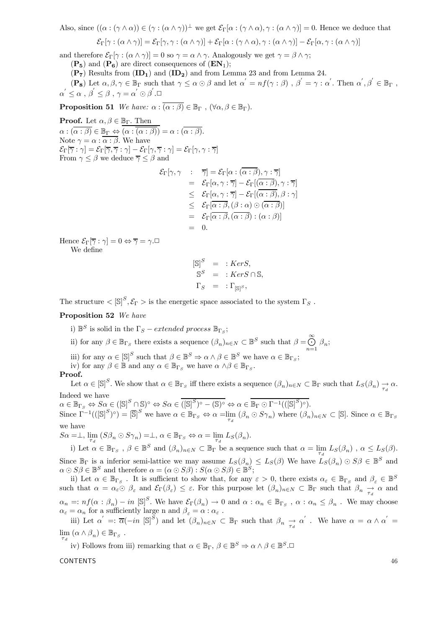Also, since  $((\alpha : (\gamma \wedge \alpha)) \in (\gamma : (\alpha \wedge \gamma))^{\perp}$  we get  $\mathcal{E}_{\Gamma}[\alpha : (\gamma \wedge \alpha), \gamma : (\alpha \wedge \gamma)] = 0$ . Hence we deduce that

$$
\mathcal{E}_{\Gamma}[\gamma : (\alpha \wedge \gamma)] = \mathcal{E}_{\Gamma}[\gamma, \gamma : (\alpha \wedge \gamma)] + \mathcal{E}_{\Gamma}[\alpha : (\gamma \wedge \alpha), \gamma : (\alpha \wedge \gamma)] - \mathcal{E}_{\Gamma}[\alpha, \gamma : (\alpha \wedge \gamma)]
$$

and therefore  $\mathcal{E}_{\Gamma}[\gamma : (\alpha \wedge \gamma)] = 0$  so  $\gamma = \alpha \wedge \gamma$ . Analogously we get  $\gamma = \beta \wedge \gamma$ ;

 $(P_5)$  and  $(P_6)$  are direct consequences of  $(EN_1)$ ;

 $(P_7)$  Results from  $(ID_1)$  and  $(ID_2)$  and from Lemma 23 and from Lemma 24.

 $(\mathbf{P}_8) \text{ Let } \alpha, \beta, \gamma \in \mathbb{B}_{\Gamma} \text{ such that } \gamma \leq \alpha \odot \beta \text{ and let } \alpha' = nf(\gamma : \beta) , \beta' = \gamma : \alpha'. \text{ Then } \alpha', \beta' \in \mathbb{B}_{\Gamma} ,$  $\alpha^{'} \leq \alpha$ ,  $\beta^{'} \leq \beta$ ,  $\gamma = \alpha^{'} \odot \beta^{'}$ .

**Proposition 51** We have:  $\alpha : (\alpha : \beta) \in \mathbb{B}_{\Gamma}$ ,  $(\forall \alpha, \beta \in \mathbb{B}_{\Gamma})$ .

**Proof.** Let  $\alpha, \beta \in \mathbb{B}_{\Gamma}$ . Then  $\alpha : (\alpha : \beta) \in \mathbb{B}_{\Gamma} \Leftrightarrow (\alpha : (\alpha : \beta)) = \alpha : (\alpha : \beta).$ Note  $\gamma = \alpha : \overline{\alpha : \beta}$ . We have  $\mathcal{E}_{\Gamma}[\overline{\gamma}:\gamma]=\mathcal{E}_{\Gamma}[\overline{\gamma},\overline{\gamma}:\gamma]-\mathcal{E}_{\Gamma}[\gamma,\overline{\gamma}:\gamma]=\mathcal{E}_{\Gamma}[\gamma,\gamma:\overline{\gamma}]$ From  $\gamma \leq \beta$  we deduce  $\overline{\gamma} \leq \beta$  and

$$
\mathcal{E}_{\Gamma}[\gamma, \gamma : \overline{\gamma}] = \mathcal{E}_{\Gamma}[\alpha : (\overline{\alpha : \beta}), \gamma : \overline{\gamma}]
$$
  
\n
$$
= \mathcal{E}_{\Gamma}[\alpha, \gamma : \overline{\gamma}] - \mathcal{E}_{\Gamma}[(\overline{\alpha : \beta}), \gamma : \overline{\gamma}]
$$
  
\n
$$
\leq \mathcal{E}_{\Gamma}[\alpha, \gamma : \overline{\gamma}] - \mathcal{E}_{\Gamma}[(\overline{\alpha : \beta}), \beta : \gamma]
$$
  
\n
$$
\leq \mathcal{E}_{\Gamma}[\overline{\alpha : \beta}, (\beta : \alpha) \odot (\overline{\alpha : \beta})]
$$
  
\n
$$
= \mathcal{E}_{\Gamma}[\overline{\alpha : \beta}, (\overline{\alpha : \beta}) : (\alpha : \beta)]
$$
  
\n
$$
= 0.
$$

Hence  $\mathcal{E}_{\Gamma}[\overline{\gamma}:\gamma]=0 \Leftrightarrow \overline{\gamma}=\gamma. \square$ We define

$$
\begin{aligned}\n\left[\mathbb{S}\right]^S &= :KerS, \\
\mathbb{S}^S &= :KerS \cap \mathbb{S}, \\
\Gamma_S &= : \Gamma_{\left[\mathbb{S}\right]^S},\n\end{aligned}
$$

The structure  $\langle S | S^S, \mathcal{E}_{\Gamma} \rangle$  is the energetic space associated to the system  $\Gamma_S$ .

### Proposition 52 We have

i)  $\mathbb{B}^S$  is solid in the  $\Gamma_S - extended$  process  $\mathbb{B}_{\Gamma_S}$ ;

ii) for any  $\beta \in \mathbb{B}_{\Gamma_S}$  there exists a sequence  $(\beta_n)_{n \in N} \subset \mathbb{B}^S$  such that  $\beta = \bigodot$  $\bigodot_{n=1}$   $\beta_n$ ;

- iii) for any  $\alpha \in [\mathbb{S}]^S$  such that  $\beta \in \mathbb{B}^S \Rightarrow \alpha \wedge \beta \in \mathbb{B}^S$  we have  $\alpha \in \mathbb{B}_{\Gamma_S}$ ;
- iv) for any  $\beta \in \mathbb{B}$  and any  $\alpha \in \mathbb{B}_{\Gamma_{\leq}}$  we have  $\alpha \wedge \beta \in \mathbb{B}_{\Gamma_{\leq}}$ .

#### Proof.

Let  $\alpha \in [\mathbb{S}]^S$ . We show that  $\alpha \in \mathbb{B}_{\Gamma_S}$  iff there exists a sequence  $(\beta_n)_{n \in N} \subset \mathbb{B}_{\Gamma}$  such that  $L_S(\beta_n) \underset{\tau_d}{\rightarrow} \alpha$ . Indeed we have

 $\alpha \in \mathbb{B}_{\Gamma_S} \Leftrightarrow S\alpha \in ([\mathbb{S}]^S \cap \mathbb{S})^{\circ} \Leftrightarrow S\alpha \in ([\mathbb{S}]^S)^{\circ} - (\mathbb{S})^{\circ} \Leftrightarrow \alpha \in \mathbb{B}_{\Gamma} \odot \Gamma^{-1}((\mathbb{S}]^S)^{\circ}).$ Since  $\Gamma^{-1}((\mathbb{S})^S)^\circ = \overline{\mathbb{S}}^S$  we have  $\alpha \in \mathbb{B}_{\Gamma_S} \Leftrightarrow \alpha = \lim_{\tau_d} (\beta_n \odot S\gamma_n)$  where  $(\beta_n)_{n \in N} \subset [\mathbb{S}]$ . Since  $\alpha \in \mathbb{B}_{\Gamma_S}$ we have

 $S\alpha = \perp$ ,  $\lim_{\tau_d} (S\beta_n \odot S\gamma_n) = \perp$ ,  $\alpha \in \mathbb{B}_{\Gamma_S} \Leftrightarrow \alpha = \lim_{\tau_d} L_S(\beta_n)$ .

i) Let  $\alpha \in \mathbb{B}_{\Gamma_S}$ ,  $\beta \in \mathbb{B}^S$  and  $(\beta_n)_{n \in N} \subset \mathbb{B}_{\Gamma}$  be a sequence such that  $\alpha = \lim_{\tau_d} L_S(\beta_n)$ ,  $\alpha \leq L_S(\beta)$ . Since  $\mathbb{B}_{\Gamma}$  is a inferior semi-lattice we may assume  $L_{S}(\beta_n) \leq L_{S}(\beta)$  We have  $L_{S}(\beta_n) \odot S\beta \in \mathbb{B}^{S}$  and  $\alpha \odot S\beta \in \mathbb{B}^S$  and therefore  $\alpha = (\alpha \odot S\beta) : S(\alpha \odot S\beta) \in \mathbb{B}^S$ ;

ii) Let  $\alpha \in \mathbb{B}_{\Gamma_S}$ . It is sufficient to show that, for any  $\varepsilon > 0$ , there exists  $\alpha_{\varepsilon} \in \mathbb{B}_{\Gamma_S}$  and  $\beta_{\varepsilon} \in \mathbb{B}^S$ such that  $\alpha = \alpha_{\varepsilon} \odot \beta_{\varepsilon}$  and  $\mathcal{E}_{\Gamma}(\beta_{\varepsilon}) \leq \varepsilon$ . For this purpose let  $(\beta_n)_{n \in \mathbb{N}} \subset \mathbb{B}_{\Gamma}$  such that  $\beta_n \underset{\tau_d}{\rightarrow} \alpha$  and  $\alpha_n =: nf(\alpha:\beta_n) - in \; [\mathbb{S}]^S$ . We have  $\mathcal{E}_{\Gamma}(\beta_n) \to 0$  and  $\alpha:\alpha_n \in \mathbb{B}_{\Gamma_S}$ ,  $\alpha:\alpha_n \leq \beta_n$ . We may choose  $\alpha_\varepsilon=\alpha_n$  for a sufficiently large n and  $\beta_\varepsilon=\alpha$  :  $\alpha_\varepsilon$  .

iii) Let  $\alpha' =: \overline{\alpha}(-in [\mathbb{S}]^S)$  and let  $(\beta_n)_{n \in N} \subset \mathbb{B}_{\Gamma}$  such that  $\beta_n \to \alpha'$ . We have  $\alpha = \alpha \wedge \alpha' =$  $\lim_{\tau_d} (\alpha \wedge \beta_n) \in \mathbb{B}_{\Gamma_S}$ .

iv) Follows from iii) remarking that  $\alpha \in \mathbb{B}_{\Gamma}$ ,  $\beta \in \mathbb{B}^S \Rightarrow \alpha \wedge \beta \in \mathbb{B}^S$ .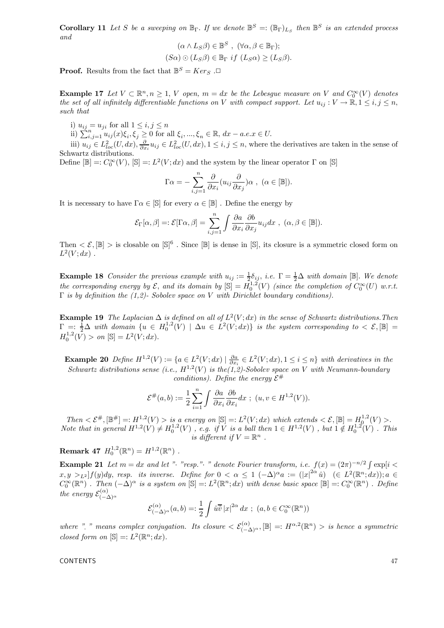**Corollary 11** Let S be a sweeping on  $\mathbb{B}_{\Gamma}$ . If we denote  $\mathbb{B}^{S} =: (\mathbb{B}_{\Gamma})_{L_{S}}$  then  $\mathbb{B}^{S}$  is an extended process and

$$
(\alpha \wedge L_S \beta) \in \mathbb{B}^S , (\forall \alpha, \beta \in \mathbb{B}_{\Gamma});
$$
  

$$
(S\alpha) \odot (L_S \beta) \in \mathbb{B}_{\Gamma} \; if \; (L_S \alpha) \ge (L_S \beta).
$$

**Proof.** Results from the fact that  $\mathbb{B}^S = Ker_S \square$ 

**Example 17** Let  $V \subset \mathbb{R}^n, n \geq 1, V$  open,  $m = dx$  be the Lebesgue measure on V and  $C_0^{\infty}(V)$  denotes the set of all infinitely differentiable functions on V with compact support. Let  $u_{ij}: V \to \mathbb{R}, 1 \le i, j \le n$ , such that

i)  $u_{ij} = u_{ji}$  for all  $1 \leq i, j \leq n$ 

ii)  $\sum_{i,j=1}^{n} u_{ij}(x)\xi_i, \xi_j \geq 0$  for all  $\xi_i, ..., \xi_n \in \mathbb{R}$ ,  $dx - a.e.x \in U$ .

iii)  $u_{ij} \in L^2_{loc}(U, dx), \frac{\partial}{\partial x_i} u_{ij} \in L^2_{loc}(U, dx), 1 \le i, j \le n$ , where the derivatives are taken in the sense of Schwartz distributions.

Define  $[\mathbb{B}] =: C_0^{\infty}(V)$ ,  $[\mathbb{S}] =: L^2(V; dx)$  and the system by the linear operator  $\Gamma$  on  $[\mathbb{S}]$ 

$$
\Gamma \alpha = - \sum_{i,j=1}^n \frac{\partial}{\partial x_i} (u_{ij} \frac{\partial}{\partial x_j}) \alpha \ , \ (\alpha \in [\mathbb{B}]).
$$

It is necessary to have  $\Gamma \alpha \in [\mathbb{S}]$  for every  $\alpha \in [\mathbb{B}]$ . Define the energy by

$$
\mathcal{E}_{\Gamma}[\alpha, \beta] =: \mathcal{E}[\Gamma \alpha, \beta] = \sum_{i,j=1}^{n} \int \frac{\partial a}{\partial x_i} \frac{\partial b}{\partial x_j} u_{ij} dx , (\alpha, \beta \in [\mathbb{B}]).
$$

Then  $\langle \mathcal{E}, [\mathbb{B}] \rangle$  is closable on  $[\mathbb{S}]^6$ . Since  $[\mathbb{B}]$  is dense in  $[\mathbb{S}]$ , its closure is a symmetric closed form on  $L^2(V; dx)$ .

**Example 18** Consider the previous example with  $u_{ij} := \frac{1}{2} \delta_{ij}$ , i.e.  $\Gamma = \frac{1}{2} \Delta$  with domain [B]. We denote the corresponding energy by  $\mathcal{E}$ , and its domain by  $[\mathbb{S}] = H_0^{1,2}(V)$  (since the completion of  $C_0^{\infty}(U)$  w.r.t.  $\Gamma$  is by definition the (1,2)- Sobolev space on V with Dirichlet boundary conditions).

**Example 19** The Laplacian  $\Delta$  is defined on all of  $L^2(V; dx)$  in the sense of Schwartz distributions. Then  $\Gamma =: \frac{1}{2}\Delta$  with domain  $\{u \in H_0^{1,2}(V) \mid \Delta u \in L^2(V; dx)\}$  is the system corresponding to  $\langle \mathcal{E}, [\mathbb{B}] \rangle =$  $H_0^{1,2}(V) > on \; [\mathbb{S}] = L^2(V; dx).$ 

**Example 20** Define  $H^{1,2}(V) := \{a \in L^2(V; dx) \mid \frac{\partial a}{\partial x_i} \in L^2(V; dx), 1 \le i \le n\}$  with derivatives in the Schwartz distributions sense (i.e.,  $H^{1,2}(V)$  is the(1,2)-Sobolev space on V with Neumann-boundary conditions). Define the energy  $\mathcal{E}^{\#}$ 

$$
\mathcal{E}^{\#}(a,b) := \frac{1}{2} \sum_{i=1}^{n} \int \frac{\partial a}{\partial x_i} \frac{\partial b}{\partial x_i} dx \ ; \ (u,v \in H^{1,2}(V)).
$$

 $Then < \mathcal{E}^{\#}, [\mathbb{B}^{\#}] =: H^{1,2}(V) > is a energy on [\mathbb{S}] =: L^2(V; dx)$  which extends  $\langle \mathcal{E}, [\mathbb{B}] = H_0^{1,2}(V) >$ . Note that in general  $H^{1,2}(V) \neq H_0^{1,2}(V)$ , e.g. if V is a ball then  $1 \in H^{1,2}(V)$ , but  $1 \notin H_0^{1,2}(V)$ . This is different if  $V = \mathbb{R}^n$ .

**Remark 47**  $H_0^{1,2}(\mathbb{R}^n) = H^{1,2}(\mathbb{R}^n)$  .

**Example 21** Let  $m = dx$  and let "· "resp."· " denote Fourier transform, i.e.  $f(x) = (2\pi)^{-n/2} \int \exp[i\omega x]$  $x, y \geq_{L^2} [f(y)dy, \text{ resp. its inverse.}$  Define for  $0 < \alpha \leq 1$   $(-\Delta)^{\alpha} a := (|x|^{2\alpha} \hat{u}) \in L^2(\mathbb{R}^n; dx); a \in \mathbb{R}$  $C_0^{\infty}(\mathbb{R}^n)$  . Then  $(-\Delta)^{\alpha}$  is a system on  $[\mathbb{S}] =: L^2(\mathbb{R}^n; dx)$  with dense basic space  $[\mathbb{B}] =: C_0^{\infty}(\mathbb{R}^n)$  . Define the energy  $\mathcal{E}^{(\alpha)}_{(-\Delta)^{\alpha}}$ 

$$
\mathcal{E}^{(\alpha)}_{(-\Delta)^{\alpha}}(a,b) = \frac{1}{2} \int \widehat{u}\overline{\widehat{v}} |x|^{2\alpha} dx \ ; \ (a,b \in C_0^{\infty}(\mathbb{R}^n))
$$

where " " means complex conjugation. Its closure  $\langle \mathcal{E}^{(\alpha)}_{(-\Delta)^{\alpha}}, [\mathbb{B}] =: H^{\alpha,2}(\mathbb{R}^n) >$  is hence a symmetric closed form on  $[\mathbb{S}] =: L^2(\mathbb{R}^n; dx)$ .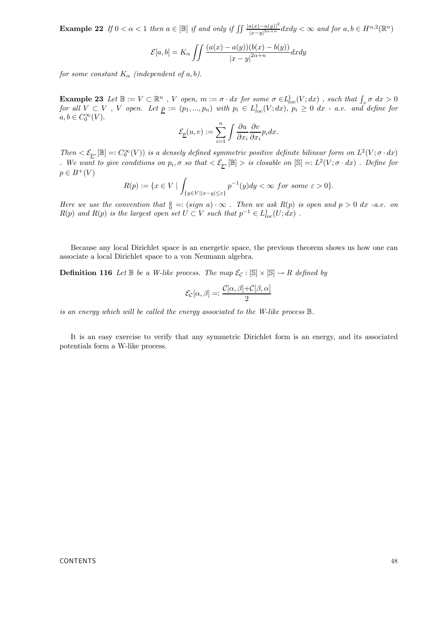**Example 22** If  $0 < \alpha < 1$  then  $a \in [\mathbb{B}]$  if and only if  $\int \int \frac{|a(x)-a(y)|^2}{|x-y|^{2\alpha+n}}$  $\frac{a(x)-a(y)|^2}{|x-y|^{2\alpha+n}}dxdy < \infty$  and for  $a, b \in H^{\alpha,2}(\mathbb{R}^n)$ 

$$
\mathcal{E}[a,b] = K_{\alpha} \iint \frac{(a(x) - a(y))(b(x) - b(y))}{|x - y|^{2\alpha + n}} dx dy
$$

for some constant  $K_{\alpha}$  (independent of a, b).

**Example 23** Let  $\mathbb{B} := V \subset \mathbb{R}^n$ , V open,  $m := \sigma \cdot dx$  for some  $\sigma \in L^1_{loc}(V; dx)$ , such that  $\int_v \sigma dx > 0$ for all  $V \subset V$ , V open. Let  $\underline{p} := (p_1, ..., p_n)$  with  $p_i \in L^1_{loc}(V; dx)$ ,  $p_i \geq 0$  dx - a.e. and define for  $a, b \in C_0^{\infty}(V)$ .

$$
\mathcal{E}_{\underline{p}}(u,v):=\sum_{i=1}^n\int\frac{\partial u}{\partial x_i}\frac{\partial v}{\partial x_i}p_idx.
$$

Then  $\langle \mathcal{E}_p, [\mathbb{B}] =: C_0^{\infty}(V)$  is a densely defined symmetric positive definite bilinear form on  $L^2(V; \sigma \cdot dx)$ . We want to give conditions on  $p_i, \sigma$  so that  $\langle \mathcal{E}_{\underline{p}}, [\mathbb{B}] \rangle$  is closable on  $[\mathbb{S}] =: L^2(V; \sigma \cdot dx)$ . Define for  $p \in B^+(V)$ 

$$
R(p):=\{x\in V\mid \int_{\{y\in V\mid |x-y|\leq \varepsilon\}}p^{-1}(y)dy<\infty\ \ for\ some\ \varepsilon>0\}.
$$

Here we use the convention that  $\frac{a}{0} = (sign\ a) \cdot \infty$ . Then we ask  $R(p)$  is open and  $p > 0$  dx -a.e. on  $R(p)$  and  $R(p)$  is the largest open set  $U \subset V$  such that  $p^{-1} \in L^{1}_{loc}(U; dx)$ .

Because any local Dirichlet space is an energetic space, the previous theorem shows us how one can associate a local Dirichlet space to a von Neumann algebra.

**Definition 116** Let  $\mathbb{B}$  be a W-like process. The map  $\mathcal{E}_{\mathcal{C}} : [\mathbb{S}] \times [\mathbb{S}] \to R$  defined by

$$
\mathcal{E}_{\mathcal{C}}[\alpha,\beta] =: \frac{\mathcal{C}[\alpha,\beta] + \mathcal{C}[\beta,\alpha]}{2}
$$

is an energy which will be called the energy associated to the W-like process  $\mathbb B$ .

It is an easy exercise to verify that any symmetric Dirichlet form is an energy, and its associated potentials form a W-like process.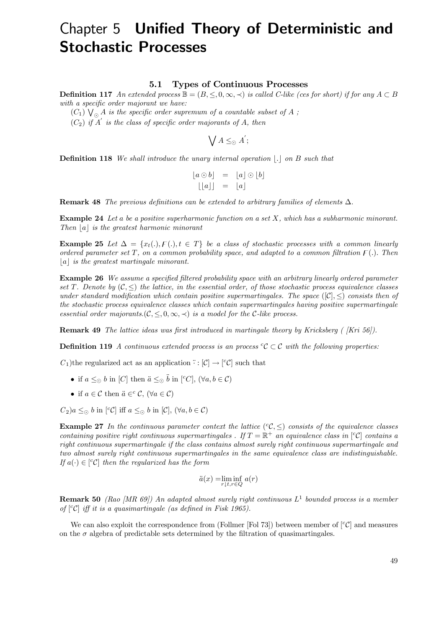## Chapter 5 Unified Theory of Deterministic and Stochastic Processes

### 5.1 Types of Continuous Processes

**Definition 117** An extended process  $\mathbb{B} = (B, \leq, 0, \infty, \prec)$  is called C-like (ces for short) if for any  $A \subset B$ with a specific order majorant we have:

 $(C_1)$   $\bigvee_{\odot} A$  is the specific order supremum of a countable subset of A ;

 $(C_2)$  if  $A'$  is the class of specific order majorants of A, then

 $\bigvee A \leq_{\odot} A^{'};$ 

**Definition 118** We shall introduce the unary internal operation  $\vert \cdot \vert$  on B such that

$$
\begin{array}{rcl} [a \odot b] & = & [a] \odot [b] \\ & \lfloor [a] \rfloor & = & [a] \end{array}
$$

**Remark 48** The previous definitions can be extended to arbitrary families of elements  $\Delta$ .

**Example 24** Let a be a positive superharmonic function on a set  $X$ , which has a subharmonic minorant. Then  $|a|$  is the greatest harmonic minorant

Example 25 Let  $\Delta = \{x_t(.) , F(.) , t \in T\}$  be a class of stochastic processes with a common linearly ordered parameter set T, on a common probability space, and adapted to a common filtration  $F(.)$ . Then  $|a|$  is the greatest martingale minorant.

Example 26 We assume a specified filtered probability space with an arbitrary linearly ordered parameter set T. Denote by  $(C, \leq)$  the lattice, in the essential order, of those stochastic process equivalence classes under standard modification which contain positive supermartingales. The space  $(|\mathcal{C}|, \leq)$  consists then of the stochastic process equivalence classes which contain supermartingales having positive supermartingale essential order majorants.( $\mathcal{C}, \leq 0, \infty, \preceq$ ) is a model for the C-like process.

Remark 49 The lattice ideas was first introduced in martingale theory by Kricksberg ([Kri 56]).

**Definition 119** A continuous extended process is an process  ${}^cC \subset C$  with the following properties:

 $C_1)$  the regularized act as an application  $\ddot{\cdot} : [\mathcal{C}] \to [{}^c\mathcal{C}]$  such that

- if  $a \leq_{\odot} b$  in [C] then  $\ddot{a} \leq_{\odot} \ddot{b}$  in [<sup>c</sup>C], ( $\forall a, b \in C$ )
- if  $a \in \mathcal{C}$  then  $\ddot{a} \in^c \mathcal{C}$ ,  $(\forall a \in \mathcal{C})$

 $C_2$ )a  $\leq_{\odot}$  b in [<sup>c</sup>C] iff a  $\leq_{\odot}$  b in [C], ( $\forall a, b \in C$ )

**Example 27** In the continuous parameter context the lattice  $({}^cC, <)$  consists of the equivalence classes containing positive right continuous supermartingales . If  $T = \mathbb{R}^+$  an equivalence class in [°C] contains a right continuous supermartingale if the class contains almost surely right continuous supermartingale and two almost surely right continuous supermartingales in the same equivalence class are indistinguishable. If  $a(\cdot) \in [\,^c\mathcal{C}]$  then the regularized has the form

$$
\ddot{a}(x) = \liminf_{r \downarrow t, r \in Q} a(r)
$$

**Remark 50** (Rao [MR 69]) An adapted almost surely right continuous  $L^1$  bounded process is a member of  $[{}^{\circ}C]$  iff it is a quasimartingale (as defined in Fisk 1965).

We can also exploit the correspondence from (Follmer [Fol 73]) between member of  $\lbrack \text{c} \rbrack$  and measures on the  $\sigma$  algebra of predictable sets determined by the filtration of quasimartingales.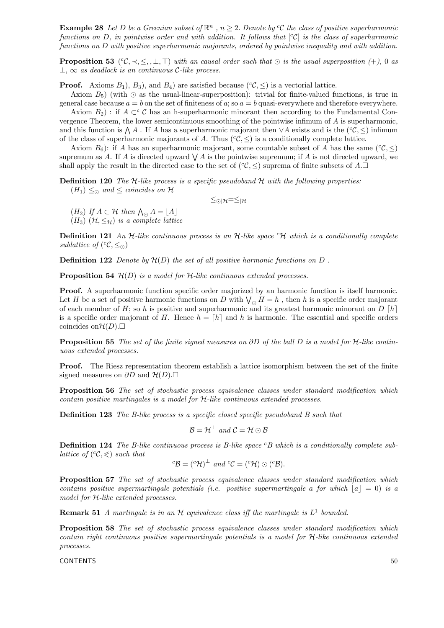**Example 28** Let D be a Greenian subset of  $\mathbb{R}^n$ ,  $n \geq 2$ . Denote by  $\mathcal{C}$  the class of positive superharmonic functions on  $D$ , in pointwise order and with addition. It follows that  $[{}^cC]$  is the class of superharmonic functions on D with positive superharmonic majorants, ordered by pointwise inequality and with addition.

**Proposition 53** ( $c \in \{-1, 1, \ldots\}$ ) with an causal order such that  $\odot$  is the usual superposition  $(+)$ , 0 as  $\perp$ ,  $\infty$  as deadlock is an continuous C-like process.

**Proof.** Axioms  $B_1$ ,  $B_3$ , and  $B_4$ ) are satisfied because  $({}^cC, \leq)$  is a vectorial lattice.

Axiom  $B_5$ ) (with  $\odot$  as the usual-linear-superposition): trivial for finite-valued functions, is true in general case because  $a = b$  on the set of finiteness of a; so  $a = b$  quasi-everywhere and therefore everywhere.

Axiom  $B_2$ ) : if  $A \subset^c C$  has an h-superharmonic minorant then according to the Fundamental Convergence Theorem, the lower semicontinuous smoothing of the pointwise infimum of A is superharmonic, and this function is  $\bigwedge A$ . If A has a superharmonic majorant then  $\vee A$  exists and is the  $({}^cC, \leq)$  infimum of the class of superharmonic majorants of A. Thus  $({}^cC, \leq)$  is a conditionally complete lattice.

Axiom  $B_6$ ): if A has an superharmonic majorant, some countable subset of A has the same  $({}^cC, \leq)$ supremum as A. If A is directed upward  $\bigvee A$  is the pointwise supremum; if A is not directed upward, we shall apply the result in the directed case to the set of  $({}^cC, \leq)$  suprema of finite subsets of A.

**Definition 120** The H-like process is a specific pseudoband  $H$  with the following properties:  $(H_1) \leq_{\odot}$  and  $\leq$  coincides on H

 $\leq_{\odot}$ <sub> $\mid$  $\mathcal{H}=\leq$  $\mid$  $\mathcal{H}$ </sub>

 $(H_2)$  If  $A \subset \mathcal{H}$  then  $\bigwedge_{\odot} A = \lfloor A \rfloor$ (H<sub>3</sub>) ( $H, \leq_H$ ) is a complete lattice

**Definition 121** An H-like continuous process is an H-like space  ${}^c\mathcal{H}$  which is a conditionally complete sublattice of  $({}^cC, \leq_{\odot})$ 

**Definition 122** Denote by  $\mathcal{H}(D)$  the set of all positive harmonic functions on D.

**Proposition 54**  $\mathcal{H}(D)$  is a model for  $\mathcal{H}\text{-like continuous extended processes.}$ 

Proof. A superharmonic function specific order majorized by an harmonic function is itself harmonic. Let H be a set of positive harmonic functions on D with  $\bigvee_{\bigcirc} H = h$ , then h is a specific order majorant of each member of H; so h is positive and superharmonic and its greatest harmonic minorant on D |h| is a specific order majorant of H. Hence  $h = [h]$  and h is harmonic. The essential and specific orders coincides on  $\mathcal{H}(D)$ .

**Proposition 55** The set of the finite signed measures on  $\partial D$  of the ball D is a model for H-like continuous extended processes.

Proof. The Riesz representation theorem establish a lattice isomorphism between the set of the finite signed measures on  $\partial D$  and  $\mathcal{H}(D)$ . $\square$ 

**Proposition 56** The set of stochastic process equivalence classes under standard modification which contain positive martingales is a model for H-like continuous extended processes.

**Definition 123** The B-like process is a specific closed specific pseudoband B such that

$$
\mathcal{B} = \mathcal{H}^{\perp} \text{ and } \mathcal{C} = \mathcal{H} \odot \mathcal{B}
$$

**Definition 124** The B-like continuous process is B-like space  ${}^cB$  which is a conditionally complete sublattice of  $({}^cC, \leq)$  such that

$$
{}^c\mathcal{B} = ({}^c\mathcal{H})^\perp \text{ and } {}^c\mathcal{C} = ({}^c\mathcal{H}) \odot ({}^c\mathcal{B}).
$$

**Proposition 57** The set of stochastic process equivalence classes under standard modification which contains positive supermartingale potentials (i.e. positive supermartingale a for which  $|a| = 0$ ) is a model for H-like extended processes.

**Remark 51** A martingale is in an  $H$  equivalence class iff the martingale is  $L^1$  bounded.

Proposition 58 The set of stochastic process equivalence classes under standard modification which contain right continuous positive supermartingale potentials is a model for H-like continuous extended processes.

 $\sim$  CONTENTS  $^{50}$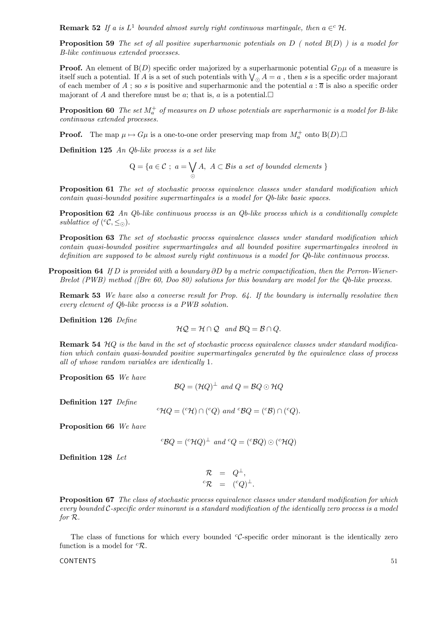**Remark 52** If a is  $L^1$  bounded almost surely right continuous martingale, then  $a \in \mathcal{H}$ .

**Proposition 59** The set of all positive superharmonic potentials on  $D$  (noted  $B(D)$ ) is a model for B-like continuous extended processes.

**Proof.** An element of  $B(D)$  specific order majorized by a superharmonic potential  $G_{D}\mu$  of a measure is itself such a potential. If A is a set of such potentials with  $\bigvee_{\odot} A = a$ , then s is a specific order majorant of each member of A ; so s is positive and superharmonic and the potential  $a : \overline{a}$  is also a specific order majorant of A and therefore must be a; that is, a is a potential.  $\square$ 

**Proposition 60** The set  $M_a^+$  of measures on D whose potentials are superharmonic is a model for B-like continuous extended processes.

**Proof.** The map  $\mu \mapsto G\mu$  is a one-to-one order preserving map from  $M_a^+$  onto  $B(D)$ .

Definition 125 An Qb-like process is a set like

$$
Q = \{a \in C \; ; \; a = \bigvee_{\odot} A, \; A \subset \mathcal{B} \text{ is a set of bounded elements } \}
$$

Proposition 61 The set of stochastic process equivalence classes under standard modification which contain quasi-bounded positive supermartingales is a model for Qb-like basic spaces.

**Proposition 62** An Qb-like continuous process is an Qb-like process which is a conditionally complete sublattice of  $({}^cC, \leq_{\odot})$ .

**Proposition 63** The set of stochastic process equivalence classes under standard modification which contain quasi-bounded positive supermartingales and all bounded positive supermartingales involved in definition are supposed to be almost surely right continuous is a model for Qb-like continuous process.

Proposition 64 If D is provided with a boundary ∂D by a metric compactification, then the Perron-Wiener-Brelot (PWB) method ([Bre 60, Doo 80) solutions for this boundary are model for the Qb-like process.

Remark 53 We have also a converse result for Prop. 64. If the boundary is internally resolutive then every element of Qb-like process is a PWB solution.

Definition 126 Define

$$
\mathcal{HQ} = \mathcal{H} \cap \mathcal{Q} \quad and \quad \mathcal{BQ} = \mathcal{B} \cap Q.
$$

**Remark 54**  $HQ$  is the band in the set of stochastic process equivalence classes under standard modification which contain quasi-bounded positive supermartingales generated by the equivalence class of process all of whose random variables are identically 1.

Proposition 65 We have

 $\mathcal{B}Q = (\mathcal{H}Q)^{\perp}$  and  $Q = \mathcal{B}Q \odot \mathcal{H}Q$ 

Definition 127 Define

 ${}^{c}\mathcal{H}Q = ({}^{c}\mathcal{H}) \cap ({}^{c}Q)$  and  ${}^{c}\mathcal{B}Q = ({}^{c}\mathcal{B}) \cap ({}^{c}Q).$ 

Proposition 66 We have

$$
{}^{c}\mathcal{B}Q = ({}^{c}\mathcal{H}Q)^{\perp} \text{ and } {}^{c}Q = ({}^{c}\mathcal{B}Q) \odot ({}^{c}\mathcal{H}Q)
$$

Definition 128 Let

$$
\begin{array}{rcl}\mathcal{R} & = & Q^{\perp}, \\
{}^{c}\mathcal{R} & = & ({}^{c}Q)^{\perp}.\n\end{array}
$$

Proposition 67 The class of stochastic process equivalence classes under standard modification for which every bounded C-specific order minorant is a standard modification of the identically zero process is a model for R.

The class of functions for which every bounded  $c^c$ -specific order minorant is the identically zero function is a model for  ${}^{c}\mathcal{R}$ .

#### $\sim$  CONTENTS  $\sim$  51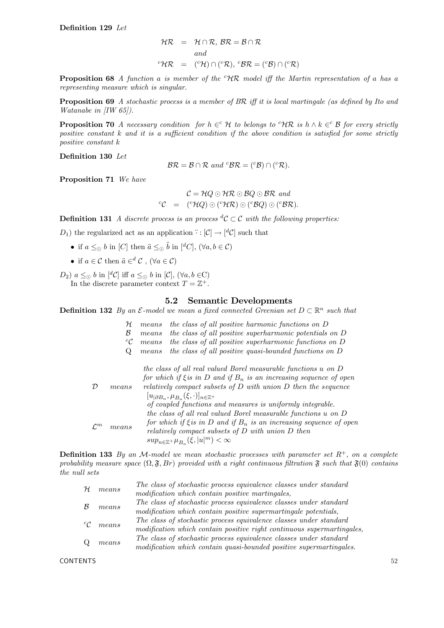Definition 129 Let

$$
\mathcal{HR} = \mathcal{H} \cap \mathcal{R}, \mathcal{BR} = \mathcal{B} \cap \mathcal{R}
$$
  
and  

$$
{}^{c}\mathcal{HR} = ({}^{c}\mathcal{H}) \cap ({}^{c}\mathcal{R}), {}^{c}\mathcal{BR} = ({}^{c}\mathcal{B}) \cap ({}^{c}\mathcal{R})
$$

**Proposition 68** A function a is member of the  ${}^c\mathcal{HR}$  model iff the Martin representation of a has a representing measure which is singular.

Proposition 69 A stochastic process is a member of BR iff it is local martingale (as defined by Ito and Watanabe in [IW 65]).

**Proposition 70** A necessary condition for  $h \in C^c$  H to belongs to  ${}^c\mathcal{HR}$  is  $h \wedge k \in C^c$  B for every strictly positive constant k and it is a sufficient condition if the above condition is satisfied for some strictly positive constant k

Definition 130 Let

$$
\mathcal{BR} = \mathcal{B} \cap \mathcal{R} \text{ and } {}^c \mathcal{BR} = ({}^c \mathcal{B}) \cap ({}^c \mathcal{R}).
$$

Proposition 71 We have

$$
\mathcal{C} = \mathcal{H}Q \odot \mathcal{H}\mathcal{R} \odot \mathcal{B}Q \odot \mathcal{B}\mathcal{R} \ \ and
$$
  

$$
{}^{c}\mathcal{C} = ({}^{c}\mathcal{H}Q) \odot ({}^{c}\mathcal{H}\mathcal{R}) \odot ({}^{c}\mathcal{B}Q) \odot ({}^{c}\mathcal{B}\mathcal{R}).
$$

**Definition 131** A discrete process is an process  ${}^dC \subset C$  with the following properties:

 $D_1$ ) the regularized act as an application  $\ddot{\cdot} : [\mathcal{C}] \to [{}^d\mathcal{C}]$  such that

- if  $a \leq_{\odot} b$  in [C] then  $\ddot{a} \leq_{\odot} \ddot{b}$  in [<sup>d</sup>C], ( $\forall a, b \in C$ )
- if  $a \in \mathcal{C}$  then  $\ddot{a} \in \dot{c}$ ,  $(\forall a \in \mathcal{C})$

 $D_2$   $a \leq_{\odot} b$  in  $\lbrack d \rbrack$  iff  $a \leq_{\odot} b$  in  $\lbrack d \rbrack$ ,  $(\forall a, b \in C)$ In the discrete parameter context  $T = \mathbb{Z}^+$ .

#### 5.2 Semantic Developments

**Definition 132** By an  $\mathcal{E}\text{-model}$  we mean a fixed connected Greenian set  $D \subset \mathbb{R}^n$  such that

|  | $\mathcal H$ means the class of all positive harmonic functions on $D$ |
|--|------------------------------------------------------------------------|
|  | <b>B</b> means the class of all positive superharmonic potentials on   |

|  | $\beta$ means the class of all positive superharmonic potentials on $D$        |
|--|--------------------------------------------------------------------------------|
|  | ${}^c\mathcal{C}$ means the class of all positive superharmonic functions on D |

Q means the class of all positive quasi-bounded functions on D

|                 | means | the class of all real valued Borel measurable functions u on D<br>for which if $\xi$ is in D and if $B_n$ is an increasing sequence of open<br>relatively compact subsets of $D$ with union $D$ then the sequence<br>$[u_{\vert \partial B_n}, \mu_{B_n}(\xi, \cdot)]_{n \in \mathbb{Z}^+}$<br>of coupled functions and measures is uniformly integrable. |
|-----------------|-------|-----------------------------------------------------------------------------------------------------------------------------------------------------------------------------------------------------------------------------------------------------------------------------------------------------------------------------------------------------------|
| $\mathcal{L}^m$ | means | the class of all real valued Borel measurable functions u on D<br>for which if $\xi$ is in D and if $B_n$ is an increasing sequence of open<br>relatively compact subsets of $D$ with union $D$ then<br>$sup_{n\in\mathbb{Z}^+}\mu_{B_n}(\xi, u ^m)<\infty$                                                                                               |

**Definition 133** By an M-model we mean stochastic processes with parameter set  $R^+$ , on a complete probability measure space  $(\Omega, \mathfrak{F}, Br)$  provided with a right continuous filtration  $\mathfrak{F}$  such that  $\mathfrak{F}(0)$  contains the null sets

| means | The class of stochastic process equivalence classes under standard     |
|-------|------------------------------------------------------------------------|
|       | modification which contain positive martingales,                       |
| means | The class of stochastic process equivalence classes under standard     |
|       | modification which contain positive supermartingale potentials,        |
| means | The class of stochastic process equivalence classes under standard     |
|       | modification which contain positive right continuous supermartingales, |
| means | The class of stochastic process equivalence classes under standard     |
|       | modification which contain quasi-bounded positive supermartingales.    |
|       |                                                                        |

 $\mathsf{CONTENTS} \hspace{1.5cm} 52$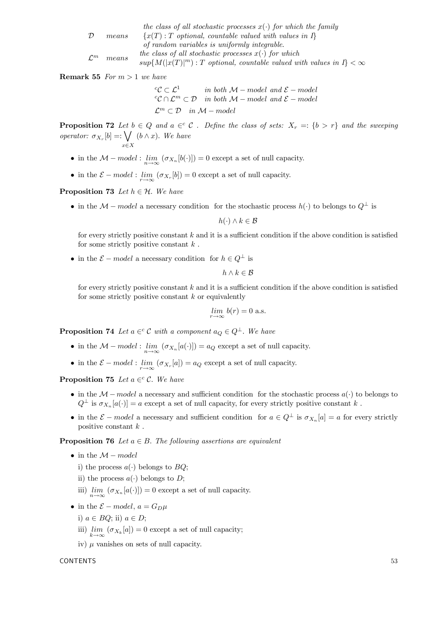|                 |       | the class of all stochastic processes $x(\cdot)$ for which the family                                                                                |
|-----------------|-------|------------------------------------------------------------------------------------------------------------------------------------------------------|
| $\mathcal{D}$   | means | ${x(T): T \text{ optional}, countable valued with values in I}$                                                                                      |
|                 |       | of random variables is uniformly integrable.                                                                                                         |
| $\mathcal{L}^m$ | means | the class of all stochastic processes $x(\cdot)$ for which<br>$sup{M( x(T) ^m) : T \text{ optional, countable valued with values in } I \} < \infty$ |
|                 |       |                                                                                                                                                      |

**Remark 55** For  $m > 1$  we have

 ${}^cC \subset \mathcal{L}^1$  in both M – model and  $\mathcal{E}$  – model<br> ${}^cC \cap \mathcal{L}^m \subset \mathcal{D}$  in both M – model and  $\mathcal{E}$  – model  $\mathcal{L}^m \subset \mathcal{D}$  in  $\mathcal{M}-model$ 

**Proposition 72** Let  $b \in Q$  and  $a \in C$ . Define the class of sets:  $X_r = \{b > r\}$  and the sweeping operator:  $\sigma_{X_r}[b] =: \bigvee$ x∈X  $(b \wedge x)$ . We have

- in the  $\mathcal{M}-model$ :  $\lim_{m \to \infty} (\sigma_{X_n}[b(\cdot)]) = 0$  except a set of null capacity.
- in the  $\mathcal{E}-model$ :  $lim (\sigma_{X_r}[b]) = 0$  except a set of null capacity.

**Proposition 73** Let  $h \in \mathcal{H}$ . We have

• in the  $\mathcal{M}$  – model a necessary condition for the stochastic process  $h(\cdot)$  to belongs to  $Q^{\perp}$  is

 $h(\cdot) \wedge k \in \mathcal{B}$ 

for every strictly positive constant  $k$  and it is a sufficient condition if the above condition is satisfied for some strictly positive constant  $k$ .

• in the  $\mathcal{E}-model$  a necessary condition for  $h \in \mathcal{Q}^{\perp}$  is

 $h \wedge k \in \mathcal{B}$ 

for every strictly positive constant  $k$  and it is a sufficient condition if the above condition is satisfied for some strictly positive constant  $k$  or equivalently

$$
\lim_{r \to \infty} b(r) = 0
$$
 a.s.

**Proposition 74** Let  $a \in \mathcal{C}$  with a component  $a_O \in Q^{\perp}$ . We have

- in the  $\mathcal{M}-model$ :  $\lim_{m \to \infty} (\sigma_{X_n}[a(\cdot)]) = a_Q$  except a set of null capacity.
- in the  $\mathcal{E}$  model :  $\lim_{r \to \infty} (\sigma_{X_r}[a]) = a_Q$  except a set of null capacity.

**Proposition 75** Let  $a \in \mathcal{C}$ . We have

- in the  $\mathcal{M}-model$  a necessary and sufficient condition for the stochastic process  $a(\cdot)$  to belongs to  $Q^{\perp}$  is  $\sigma_{X_n}[a(\cdot)] = a$  except a set of null capacity, for every strictly positive constant k.
- in the  $\mathcal{E}-model$  a necessary and sufficient condition for  $a \in Q^{\perp}$  is  $\sigma_{X_n}[a] = a$  for every strictly positive constant  $k$ .

**Proposition 76** Let  $a \in B$ . The following assertions are equivalent

• in the  $M-model$ 

i) the process  $a(\cdot)$  belongs to  $BQ$ ;

- ii) the process  $a(\cdot)$  belongs to D;
- iii)  $\lim_{n\to\infty} (\sigma_{X_n}[a(\cdot)]) = 0$  except a set of null capacity.
- in the  $\mathcal{E}$  model,  $a = G_D \mu$ 
	- i)  $a \in BQ$ ; ii)  $a \in D$ ;
	- iii)  $\lim_{k \to \infty} (\sigma_{X_k}[a]) = 0$  except a set of null capacity;
	- iv) μ vanishes on sets of null capacity.

#### $\sim$  CONTENTS  $^{53}$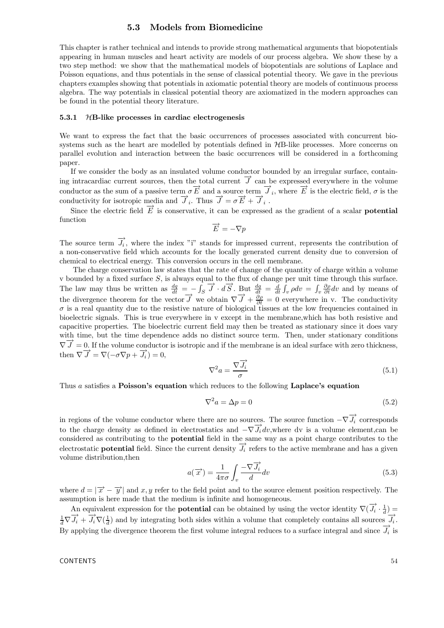## 5.3 Models from Biomedicine

This chapter is rather technical and intends to provide strong mathematical arguments that biopotentials appearing in human muscles and heart activity are models of our process algebra. We show these by a two step method: we show that the mathematical models of biopotentials are solutions of Laplace and Poisson equations, and thus potentials in the sense of classical potential theory. We gave in the previous chapters examples showing that potentials in axiomatic potential theory are models of continuous process algebra. The way potentials in classical potential theory are axiomatized in the modern approaches can be found in the potential theory literature.

#### 5.3.1  $\mathcal{H}$ B-like processes in cardiac electrogenesis

We want to express the fact that the basic occurrences of processes associated with concurrent biosystems such as the heart are modelled by potentials defined in  $H\text{B-like processes}$ . More concerns on parallel evolution and interaction between the basic occurrences will be considered in a forthcoming paper.

If we consider the body as an insulated volume conductor bounded by an irregular surface, containing intracardiac current sources, then the total current  $\overline{J}$  can be expressed everywhere in the volume conductor as the sum of a passive term  $\sigma \overrightarrow{E}$  and a source term  $\overrightarrow{J}_i$ , where  $\overrightarrow{E}$  is the electric field,  $\sigma$  is the conductivity for isotropic media and  $\overrightarrow{J}_i$ . Thus  $\overrightarrow{J} = \sigma \overrightarrow{E} + \overrightarrow{J}_i$ .

Since the electric field  $\overrightarrow{E}$  is conservative, it can be expressed as the gradient of a scalar **potential** function  $\overrightarrow{E} = -\nabla p$ 

$$
\overline{E}=-\nabla p
$$

The source term  $\overrightarrow{J_i}$ , where the index "i" stands for impressed current, represents the contribution of a non-conservative field which accounts for the locally generated current density due to conversion of chemical to electrical energy. This conversion occurs in the cell membrane.

The charge conservation law states that the rate of change of the quantity of charge within a volume v bounded by a fixed surface  $S$ , is always equal to the flux of change per unit time through this surface. The law may thus be written as  $\frac{dq}{dt} = -\int_S \overrightarrow{J} \cdot d\overrightarrow{S}$ . But  $\frac{dq}{dt} = \frac{d}{dt} \int_v \rho dv = \int_v \frac{\partial \rho}{\partial t} dv$  and by means of the divergence theorem for the vector  $\overrightarrow{J}$  we obtain  $\nabla \overrightarrow{J} + \frac{\partial \rho}{\partial t} = 0$  everywhere in v. The conductivity  $\sigma$  is a real quantity due to the resistive nature of biological tissues at the low frequencies contained in bioelectric signals. This is true everywhere in v except in the membrane,which has both resistive and capacitive properties. The bioelectric current field may then be treated as stationary since it does vary with time, but the time dependence adds no distinct source term. Then, under stationary conditions  $\nabla \vec{J} = 0$ . If the volume conductor is isotropic and if the membrane is an ideal surface with zero thickness, then  $\nabla \vec{J} = \nabla(-\sigma \nabla p + \vec{J}_i) = 0$ ,

$$
\nabla^2 a = \frac{\nabla \overrightarrow{J_i}}{\sigma} \tag{5.1}
$$

Thus a satisfies a **Poisson's equation** which reduces to the following **Laplace's equation** 

$$
\nabla^2 a = \Delta p = 0 \tag{5.2}
$$

in regions of the volume conductor where there are no sources. The source function  $-\nabla \vec{J}_i$  corresponds to the charge density as defined in electrostatics and  $-\nabla \vec{J}_i dv$ , where dv is a volume element,can be considered as contributing to the potential field in the same way as a point charge contributes to the electrostatic **potential** field. Since the current density  $\overrightarrow{J_i}$  refers to the active membrane and has a given volume distribution,then

$$
a(\overrightarrow{x}) = \frac{1}{4\pi\sigma} \int_{v} \frac{-\nabla \overrightarrow{J_i}}{d} dv
$$
\n(5.3)

where  $d = |\overrightarrow{x} - \overrightarrow{y}|$  and x, y refer to the field point and to the source element position respectively. The assumption is here made that the medium is infinite and homogeneous.

An equivalent expression for the **potential** can be obtained by using the vector identity  $\nabla(\overrightarrow{J_i} \cdot \frac{1}{d}) =$  $\frac{1}{d}\nabla \overrightarrow{J}_i + \overrightarrow{J}_i \nabla (\frac{1}{d})$  and by integrating both sides within a volume that completely contains all sources  $\overrightarrow{J}_i$ . By applying the divergence theorem the first volume integral reduces to a surface integral and since  $\overrightarrow{J}_i$  is

#### $\sim$  CONTENTS  $^{54}$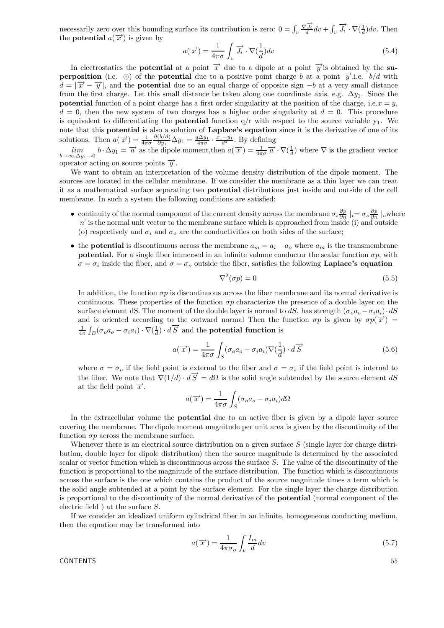necessarily zero over this bounding surface its contribution is zero:  $0 = \int_v \frac{\nabla \vec{J}_i}{d} dv + \int_v \vec{J}_i \cdot \nabla (\frac{1}{d}) dv$ . Then the **potential**  $a(\vec{x})$  is given by

$$
a(\overrightarrow{x}) = \frac{1}{4\pi\sigma} \int_{v} \overrightarrow{J_i} \cdot \nabla(\frac{1}{d}) dv
$$
\n(5.4)

In electrostatics the **potential** at a point  $\vec{x}$  due to a dipole at a point  $\vec{y}$  is obtained by the su**perposition** (i.e.  $\odot$ ) of the **potential** due to a positive point charge b at a point  $\overrightarrow{y}$ ,i.e. b/d with  $d = |\vec{x} - \vec{y}|$ , and the **potential** due to an equal charge of opposite sign  $-b$  at a very small distance from the first charge. Let this small distance be taken along one coordinate axis, e.g.  $\Delta y_1$ . Since the potential function of a point charge has a first order singularity at the position of the charge, i.e.  $x = y$ ,  $d = 0$ , then the new system of two charges has a higher order singularity at  $d = 0$ . This procedure is equivalent to differentiating the **potential** function  $q/r$  with respect to the source variable  $y_1$ . We note that this **potential** is also a solution of Laplace's equation since it is the derivative of one of its solutions. Then  $a(\vec{x}) = \frac{1}{4\pi\sigma}$  $\frac{\partial (b/d)}{\partial y_1} \Delta y_1 = \frac{q \Delta y_1}{4 \pi \sigma} \cdot \frac{x_1 - y_1}{d^3}$ . By defining

lim  $\lim_{b \to \infty, \Delta y_1 \to 0} b \cdot \Delta y_1 = \overrightarrow{a}$  as the dipole moment, then  $a(\overrightarrow{x}) = \frac{1}{4\pi\sigma} \overrightarrow{a} \cdot \nabla(\frac{1}{d})$  where  $\nabla$  is the gradient vector operator acting on source points  $\overrightarrow{y}$ .

We want to obtain an interpretation of the volume density distribution of the dipole moment. The sources are located in the cellular membrane. If we consider the membrane as a thin layer we can treat it as a mathematical surface separating two potential distributions just inside and outside of the cell membrane. In such a system the following conditions are satisfied:

- continuity of the normal component of the current density across the membrane  $\sigma_i \frac{\partial p}{\partial n} \mid_i = \sigma_o \frac{\partial p}{\partial n} \mid_o$  where  $\overrightarrow{n}$  is the normal unit vector to the membrane surface which is approached from inside (i) and o (o) respectively and  $\sigma_i$  and  $\sigma_o$  are the conductivities on both sides of the surface;
- the **potential** is discontinuous across the membrane  $a_m = a_i a_o$  where  $a_m$  is the transmembrane potential. For a single fiber immersed in an infinite volume conductor the scalar function  $\sigma p$ , with  $\sigma = \sigma_i$  inside the fiber, and  $\sigma = \sigma_o$  outside the fiber, satisfies the following **Laplace's equation**

$$
\nabla^2(\sigma p) = 0\tag{5.5}
$$

In addition, the function  $\sigma p$  is discontinuous across the fiber membrane and its normal derivative is continuous. These properties of the function  $\sigma p$  characterize the presence of a double layer on the surface element dS. The moment of the double layer is normal to dS, has strength  $(\sigma_o a_o - \sigma_i a_i) \cdot dS$ and is oriented according to the outward normal Then the function  $\sigma p$  is given by  $\sigma p(\vec{x}) =$  $\frac{1}{4\pi} \int_B (\sigma_o a_o - \sigma_i a_i) \cdot \nabla(\frac{1}{d}) \cdot d\overrightarrow{S}$  and the **potential function** is

$$
a(\overrightarrow{x}) = \frac{1}{4\pi\sigma} \int_{S} (\sigma_o a_o - \sigma_i a_i) \nabla(\frac{1}{d}) \cdot d\overrightarrow{S}
$$
 (5.6)

where  $\sigma = \sigma_o$  if the field point is external to the fiber and  $\sigma = \sigma_i$  if the field point is internal to the fiber. We note that  $\nabla(1/d) \cdot d\vec{S} = d\Omega$  is the solid angle subtended by the source element dS at the field point  $\overrightarrow{x}$ .

$$
a(\overrightarrow{x}) = \frac{1}{4\pi\sigma} \int_{S} (\sigma_o a_o - \sigma_i a_i) d\Omega
$$

In the extracellular volume the **potential** due to an active fiber is given by a dipole layer source covering the membrane. The dipole moment magnitude per unit area is given by the discontinuity of the function  $\sigma p$  across the membrane surface.

Whenever there is an electrical source distribution on a given surface  $S$  (single layer for charge distribution, double layer for dipole distribution) then the source magnitude is determined by the associated scalar or vector function which is discontinuous across the surface S. The value of the discontinuity of the function is proportional to the magnitude of the surface distribution. The function which is discontinuous across the surface is the one which contains the product of the source magnitude times a term which is the solid angle subtended at a point by the surface element. For the single layer the charge distribution is proportional to the discontinuity of the normal derivative of the potential (normal component of the electric field ) at the surface S.

If we consider an idealized uniform cylindrical fiber in an infinite, homogeneous conducting medium, then the equation may be transformed into

$$
a(\overrightarrow{x}) = \frac{1}{4\pi\sigma_o} \int_v \frac{I_m}{d} dv
$$
\n(5.7)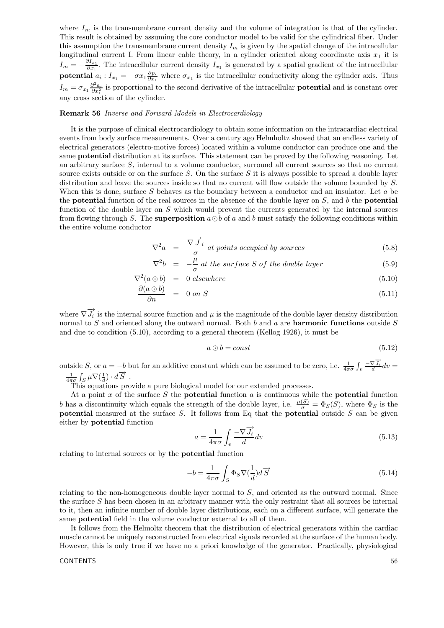where  $I_m$  is the transmembrane current density and the volume of integration is that of the cylinder. This result is obtained by assuming the core conductor model to be valid for the cylindrical fiber. Under this assumption the transmembrane current density  $I<sub>m</sub>$  is given by the spatial change of the intracellular longitudinal current I. From linear cable theory, in a cylinder oriented along coordinate axis  $x_1$  it is  $I_m = -\frac{\partial I_{x_1}}{\partial x_1}$ . The intracellular current density  $I_{x_1}$  is generated by a spatial gradient of the intracellular **potential**  $a_i : I_{x_1} = -\sigma x_1 \frac{\partial p_i}{\partial x_1}$  where  $\sigma_{x_1}$  is the intracellular conductivity along the cylinder axis. Thus  $I_m = \sigma_{x_1} \frac{\partial^2 a_i}{\partial x_1^2}$  is proportional to the second derivative of the intracellular **potential** and is constant over any cross section of the cylinder.

#### Remark 56 Inverse and Forward Models in Electrocardiology

It is the purpose of clinical electrocardiology to obtain some information on the intracardiac electrical events from body surface measurements. Over a century ago Helmholtz showed that an endless variety of electrical generators (electro-motive forces) located within a volume conductor can produce one and the same potential distribution at its surface. This statement can be proved by the following reasoning. Let an arbitrary surface S, internal to a volume conductor, surround all current sources so that no current source exists outside or on the surface  $S$ . On the surface  $S$  it is always possible to spread a double layer distribution and leave the sources inside so that no current will flow outside the volume bounded by S. When this is done, surface  $S$  behaves as the boundary between a conductor and an insulator. Let  $a$  be the **potential** function of the real sources in the absence of the double layer on  $S$ , and  $b$  the **potential** function of the double layer on  $S$  which would prevent the currents generated by the internal sources from flowing through S. The **superposition**  $a \odot b$  of a and b must satisfy the following conditions within the entire volume conductor

$$
\nabla^2 a = \frac{\nabla \overrightarrow{J}_i}{\sigma} \text{ at points occupied by sources} \qquad (5.8)
$$

$$
\nabla^2 b = -\frac{\mu}{\sigma} at the surface S of the double layer \tag{5.9}
$$

$$
\nabla^2(a \odot b) = 0 \text{ elsewhere} \tag{5.10}
$$

$$
\frac{\partial (a \odot b)}{\partial n} = 0 \text{ on } S \tag{5.11}
$$

where  $\nabla \vec{J}_i$  is the internal source function and  $\mu$  is the magnitude of the double layer density distribution normal to S and oriented along the outward normal. Both  $b$  and  $a$  are **harmonic functions** outside  $S$ and due to condition (5.10), according to a general theorem (Kellog 1926), it must be

$$
a \odot b = const \tag{5.12}
$$

outside S, or  $a = -b$  but for an additive constant which can be assumed to be zero, i.e.  $\frac{1}{4\pi\sigma} \int_v \frac{-\nabla \vec{J}_i}{d} dv =$  $-\frac{1}{4\pi\sigma}\int_{S}\mu\nabla(\frac{1}{d})\cdot d\overrightarrow{S}$ .

This equations provide a pure biological model for our extended processes.

At a point  $x$  of the surface  $S$  the **potential** function  $a$  is continuous while the **potential** function b has a discontinuity which equals the strength of the double layer, i.e.  $\frac{\mu(S)}{\sigma} = \Phi_S(S)$ , where  $\Phi_S$  is the potential measured at the surface S. It follows from Eq that the potential outside S can be given either by potential function

$$
a = \frac{1}{4\pi\sigma} \int_{v} \frac{-\nabla \overrightarrow{J_i}}{d} dv
$$
\n(5.13)

relating to internal sources or by the potential function

$$
-b = \frac{1}{4\pi\sigma} \int_{S} \Phi_S \nabla (\frac{1}{d}) d\overrightarrow{S}
$$
 (5.14)

relating to the non-homogeneous double layer normal to  $S$ , and oriented as the outward normal. Since the surface S has been chosen in an arbitrary manner with the only restraint that all sources be internal to it, then an infinite number of double layer distributions, each on a different surface, will generate the same potential field in the volume conductor external to all of them.

It follows from the Helmoltz theorem that the distribution of electrical generators within the cardiac muscle cannot be uniquely reconstructed from electrical signals recorded at the surface of the human body. However, this is only true if we have no a priori knowledge of the generator. Practically, physiological

#### $\sim$  CONTENTS  $^{56}$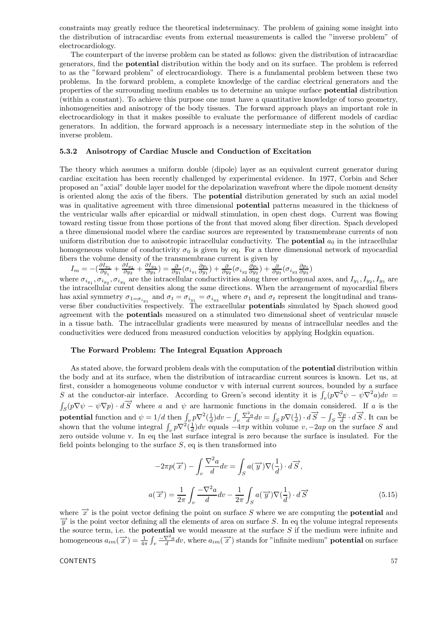constraints may greatly reduce the theoretical indeterminacy. The problem of gaining some insight into the distribution of intracardiac events from external measurements is called the "inverse problem" of electrocardiology.

The counterpart of the inverse problem can be stated as follows: given the distribution of intracardiac generators, find the potential distribution within the body and on its surface. The problem is referred to as the "forward problem" of electrocardiology. There is a fundamental problem between these two problems. In the forward problem, a complete knowledge of the cardiac electrical generators and the properties of the surrounding medium enables us to determine an unique surface potential distribution (within a constant). To achieve this purpose one must have a quantitative knowledge of torso geometry, inhomogeneities and anisotropy of the body tissues. The forward approach plays an important role in electrocardiology in that it makes possible to evaluate the performance of different models of cardiac generators. In addition, the forward approach is a necessary intermediate step in the solution of the inverse problem.

#### 5.3.2 Anisotropy of Cardiac Muscle and Conduction of Excitation

The theory which assumes a uniform double (dipole) layer as an equivalent current generator during cardiac excitation has been recently challenged by experimental evidence. In 1977, Corbin and Scher proposed an "axial" double layer model for the depolarization wavefront where the dipole moment density is oriented along the axis of the fibers. The potential distribution generated by such an axial model was in qualitative agreement with three dimensional **potential** patterns measured in the thickness of the ventricular walls after epicardial or midwall stimulation, in open chest dogs. Current was flowing toward resting tissue from those portions of the front that moved along fiber direction. Spach developed a three dimensional model where the cardiac sources are represented by transmembrane currents of non uniform distribution due to anisotropic intracellular conductivity. The **potential**  $a_0$  in the intracellular homogeneous volume of conductivity  $\sigma_0$  is given by eq. For a three dimensional network of myocardial fibers the volume density of the transmembrane current is given by

 $I_m = -(\frac{\partial I_{y_1}}{\partial y_1})$  $\frac{\partial I_{y_1}}{\partial y_1} + \frac{\partial I_{y_2}}{\partial y_2} + \frac{\partial I_{y_3}}{\partial y_3}$   $= \frac{\partial}{\partial y_1} (\sigma_{i_{y_1}} \frac{\partial p_i}{\partial y_1}) + \frac{\partial}{\partial y_2} (\sigma_{i_{y_2}} \frac{\partial p_i}{\partial y_2}) + \frac{\partial}{\partial y_3} (\sigma_{i_{y_3}} \frac{\partial p_i}{\partial y_3})$ 

where  $\sigma_{i_{y_1}}, \sigma_{i_{y_2}}, \sigma_{i_{y_3}}$  are the intracellular conductivities along three orthogonal axes, and  $I_{y_1}, I_{y_2}, I_{y_3}$  are the intracellular curent densities along the same directions. When the arrangement of myocardial fibers has axial symmetry  $\sigma_{1=\sigma_{i_{y_1}}}$  and  $\sigma_t = \sigma_{i_{y_1}} = \sigma_{i_{y_3}}$  where  $\sigma_1$  and  $\sigma_t$  represent the longitudinal and transverse fiber conductivities respectively. The extracellular **potentials** simulated by Spach showed good agreement with the potentials measured on a stimulated two dimensional sheet of ventricular muscle in a tissue bath. The intracellular gradients were measured by means of intracellular needles and the conductivities were deduced from measured conduction velocities by applying Hodgkin equation.

#### The Forward Problem: The Integral Equation Approach

As stated above, the forward problem deals with the computation of the potential distribution within the body and at its surface, when the distribution of intracardiac current sources is known. Let us, at first, consider a homogeneous volume conductor v with internal current sources, bounded by a surface S at the conductor-air interface. According to Green's second identity it is  $\int_{v} (p\nabla^2 \psi - \psi \nabla^2 a) dv =$ S at the conductor-air interface. According to Green's second identity it is  $\int_v (p\nabla^2 \psi - \psi \nabla^2 a) dv =$ <br> $\int_S (p\nabla \psi - \psi \nabla p) \cdot d\vec{S}$  where a and  $\psi$  are harmonic functions in the domain considered. If a is the potential function and  $\psi = 1/d$  then  $\int_{\mathcal{V}} p \nabla^2(\frac{1}{d}) dv - \int_{\mathcal{V}} \frac{\nabla^2 a}{d} dv = \int_{S} p \nabla(\frac{1}{d}) \cdot d\overrightarrow{S} - \int_{S} \frac{\nabla p}{d} \cdot d\overrightarrow{S}$ . It can be shown that the volume integral  $\int_v p \nabla^2(\frac{1}{d}) dv$  equals  $-4\pi p$  within volume  $v, -2ap$  on the surface S and zero outside volume v. In eq the last surface integral is zero because the surface is insulated. For the field points belonging to the surface  $S$ , eq is then transformed into

$$
-2\pi p(\overrightarrow{x}) - \int_{v} \frac{\nabla^{2} a}{d} dv = \int_{S} a(\overrightarrow{y}) \nabla(\frac{1}{d}) \cdot d\overrightarrow{S},
$$

$$
a(\overrightarrow{x}) = \frac{1}{2\pi} \int_{v} \frac{-\nabla^{2} a}{d} dv - \frac{1}{2\pi} \int_{S} a(\overrightarrow{y}) \nabla(\frac{1}{d}) \cdot d\overrightarrow{S}
$$
(5.15)

where  $\vec{x}$  is the point vector defining the point on surface S where we are computing the **potential** and  $\overrightarrow{y}$  is the point vector defining all the elements of area on surface S. In eq the volume integral represents the source term, i.e. the **potential** we would measure at the surface  $S$  if the medium were infinite and homogeneous  $a_{im}(\vec{x}) = \frac{1}{4\pi} \int_v \frac{-\nabla^2 a}{d} dv$ , where  $a_{im}(\vec{x})$  stands for "infinite medium" **potential** on surface

#### $\sim$  CONTENTS  $^{57}$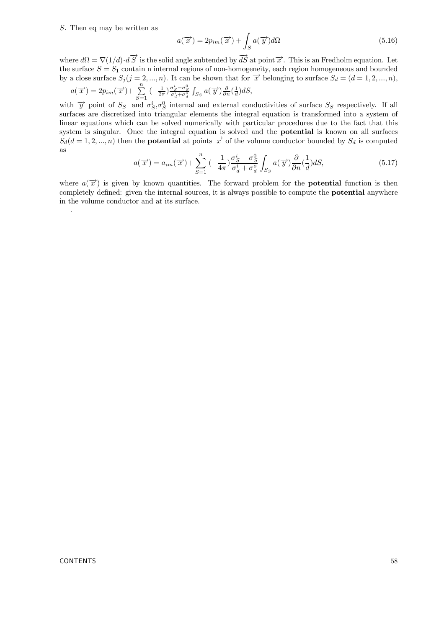.

$$
a(\overrightarrow{x}) = 2p_{im}(\overrightarrow{x}) + \int_{S} a(\overrightarrow{y})d\Omega
$$
\n(5.16)

where  $d\Omega = \nabla(1/d) \cdot d\overrightarrow{S}$  is the solid angle subtended by  $\overrightarrow{dS}$  at point $\overrightarrow{x}$ . This is an Fredholm equation. Let the surface  $S = S_1$  contain n internal regions of non-homogeneity, each region homogeneous and bounded by a close surface  $S_j$  (j = 2, ..., n). It can be shown that for  $\overrightarrow{x}$  belonging to surface  $S_d = (d = 1, 2, ..., n)$ ,

$$
a(\overrightarrow{x}) = 2p_{im}(\overrightarrow{x}) + \sum_{S=1}^{n} \left(-\frac{1}{2\pi}\right) \frac{\sigma_S^i - \sigma_S^0}{\sigma_d^i + \sigma_d^o} \int_{S_S} a(\overrightarrow{y}) \frac{\partial}{\partial n} \left(\frac{1}{d}\right) dS,
$$

with  $\overrightarrow{y}$  point of  $S_S$  and  $\sigma_S^i$ ,  $\sigma_S^0$  internal and external conductivities of surface  $S_S$  respectively. If all surfaces are discretized into triangular elements the integral equation is transformed into a system of linear equations which can be solved numerically with particular procedures due to the fact that this system is singular. Once the integral equation is solved and the **potential** is known on all surfaces  $S_d(d = 1, 2, ..., n)$  then the **potential** at points  $\vec{x}$  of the volume conductor bounded by  $S_d$  is computed as

$$
a(\overrightarrow{x}) = a_{im}(\overrightarrow{x}) + \sum_{S=1}^{n} \left(-\frac{1}{4\pi}\right) \frac{\sigma_S^i - \sigma_S^0}{\sigma_d^i + \sigma_d^o} \int_{S_S} a(\overrightarrow{y}) \frac{\partial}{\partial n} \left(\frac{1}{d}\right) dS,\tag{5.17}
$$

where  $a(\vec{x})$  is given by known quantities. The forward problem for the **potential** function is then completely defined: given the internal sources, it is always possible to compute the potential anywhere in the volume conductor and at its surface.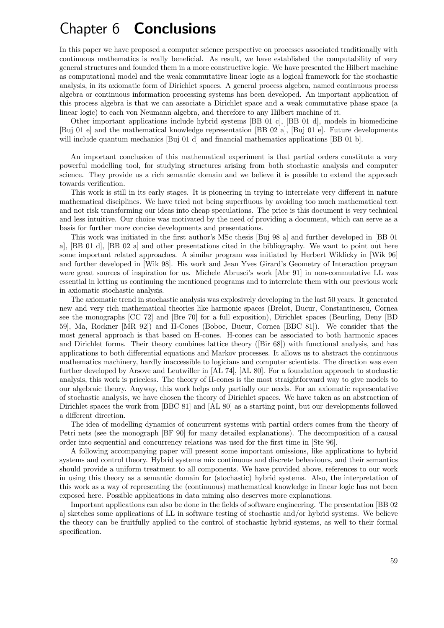## Chapter 6 Conclusions

In this paper we have proposed a computer science perspective on processes associated traditionally with continuous mathematics is really beneficial. As result, we have established the computability of very general structures and founded them in a more constructive logic. We have presented the Hilbert machine as computational model and the weak commutative linear logic as a logical framework for the stochastic analysis, in its axiomatic form of Dirichlet spaces. A general process algebra, named continuous process algebra or continuous information processing systems has been developed. An important application of this process algebra is that we can associate a Dirichlet space and a weak commutative phase space (a linear logic) to each von Neumann algebra, and therefore to any Hilbert machine of it.

Other important applications include hybrid systems [BB 01 c], [BB 01 d], models in biomedicine [Buj 01 e] and the mathematical knowledge representation [BB 02 a], [Buj 01 e]. Future developments will include quantum mechanics [Buj 01 d] and financial mathematics applications [BB 01 b].

An important conclusion of this mathematical experiment is that partial orders constitute a very powerful modelling tool, for studying structures arising from both stochastic analysis and computer science. They provide us a rich semantic domain and we believe it is possible to extend the approach towards verification.

This work is still in its early stages. It is pioneering in trying to interrelate very different in nature mathematical disciplines. We have tried not being superfluous by avoiding too much mathematical text and not risk transforming our ideas into cheap speculations. The price is this document is very technical and less intuitive. Our choice was motivated by the need of providing a document, which can serve as a basis for further more concise developments and presentations.

This work was initiated in the first author's MSc thesis [Buj 98 a] and further developed in [BB 01 a], [BB 01 d], [BB 02 a] and other presentations cited in the bibliography. We want to point out here some important related approaches. A similar program was initiated by Herbert Wiklicky in [Wik 96] and further developed in [Wik 98]. His work and Jean Yves Girard's Geometry of Interaction program were great sources of inspiration for us. Michele Abrusci's work [Abr 91] in non-commutative LL was essential in letting us continuing the mentioned programs and to interrelate them with our previous work in axiomatic stochastic analysis.

The axiomatic trend in stochastic analysis was explosively developing in the last 50 years. It generated new and very rich mathematical theories like harmonic spaces (Brelot, Bucur, Constantinescu, Cornea see the monographs [CC 72] and [Bre 70] for a full exposition), Dirichlet spaces (Beurling, Deny [BD 59], Ma, Rockner [MR 92]) and H-Cones (Boboc, Bucur, Cornea [BBC 81]). We consider that the most general approach is that based on H-cones. H-cones can be associated to both harmonic spaces and Dirichlet forms. Their theory combines lattice theory ([Bir 68]) with functional analysis, and has applications to both differential equations and Markov processes. It allows us to abstract the continuous mathematics machinery, hardly inaccessible to logicians and computer scientists. The direction was even further developed by Arsove and Leutwiller in [AL 74], [AL 80]. For a foundation approach to stochastic analysis, this work is priceless. The theory of H-cones is the most straightforward way to give models to our algebraic theory. Anyway, this work helps only partially our needs. For an axiomatic representative of stochastic analysis, we have chosen the theory of Dirichlet spaces. We have taken as an abstraction of Dirichlet spaces the work from [BBC 81] and [AL 80] as a starting point, but our developments followed a different direction.

The idea of modelling dynamics of concurrent systems with partial orders comes from the theory of Petri nets (see the monograph [BF 90] for many detailed explanations). The decomposition of a causal order into sequential and concurrency relations was used for the first time in [Ste 96].

A following accompanying paper will present some important omissions, like applications to hybrid systems and control theory. Hybrid systems mix continuous and discrete behaviours, and their semantics should provide a uniform treatment to all components. We have provided above, references to our work in using this theory as a semantic domain for (stochastic) hybrid systems. Also, the interpretation of this work as a way of representing the (continuous) mathematical knowledge in linear logic has not been exposed here. Possible applications in data mining also deserves more explanations.

Important applications can also be done in the fields of software engineering. The presentation [BB 02 a] sketches some applications of LL in software testing of stochastic and/or hybrid systems. We believe the theory can be fruitfully applied to the control of stochastic hybrid systems, as well to their formal specification.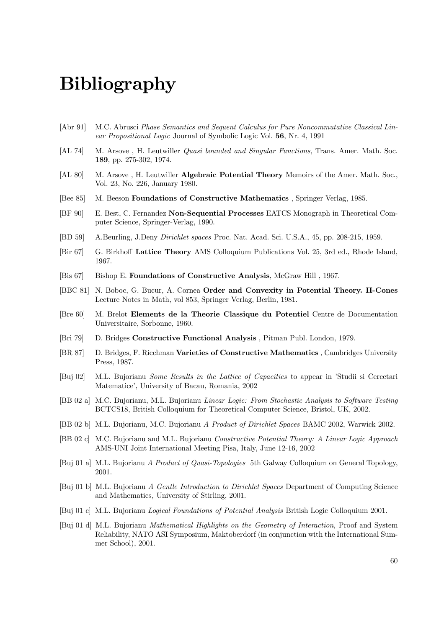# Bibliography

- [Abr 91] M.C. Abrusci Phase Semantics and Sequent Calculus for Pure Noncommutative Classical Linear Propositional Logic Journal of Symbolic Logic Vol. 56, Nr. 4, 1991
- [AL 74] M. Arsove , H. Leutwiller Quasi bounded and Singular Functions, Trans. Amer. Math. Soc. 189, pp. 275-302, 1974.
- [AL 80] M. Arsove, H. Leutwiller **Algebraic Potential Theory** Memoirs of the Amer. Math. Soc., Vol. 23, No. 226, January 1980.
- [Bee 85] M. Beeson Foundations of Constructive Mathematics , Springer Verlag, 1985.
- [BF 90] E. Best, C. Fernandez Non-Sequential Processes EATCS Monograph in Theoretical Computer Science, Springer-Verlag, 1990.
- [BD 59] A.Beurling, J.Deny Dirichlet spaces Proc. Nat. Acad. Sci. U.S.A., 45, pp. 208-215, 1959.
- [Bir 67] G. Birkhoff Lattice Theory AMS Colloquium Publications Vol. 25, 3rd ed., Rhode Island, 1967.
- [Bis 67] Bishop E. Foundations of Constructive Analysis, McGraw Hill , 1967.
- [BBC 81] N. Boboc, G. Bucur, A. Cornea Order and Convexity in Potential Theory. H-Cones Lecture Notes in Math, vol 853, Springer Verlag, Berlin, 1981.
- [Bre 60] M. Brelot Elements de la Theorie Classique du Potentiel Centre de Documentation Universitaire, Sorbonne, 1960.
- [Bri 79] D. Bridges Constructive Functional Analysis , Pitman Publ. London, 1979.
- [BR 87] D. Bridges, F. Ricchman Varieties of Constructive Mathematics , Cambridges University Press, 1987.
- [Buj 02] M.L. Bujorianu Some Results in the Lattice of Capacities to appear in 'Studii si Cercetari Matematice', University of Bacau, Romania, 2002
- [BB 02 a] M.C. Bujorianu, M.L. Bujorianu Linear Logic: From Stochastic Analysis to Software Testing BCTCS18, British Colloquium for Theoretical Computer Science, Bristol, UK, 2002.
- [BB 02 b] M.L. Bujorianu, M.C. Bujorianu A Product of Dirichlet Spaces BAMC 2002, Warwick 2002.
- [BB 02 c] M.C. Bujorianu and M.L. Bujorianu Constructive Potential Theory: A Linear Logic Approach AMS-UNI Joint International Meeting Pisa, Italy, June 12-16, 2002
- [Buj 01 a] M.L. Bujorianu A Product of Quasi-Topologies 5th Galway Colloquium on General Topology, 2001.
- [Buj 01 b] M.L. Bujorianu A Gentle Introduction to Dirichlet Spaces Department of Computing Science and Mathematics, University of Stirling, 2001.
- [Buj 01 c] M.L. Bujorianu Logical Foundations of Potential Analysis British Logic Colloquium 2001.
- [Buj 01 d] M.L. Bujorianu Mathematical Highlights on the Geometry of Interaction, Proof and System Reliability, NATO ASI Symposium, Maktoberdorf (in conjunction with the International Summer School), 2001.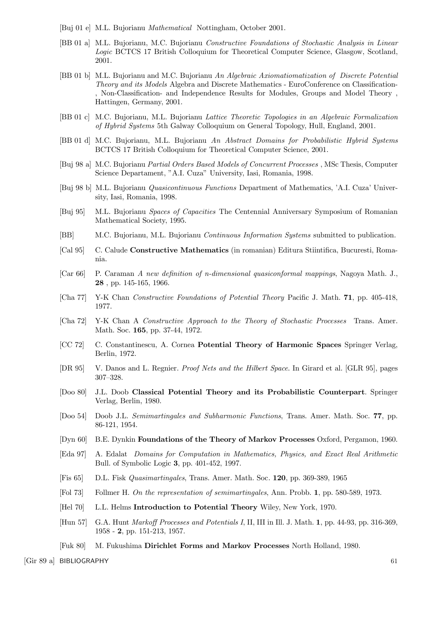- [Buj 01 e] M.L. Bujorianu Mathematical Nottingham, October 2001.
- [BB 01 a] M.L. Bujorianu, M.C. Bujorianu Constructive Foundations of Stochastic Analysis in Linear Logic BCTCS 17 British Colloquium for Theoretical Computer Science, Glasgow, Scotland, 2001.
- [BB 01 b] M.L. Bujorianu and M.C. Bujorianu An Algebraic Axiomatiomatization of Discrete Potential Theory and its Models Algebra and Discrete Mathematics - EuroConference on Classification- , Non-Classification- and Independence Results for Modules, Groups and Model Theory , Hattingen, Germany, 2001.
- [BB 01 c] M.C. Bujorianu, M.L. Bujorianu Lattice Theoretic Topologies in an Algebraic Formalization of Hybrid Systems 5th Galway Colloquium on General Topology, Hull, England, 2001.
- [BB 01 d] M.C. Bujorianu, M.L. Bujorianu An Abstract Domains for Probabilistic Hybrid Systems BCTCS 17 British Colloquium for Theoretical Computer Science, 2001.
- [Buj 98 a] M.C. Bujorianu Partial Orders Based Models of Concurrent Processes , MSc Thesis, Computer Science Departament, "A.I. Cuza" University, Iasi, Romania, 1998.
- [Buj 98 b] M.L. Bujorianu Quasicontinuous Functions Department of Mathematics, 'A.I. Cuza' University, Iasi, Romania, 1998.
- [Buj 95] M.L. Bujorianu Spaces of Capacities The Centennial Anniversary Symposium of Romanian Mathematical Society, 1995.
- [BB] M.C. Bujorianu, M.L. Bujorianu Continuous Information Systems submitted to publication.
- [Cal 95] C. Calude Constructive Mathematics (in romanian) Editura Stiintifica, Bucuresti, Romania.
- [Car 66] P. Caraman A new definition of n-dimensional quasiconformal mappings, Nagoya Math. J., 28 , pp. 145-165, 1966.
- [Cha 77] Y-K Chan Constructive Foundations of Potential Theory Pacific J. Math. 71, pp. 405-418, 1977.
- [Cha 72] Y-K Chan A Constructive Approach to the Theory of Stochastic Processes Trans. Amer. Math. Soc. 165, pp. 37-44, 1972.
- [CC 72] C. Constantinescu, A. Cornea Potential Theory of Harmonic Spaces Springer Verlag, Berlin, 1972.
- [DR 95] V. Danos and L. Regnier. Proof Nets and the Hilbert Space. In Girard et al. [GLR 95], pages 307—328.
- [Doo 80] J.L. Doob Classical Potential Theory and its Probabilistic Counterpart. Springer Verlag, Berlin, 1980.
- [Doo 54] Doob J.L. Semimartingales and Subharmonic Functions, Trans. Amer. Math. Soc. 77, pp. 86-121, 1954.
- [Dyn 60] B.E. Dynkin Foundations of the Theory of Markov Processes Oxford, Pergamon, 1960.
- [Eda 97] A. Edalat Domains for Computation in Mathematics, Physics, and Exact Real Arithmetic Bull. of Symbolic Logic 3, pp. 401-452, 1997.
- [Fis 65] D.L. Fisk Quasimartingales, Trans. Amer. Math. Soc. 120, pp. 369-389, 1965
- [Fol 73] Follmer H. On the representation of semimartingales, Ann. Probb. 1, pp. 580-589, 1973.
- [Hel 70] L.L. Helms Introduction to Potential Theory Wiley, New York, 1970.
- [Hun 57] G.A. Hunt Markoff Processes and Potentials I, II, III in Ill. J. Math. 1, pp. 44-93, pp. 316-369, 1958 - 2, pp. 151-213, 1957.
- [Fuk 80] M. Fukushima Dirichlet Forms and Markov Processes North Holland, 1980.

[Gir 89 a] BIBLIOGRAPHY 61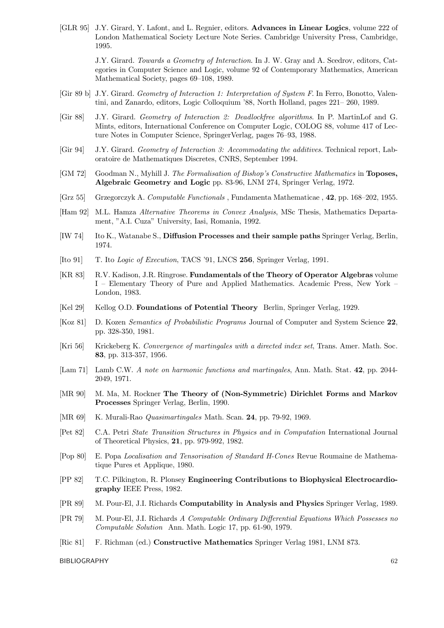[GLR 95] J.Y. Girard, Y. Lafont, and L. Regnier, editors. Advances in Linear Logics, volume 222 of London Mathematical Society Lecture Note Series. Cambridge University Press, Cambridge, 1995.

> J.Y. Girard. Towards a Geometry of Interaction. In J. W. Gray and A. Scedrov, editors, Categories in Computer Science and Logic, volume 92 of Contemporary Mathematics, American Mathematical Society, pages 69—108, 1989.

- [Gir 89 b] J.Y. Girard. Geometry of Interaction 1: Interpretation of System F. In Ferro, Bonotto, Valentini, and Zanardo, editors, Logic Colloquium '88, North Holland, pages 221— 260, 1989.
- [Gir 88] J.Y. Girard. Geometry of Interaction 2: Deadlockfree algorithms. In P. MartinLof and G. Mints, editors, International Conference on Computer Logic, COLOG 88, volume 417 of Lecture Notes in Computer Science, SpringerVerlag, pages 76—93, 1988.
- [Gir 94] J.Y. Girard. Geometry of Interaction 3: Accommodating the additives. Technical report, Laboratoire de Mathematiques Discretes, CNRS, September 1994.
- [GM 72] Goodman N., Myhill J. The Formalisation of Bishop's Constructive Mathematics in Toposes, Algebraic Geometry and Logic pp. 83-96, LNM 274, Springer Verlag, 1972.
- [Grz 55] Grzegorczyk A. Computable Functionals , Fundamenta Mathematicae , 42, pp. 168—202, 1955.
- [Ham 92] M.L. Hamza Alternative Theorems in Convex Analysis, MSc Thesis, Mathematics Departament, "A.I. Cuza" University, Iasi, Romania, 1992.
- [IW 74] Ito K., Watanabe S., Diffusion Processes and their sample paths Springer Verlag, Berlin, 1974.
- [Ito 91] T. Ito Logic of Execution, TACS '91, LNCS 256, Springer Verlag, 1991.
- [KR 83] R.V. Kadison, J.R. Ringrose. **Fundamentals of the Theory of Operator Algebras** volume I — Elementary Theory of Pure and Applied Mathematics. Academic Press, New York — London, 1983.
- [Kel 29] Kellog O.D. **Foundations of Potential Theory** Berlin, Springer Verlag, 1929.
- [Koz 81] D. Kozen Semantics of Probabilistic Programs Journal of Computer and System Science 22, pp. 328-350, 1981.
- [Kri 56] Krickeberg K. Convergence of martingales with a directed index set, Trans. Amer. Math. Soc. 83, pp. 313-357, 1956.
- [Lam 71] Lamb C.W. A note on harmonic functions and martingales, Ann. Math. Stat. 42, pp. 2044-2049, 1971.
- [MR 90] M. Ma, M. Rockner The Theory of (Non-Symmetric) Dirichlet Forms and Markov Processes Springer Verlag, Berlin, 1990.
- [MR 69] K. Murali-Rao *Quasimartingales* Math. Scan. **24**, pp. 79-92, 1969.
- [Pet 82] C.A. Petri State Transition Structures in Physics and in Computation International Journal of Theoretical Physics, 21, pp. 979-992, 1982.
- [Pop 80] E. Popa Localisation and Tensorisation of Standard H-Cones Revue Roumaine de Mathematique Pures et Applique, 1980.
- [PP 82] T.C. Pilkington, R. Plonsey Engineering Contributions to Biophysical Electrocardiography IEEE Press, 1982.
- [PR 89] M. Pour-El, J.I. Richards Computability in Analysis and Physics Springer Verlag, 1989.
- [PR 79] M. Pour-El, J.I. Richards A Computable Ordinary Differential Equations Which Possesses no Computable Solution Ann. Math. Logic 17, pp. 61-90, 1979.
- [Ric 81] F. Richman (ed.) Constructive Mathematics Springer Verlag 1981, LNM 873.

BIBLIOGRAPHY 62